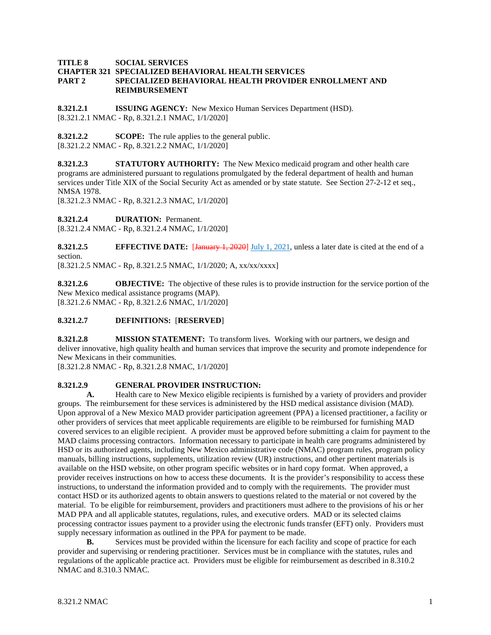#### **TITLE 8 SOCIAL SERVICES CHAPTER 321 SPECIALIZED BEHAVIORAL HEALTH SERVICES PART 2 SPECIALIZED BEHAVIORAL HEALTH PROVIDER ENROLLMENT AND REIMBURSEMENT**

**8.321.2.1 ISSUING AGENCY:** New Mexico Human Services Department (HSD). [8.321.2.1 NMAC - Rp, 8.321.2.1 NMAC, 1/1/2020]

**8.321.2.2 SCOPE:** The rule applies to the general public. [8.321.2.2 NMAC - Rp, 8.321.2.2 NMAC, 1/1/2020]

**8.321.2.3 STATUTORY AUTHORITY:** The New Mexico medicaid program and other health care programs are administered pursuant to regulations promulgated by the federal department of health and human services under Title XIX of the Social Security Act as amended or by state statute. See Section 27-2-12 et seq., NMSA 1978.

[8.321.2.3 NMAC - Rp, 8.321.2.3 NMAC, 1/1/2020]

**8.321.2.4 DURATION:** Permanent.

[8.321.2.4 NMAC - Rp, 8.321.2.4 NMAC, 1/1/2020]

**8.321.2.5 EFFECTIVE DATE:** [January 1, 2020] July 1, 2021, unless a later date is cited at the end of a section.

[8.321.2.5 NMAC - Rp, 8.321.2.5 NMAC, 1/1/2020; A, xx/xx/xxxx]]

**8.321.2.6 OBJECTIVE:** The objective of these rules is to provide instruction for the service portion of the New Mexico medical assistance programs (MAP). [8.321.2.6 NMAC - Rp, 8.321.2.6 NMAC, 1/1/2020]

## **8.321.2.7 DEFINITIONS:** [**RESERVED**]

**8.321.2.8 MISSION STATEMENT:** To transform lives. Working with our partners, we design and deliver innovative, high quality health and human services that improve the security and promote independence for New Mexicans in their communities.

[8.321.2.8 NMAC - Rp, 8.321.2.8 NMAC, 1/1/2020]

## **8.321.2.9 GENERAL PROVIDER INSTRUCTION:**

**A.** Health care to New Mexico eligible recipients is furnished by a variety of providers and provider groups. The reimbursement for these services is administered by the HSD medical assistance division (MAD). Upon approval of a New Mexico MAD provider participation agreement (PPA) a licensed practitioner, a facility or other providers of services that meet applicable requirements are eligible to be reimbursed for furnishing MAD covered services to an eligible recipient. A provider must be approved before submitting a claim for payment to the MAD claims processing contractors. Information necessary to participate in health care programs administered by HSD or its authorized agents, including New Mexico administrative code (NMAC) program rules, program policy manuals, billing instructions, supplements, utilization review (UR) instructions, and other pertinent materials is available on the HSD website, on other program specific websites or in hard copy format. When approved, a provider receives instructions on how to access these documents. It is the provider's responsibility to access these instructions, to understand the information provided and to comply with the requirements. The provider must contact HSD or its authorized agents to obtain answers to questions related to the material or not covered by the material. To be eligible for reimbursement, providers and practitioners must adhere to the provisions of his or her MAD PPA and all applicable statutes, regulations, rules, and executive orders. MAD or its selected claims processing contractor issues payment to a provider using the electronic funds transfer (EFT) only. Providers must supply necessary information as outlined in the PPA for payment to be made.

**B.** Services must be provided within the licensure for each facility and scope of practice for each provider and supervising or rendering practitioner. Services must be in compliance with the statutes, rules and regulations of the applicable practice act. Providers must be eligible for reimbursement as described in 8.310.2 NMAC and 8.310.3 NMAC.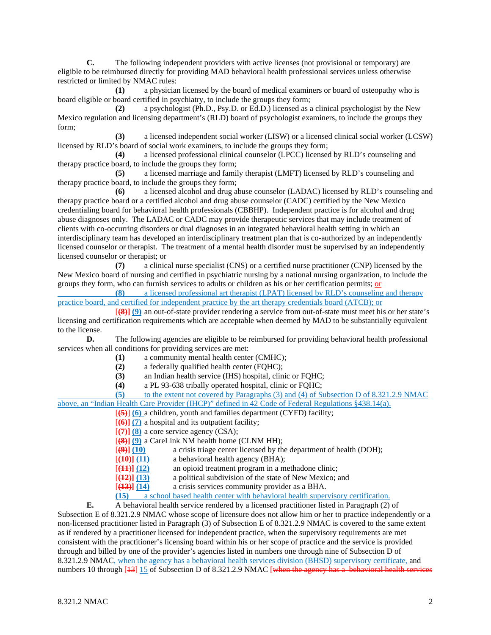**C.** The following independent providers with active licenses (not provisional or temporary) are eligible to be reimbursed directly for providing MAD behavioral health professional services unless otherwise restricted or limited by NMAC rules:

**(1)** a physician licensed by the board of medical examiners or board of osteopathy who is board eligible or board certified in psychiatry, to include the groups they form;

**(2)** a psychologist (Ph.D., Psy.D. or Ed.D.) licensed as a clinical psychologist by the New Mexico regulation and licensing department's (RLD) board of psychologist examiners, to include the groups they form;

**(3)** a licensed independent social worker (LISW) or a licensed clinical social worker (LCSW) licensed by RLD's board of social work examiners, to include the groups they form;

**(4)** a licensed professional clinical counselor (LPCC) licensed by RLD's counseling and therapy practice board, to include the groups they form;

**(5)** a licensed marriage and family therapist (LMFT) licensed by RLD's counseling and therapy practice board, to include the groups they form;

**(6)** a licensed alcohol and drug abuse counselor (LADAC) licensed by RLD's counseling and therapy practice board or a certified alcohol and drug abuse counselor (CADC) certified by the New Mexico credentialing board for behavioral health professionals (CBBHP). Independent practice is for alcohol and drug abuse diagnoses only. The LADAC or CADC may provide therapeutic services that may include treatment of clients with co-occurring disorders or dual diagnoses in an integrated behavioral health setting in which an interdisciplinary team has developed an interdisciplinary treatment plan that is co-authorized by an independently licensed counselor or therapist. The treatment of a mental health disorder must be supervised by an independently licensed counselor or therapist; or

**(7)** a clinical nurse specialist (CNS) or a certified nurse practitioner (CNP) licensed by the New Mexico board of nursing and certified in psychiatric nursing by a national nursing organization, to include the groups they form, who can furnish services to adults or children as his or her certification permits; or

**(8)** a licensed professional art therapist (LPAT) licensed by RLD's counseling and therapy practice board, and certified for independent practice by the art therapy credentials board (ATCB); or

[**(8)] (9)** an out-of-state provider rendering a service from out-of-state must meet his or her state's licensing and certification requirements which are acceptable when deemed by MAD to be substantially equivalent to the license.<br> $\mathbf{D}$ .

**D.** The following agencies are eligible to be reimbursed for providing behavioral health professional services when all conditions for providing services are met:

- (1) a community mental health center (CMHC);<br>(2) a federally qualified health center (FOHC);
- **(2)** a federally qualified health center (FQHC);
- **(3)** an Indian health service (IHS) hospital, clinic or FQHC;
- **(4)** a PL 93-638 tribally operated hospital, clinic or FQHC;

**(5)** to the extent not covered by Paragraphs (3) and (4) of Subsection D of 8.321.2.9 NMAC above, an "Indian Health Care Provider (IHCP)" defined in 42 Code of Federal Regulations §438.14(a).

[**(5)**] **(6)** a children, youth and families department (CYFD) facility;

- [**(6)] (7)** a hospital and its outpatient facility;
- [**(7)] (8)** a core service agency (CSA);
- $[$ **(8)** $]$   $(9)$  a CareLink NM health home (CLNM HH);<br> $[$ **(9)** $]$   $(10)$  a crisis triage center licensed by the
- [**(9)] (10)** a crisis triage center licensed by the department of health (DOH);
- [**(10)] (11)** a behavioral health agency (BHA);
- [**(11)**] (12) an opioid treatment program in a methadone clinic;<br> **[(12)**] (13) a political subdivision of the state of New Mexico; a
- [**(12)] (13)** a political subdivision of the state of New Mexico; and
- [**(13)] (14)** a crisis services community provider as a BHA.

**(15)** a school based health center with behavioral health supervisory certification.

**E.** A behavioral health service rendered by a licensed practitioner listed in Paragraph (2) of Subsection E of 8.321.2.9 NMAC whose scope of licensure does not allow him or her to practice independently or a non-licensed practitioner listed in Paragraph (3) of Subsection E of 8.321.2.9 NMAC is covered to the same extent as if rendered by a practitioner licensed for independent practice, when the supervisory requirements are met consistent with the practitioner's licensing board within his or her scope of practice and the service is provided through and billed by one of the provider's agencies listed in numbers one through nine of Subsection D of 8.321.2.9 NMAC, when the agency has a behavioral health services division (BHSD) supervisory certificate, and numbers 10 through [43] 15 of Subsection D of 8.321.2.9 NMAC [when the agency has a behavioral health services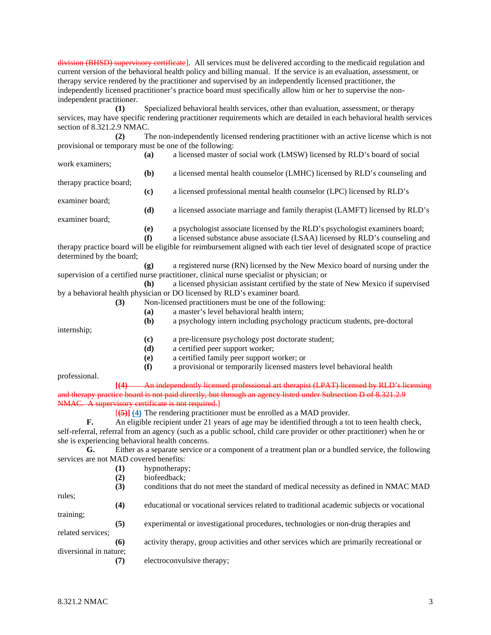division (BHSD) supervisory certificate]. All services must be delivered according to the medicaid regulation and current version of the behavioral health policy and billing manual. If the service is an evaluation, assessment, or therapy service rendered by the practitioner and supervised by an independently licensed practitioner, the independently licensed practitioner's practice board must specifically allow him or her to supervise the nonindependent practitioner.

**(1)** Specialized behavioral health services, other than evaluation, assessment, or therapy services, may have specific rendering practitioner requirements which are detailed in each behavioral health services section of 8.321.2.9 NMAC.

**(2)** The non-independently licensed rendering practitioner with an active license which is not provisional or temporary must be one of the following:

**(a)** a licensed master of social work (LMSW) licensed by RLD's board of social work examiners;

**(b)** a licensed mental health counselor (LMHC) licensed by RLD's counseling and

therapy practice board;

examiner board;

**(c)** a licensed professional mental health counselor (LPC) licensed by RLD's

**(d)** a licensed associate marriage and family therapist (LAMFT) licensed by RLD's examiner board;

**(e)** a psychologist associate licensed by the RLD's psychologist examiners board;

**(f)** a licensed substance abuse associate (LSAA) licensed by RLD's counseling and therapy practice board will be eligible for reimbursement aligned with each tier level of designated scope of practice determined by the board;

**(g)** a registered nurse (RN) licensed by the New Mexico board of nursing under the supervision of a certified nurse practitioner, clinical nurse specialist or physician; or

**(h)** a licensed physician assistant certified by the state of New Mexico if supervised by a behavioral health physician or DO licensed by RLD's examiner board.

**(3)** Non-licensed practitioners must be one of the following:

- **(a)** a master's level behavioral health intern;
- **(b)** a psychology intern including psychology practicum students, pre-doctoral

internship;

- **(c)** a pre-licensure psychology post doctorate student;
- **(d)** a certified peer support worker;
- **(e)** a certified family peer support worker; or
- **(f)** a provisional or temporarily licensed masters level behavioral health

professional.

**[(4)** An independently licensed professional art therapist (LPAT) licensed by RLD's licensing and therapy practice board is not paid directly, but through an agency listed under Subsection D of 8.321.2.9 NMAC. A supervisory certificate is not required.

[**(5)] (4)** The rendering practitioner must be enrolled as a MAD provider.

**F.** An eligible recipient under 21 years of age may be identified through a tot to teen health check,

self-referral, referral from an agency (such as a public school, child care provider or other practitioner) when he or she is experiencing behavioral health concerns.

**G.** Either as a separate service or a component of a treatment plan or a bundled service, the following services are not MAD covered benefits:

- **(1)** hypnotherapy;
	- **(2)** biofeedback;
- **(3)** conditions that do not meet the standard of medical necessity as defined in NMAC MAD rules; **(4)** educational or vocational services related to traditional academic subjects or vocational training; **(5)** experimental or investigational procedures, technologies or non-drug therapies and related services; **(6)** activity therapy, group activities and other services which are primarily recreational or diversional in nature; **(7)** electroconvulsive therapy;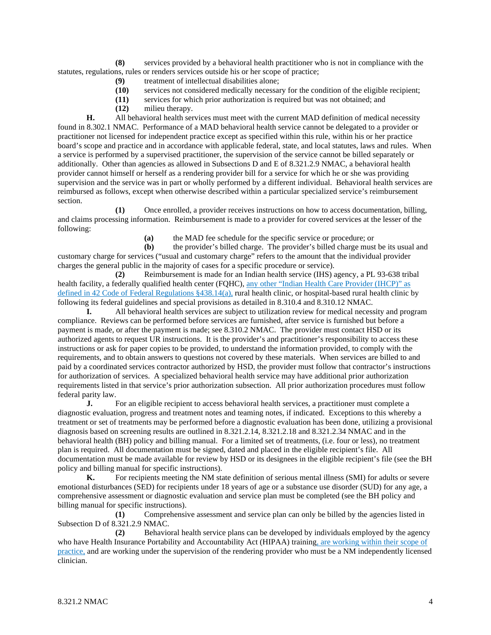**(8)** services provided by a behavioral health practitioner who is not in compliance with the statutes, regulations, rules or renders services outside his or her scope of practice;

- **(9)** treatment of intellectual disabilities alone;
- **(10)** services not considered medically necessary for the condition of the eligible recipient;
- **(11)** services for which prior authorization is required but was not obtained; and
- **(12)** milieu therapy.

**H.** All behavioral health services must meet with the current MAD definition of medical necessity found in 8.302.1 NMAC. Performance of a MAD behavioral health service cannot be delegated to a provider or practitioner not licensed for independent practice except as specified within this rule, within his or her practice board's scope and practice and in accordance with applicable federal, state, and local statutes, laws and rules. When a service is performed by a supervised practitioner, the supervision of the service cannot be billed separately or additionally. Other than agencies as allowed in Subsections D and E of 8.321.2.9 NMAC, a behavioral health provider cannot himself or herself as a rendering provider bill for a service for which he or she was providing supervision and the service was in part or wholly performed by a different individual. Behavioral health services are reimbursed as follows, except when otherwise described within a particular specialized service's reimbursement section.

**(1)** Once enrolled, a provider receives instructions on how to access documentation, billing, and claims processing information. Reimbursement is made to a provider for covered services at the lesser of the following:

**(a)** the MAD fee schedule for the specific service or procedure; or

**(b)** the provider's billed charge. The provider's billed charge must be its usual and customary charge for services ("usual and customary charge" refers to the amount that the individual provider charges the general public in the majority of cases for a specific procedure or service).

**(2)** Reimbursement is made for an Indian health service (IHS) agency, a PL 93-638 tribal health facility, a federally qualified health center (FQHC), any other "Indian Health Care Provider (IHCP)" as defined in 42 Code of Federal Regulations §438.14(a), rural health clinic, or hospital-based rural health clinic by following its federal guidelines and special provisions as detailed in 8.310.4 and 8.310.12 NMAC.

**I.** All behavioral health services are subject to utilization review for medical necessity and program compliance. Reviews can be performed before services are furnished, after service is furnished but before a payment is made, or after the payment is made; see 8.310.2 NMAC. The provider must contact HSD or its authorized agents to request UR instructions. It is the provider's and practitioner's responsibility to access these instructions or ask for paper copies to be provided, to understand the information provided, to comply with the requirements, and to obtain answers to questions not covered by these materials. When services are billed to and paid by a coordinated services contractor authorized by HSD, the provider must follow that contractor's instructions for authorization of services. A specialized behavioral health service may have additional prior authorization requirements listed in that service's prior authorization subsection. All prior authorization procedures must follow federal parity law.

**J.** For an eligible recipient to access behavioral health services, a practitioner must complete a diagnostic evaluation, progress and treatment notes and teaming notes, if indicated. Exceptions to this whereby a treatment or set of treatments may be performed before a diagnostic evaluation has been done, utilizing a provisional diagnosis based on screening results are outlined in 8.321.2.14, 8.321.2.18 and 8.321.2.34 NMAC and in the behavioral health (BH) policy and billing manual. For a limited set of treatments, (i.e. four or less), no treatment plan is required. All documentation must be signed, dated and placed in the eligible recipient's file. All documentation must be made available for review by HSD or its designees in the eligible recipient's file (see the BH policy and billing manual for specific instructions).<br> **K.** For recipients meeting the NM sta

For recipients meeting the NM state definition of serious mental illness (SMI) for adults or severe emotional disturbances (SED) for recipients under 18 years of age or a substance use disorder (SUD) for any age, a comprehensive assessment or diagnostic evaluation and service plan must be completed (see the BH policy and billing manual for specific instructions).

**(1)** Comprehensive assessment and service plan can only be billed by the agencies listed in Subsection D of 8.321.2.9 NMAC.

**(2)** Behavioral health service plans can be developed by individuals employed by the agency who have Health Insurance Portability and Accountability Act (HIPAA) training, are working within their scope of practice, and are working under the supervision of the rendering provider who must be a NM independently licensed clinician.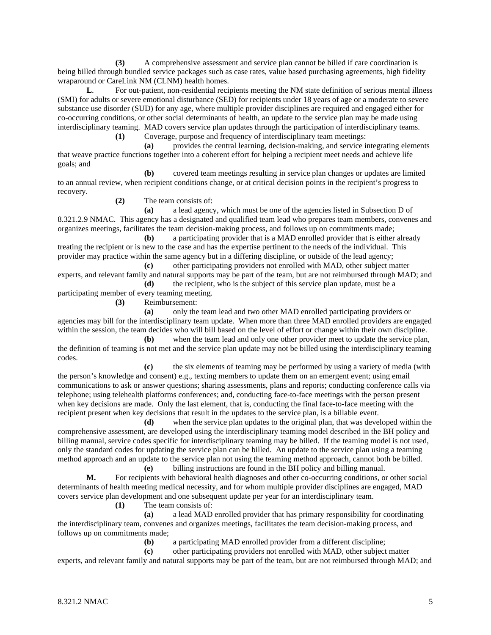**(3)** A comprehensive assessment and service plan cannot be billed if care coordination is being billed through bundled service packages such as case rates, value based purchasing agreements, high fidelity wraparound or CareLink NM (CLNM) health homes.

**L**. For out-patient, non-residential recipients meeting the NM state definition of serious mental illness (SMI) for adults or severe emotional disturbance (SED) for recipients under 18 years of age or a moderate to severe substance use disorder (SUD) for any age, where multiple provider disciplines are required and engaged either for co-occurring conditions, or other social determinants of health, an update to the service plan may be made using interdisciplinary teaming. MAD covers service plan updates through the participation of interdisciplinary teams.

**(1)** Coverage, purpose and frequency of interdisciplinary team meetings:

**(a)** provides the central learning, decision-making, and service integrating elements that weave practice functions together into a coherent effort for helping a recipient meet needs and achieve life goals; and

**(b)** covered team meetings resulting in service plan changes or updates are limited to an annual review, when recipient conditions change, or at critical decision points in the recipient's progress to recovery.

**(2)** The team consists of:

**(a)** a lead agency, which must be one of the agencies listed in Subsection D of 8.321.2.9 NMAC. This agency has a designated and qualified team lead who prepares team members, convenes and organizes meetings, facilitates the team decision-making process, and follows up on commitments made;

**(b)** a participating provider that is a MAD enrolled provider that is either already treating the recipient or is new to the case and has the expertise pertinent to the needs of the individual. This provider may practice within the same agency but in a differing discipline, or outside of the lead agency;

**(c)** other participating providers not enrolled with MAD, other subject matter experts, and relevant family and natural supports may be part of the team, but are not reimbursed through MAD; and **(d)** the recipient, who is the subject of this service plan update, must be a

participating member of every teaming meeting.

**(3)** Reimbursement:

**(a)** only the team lead and two other MAD enrolled participating providers or agencies may bill for the interdisciplinary team update. When more than three MAD enrolled providers are engaged within the session, the team decides who will bill based on the level of effort or change within their own discipline.

**(b)** when the team lead and only one other provider meet to update the service plan, the definition of teaming is not met and the service plan update may not be billed using the interdisciplinary teaming codes.

**(c)** the six elements of teaming may be performed by using a variety of media (with the person's knowledge and consent) e.g., texting members to update them on an emergent event; using email communications to ask or answer questions; sharing assessments, plans and reports; conducting conference calls via telephone; using telehealth platforms conferences; and, conducting face-to-face meetings with the person present when key decisions are made. Only the last element, that is, conducting the final face-to-face meeting with the recipient present when key decisions that result in the updates to the service plan, is a billable event.

**(d)** when the service plan updates to the original plan, that was developed within the comprehensive assessment, are developed using the interdisciplinary teaming model described in the BH policy and billing manual, service codes specific for interdisciplinary teaming may be billed. If the teaming model is not used, only the standard codes for updating the service plan can be billed. An update to the service plan using a teaming method approach and an update to the service plan not using the teaming method approach, cannot both be billed.

**(e)** billing instructions are found in the BH policy and billing manual. **M.** For recipients with behavioral health diagnoses and other co-occurring conditions, or other social determinants of health meeting medical necessity, and for whom multiple provider disciplines are engaged, MAD covers service plan development and one subsequent update per year for an interdisciplinary team.

**(1)** The team consists of:

**(a)** a lead MAD enrolled provider that has primary responsibility for coordinating the interdisciplinary team, convenes and organizes meetings, facilitates the team decision-making process, and follows up on commitments made;

(b) a participating MAD enrolled provider from a different discipline;<br>(c) other participating providers not enrolled with MAD, other subject

**(c)** other participating providers not enrolled with MAD, other subject matter

experts, and relevant family and natural supports may be part of the team, but are not reimbursed through MAD; and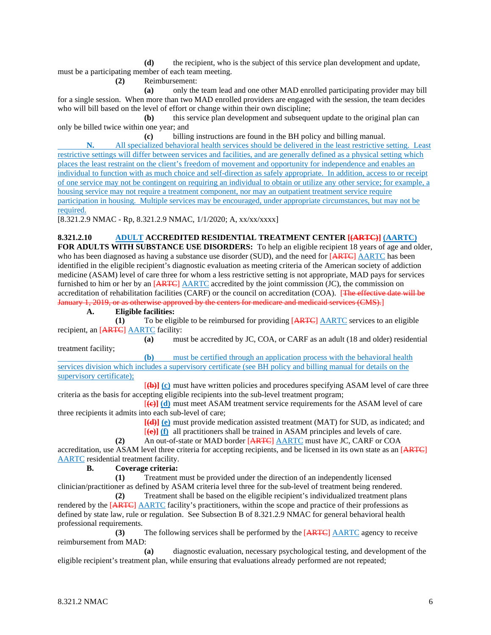**(d)** the recipient, who is the subject of this service plan development and update, must be a participating member of each team meeting.

**(2)** Reimbursement:

**(a)** only the team lead and one other MAD enrolled participating provider may bill for a single session. When more than two MAD enrolled providers are engaged with the session, the team decides who will bill based on the level of effort or change within their own discipline;

**(b)** this service plan development and subsequent update to the original plan can only be billed twice within one year; and

**(c)** billing instructions are found in the BH policy and billing manual.

**N.** All specialized behavioral health services should be delivered in the least restrictive setting. Least restrictive settings will differ between services and facilities, and are generally defined as a physical setting which places the least restraint on the client's freedom of movement and opportunity for independence and enables an individual to function with as much choice and self-direction as safely appropriate. In addition, access to or receipt of one service may not be contingent on requiring an individual to obtain or utilize any other service; for example, a housing service may not require a treatment component, nor may an outpatient treatment service require participation in housing. Multiple services may be encouraged, under appropriate circumstances, but may not be required.

[8.321.2.9 NMAC - Rp, 8.321.2.9 NMAC, 1/1/2020; A, xx/xx/xxxx]

**8.321.2.10 ADULT ACCREDITED RESIDENTIAL TREATMENT CENTER [(ARTC)] (AARTC) FOR ADULTS WITH SUBSTANCE USE DISORDERS:** To help an eligible recipient 18 years of age and older, who has been diagnosed as having a substance use disorder (SUD), and the need for [ARTC] AARTC has been identified in the eligible recipient's diagnostic evaluation as meeting criteria of the American society of addiction medicine (ASAM) level of care three for whom a less restrictive setting is not appropriate, MAD pays for services furnished to him or her by an [ARTC] AARTC accredited by the joint commission (JC), the commission on accreditation of rehabilitation facilities (CARF) or the council on accreditation (COA). [The effective date will be January 1, 2019, or as otherwise approved by the centers for medicare and medicaid services (CMS).

## **A. Eligible facilities:**

**(1)** To be eligible to be reimbursed for providing  $[ARTC]$  AARTC services to an eligible recipient, an [ARTC] AARTC facility:

**(a)** must be accredited by JC, COA, or CARF as an adult (18 and older) residential treatment facility;

**(b)** must be certified through an application process with the behavioral health services division which includes a supervisory certificate (see BH policy and billing manual for details on the supervisory certificate);

[**(b)] (c)** must have written policies and procedures specifying ASAM level of care three criteria as the basis for accepting eligible recipients into the sub-level treatment program;

[**(c)] (d)** must meet ASAM treatment service requirements for the ASAM level of care three recipients it admits into each sub-level of care;

**[(d)] (e)** must provide medication assisted treatment (MAT) for SUD, as indicated; and [**(e)] (f)** all practitioners shall be trained in ASAM principles and levels of care.

**(2)** An out-of-state or MAD border [ARTC] AARTC must have JC, CARF or COA

accreditation, use ASAM level three criteria for accepting recipients, and be licensed in its own state as an [ARTC] AARTC residential treatment facility.

# **B. Coverage criteria:**

**(1)** Treatment must be provided under the direction of an independently licensed

clinician/practitioner as defined by ASAM criteria level three for the sub-level of treatment being rendered. **(2)** Treatment shall be based on the eligible recipient's individualized treatment plans rendered by the [ARTC] AARTC facility's practitioners, within the scope and practice of their professions as defined by state law, rule or regulation. See Subsection B of 8.321.2.9 NMAC for general behavioral health professional requirements.

**(3)** The following services shall be performed by the [ARTC] AARTC agency to receive reimbursement from MAD:

**(a)** diagnostic evaluation, necessary psychological testing, and development of the eligible recipient's treatment plan, while ensuring that evaluations already performed are not repeated;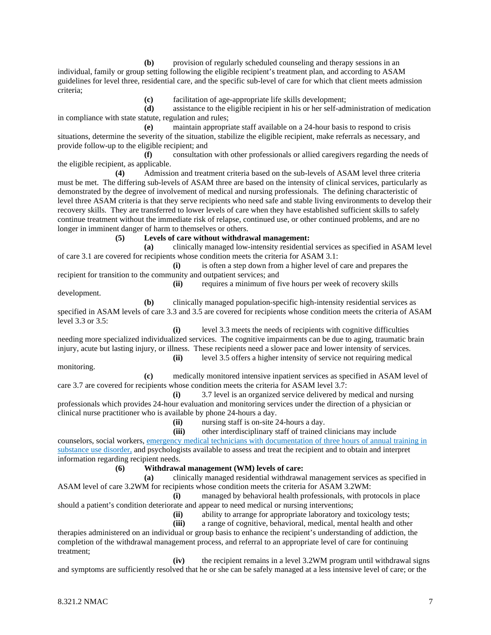**(b)** provision of regularly scheduled counseling and therapy sessions in an individual, family or group setting following the eligible recipient's treatment plan, and according to ASAM guidelines for level three, residential care, and the specific sub-level of care for which that client meets admission criteria;

**(c)** facilitation of age-appropriate life skills development;

**(d)** assistance to the eligible recipient in his or her self-administration of medication in compliance with state statute, regulation and rules;

**(e)** maintain appropriate staff available on a 24-hour basis to respond to crisis situations, determine the severity of the situation, stabilize the eligible recipient, make referrals as necessary, and provide follow-up to the eligible recipient; and

**(f)** consultation with other professionals or allied caregivers regarding the needs of the eligible recipient, as applicable.

**(4)** Admission and treatment criteria based on the sub-levels of ASAM level three criteria must be met. The differing sub-levels of ASAM three are based on the intensity of clinical services, particularly as demonstrated by the degree of involvement of medical and nursing professionals. The defining characteristic of level three ASAM criteria is that they serve recipients who need safe and stable living environments to develop their recovery skills. They are transferred to lower levels of care when they have established sufficient skills to safely continue treatment without the immediate risk of relapse, continued use, or other continued problems, and are no longer in imminent danger of harm to themselves or others.

**(5) Levels of care without withdrawal management:**

**(a)** clinically managed low-intensity residential services as specified in ASAM level of care 3.1 are covered for recipients whose condition meets the criteria for ASAM 3.1:

**(i)** is often a step down from a higher level of care and prepares the recipient for transition to the community and outpatient services; and

development.

**(ii)** requires a minimum of five hours per week of recovery skills

**(b)** clinically managed population-specific high-intensity residential services as specified in ASAM levels of care 3.3 and 3.5 are covered for recipients whose condition meets the criteria of ASAM level 3.3 or 3.5:

**(i)** level 3.3 meets the needs of recipients with cognitive difficulties needing more specialized individualized services. The cognitive impairments can be due to aging, traumatic brain injury, acute but lasting injury, or illness. These recipients need a slower pace and lower intensity of services. **(ii)** level 3.5 offers a higher intensity of service not requiring medical

monitoring.

**(c)** medically monitored intensive inpatient services as specified in ASAM level of care 3.7 are covered for recipients whose condition meets the criteria for ASAM level 3.7:

**(i)** 3.7 level is an organized service delivered by medical and nursing professionals which provides 24-hour evaluation and monitoring services under the direction of a physician or clinical nurse practitioner who is available by phone 24-hours a day.

**(ii)** nursing staff is on-site 24-hours a day.

**(iii)** other interdisciplinary staff of trained clinicians may include

counselors, social workers, emergency medical technicians with documentation of three hours of annual training in substance use disorder, and psychologists available to assess and treat the recipient and to obtain and interpret information regarding recipient needs.

**(6) Withdrawal management (WM) levels of care:**

**(a)** clinically managed residential withdrawal management services as specified in ASAM level of care 3.2WM for recipients whose condition meets the criteria for ASAM 3.2WM:

**(i)** managed by behavioral health professionals, with protocols in place should a patient's condition deteriorate and appear to need medical or nursing interventions;

**(ii)** ability to arrange for appropriate laboratory and toxicology tests;

**(iii)** a range of cognitive, behavioral, medical, mental health and other

therapies administered on an individual or group basis to enhance the recipient's understanding of addiction, the completion of the withdrawal management process, and referral to an appropriate level of care for continuing treatment;

**(iv)** the recipient remains in a level 3.2WM program until withdrawal signs and symptoms are sufficiently resolved that he or she can be safely managed at a less intensive level of care; or the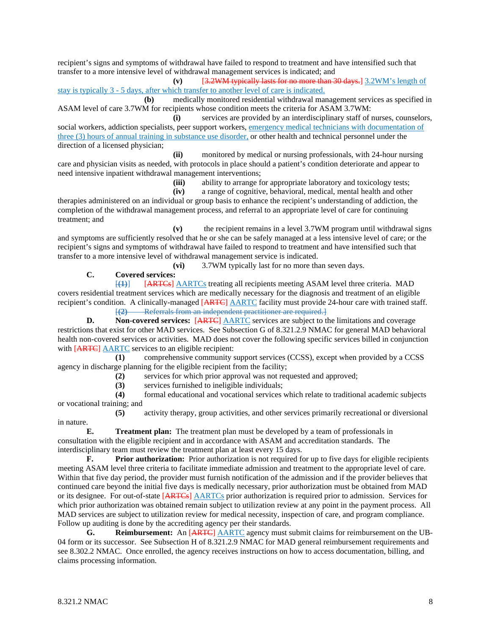recipient's signs and symptoms of withdrawal have failed to respond to treatment and have intensified such that transfer to a more intensive level of withdrawal management services is indicated; and

**(v)** [3.2WM typically lasts for no more than 30 days.] 3.2WM's length of stay is typically 3 - 5 days, after which transfer to another level of care is indicated.

**(b)** medically monitored residential withdrawal management services as specified in ASAM level of care 3.7WM for recipients whose condition meets the criteria for ASAM 3.7WM:

**(i)** services are provided by an interdisciplinary staff of nurses, counselors, social workers, addiction specialists, peer support workers, emergency medical technicians with documentation of three (3) hours of annual training in substance use disorder, or other health and technical personnel under the direction of a licensed physician;

**(ii)** monitored by medical or nursing professionals, with 24-hour nursing care and physician visits as needed, with protocols in place should a patient's condition deteriorate and appear to need intensive inpatient withdrawal management interventions;

(iii) ability to arrange for appropriate laboratory and toxicology tests;<br>(iv) a range of cognitive, behavioral, medical, mental health and other

**(iv)** a range of cognitive, behavioral, medical, mental health and other therapies administered on an individual or group basis to enhance the recipient's understanding of addiction, the completion of the withdrawal management process, and referral to an appropriate level of care for continuing

treatment; and **(v)** the recipient remains in a level 3.7WM program until withdrawal signs and symptoms are sufficiently resolved that he or she can be safely managed at a less intensive level of care; or the recipient's signs and symptoms of withdrawal have failed to respond to treatment and have intensified such that transfer to a more intensive level of withdrawal management service is indicated.<br>(vi) 3.7WM typically last for no more that

**(vi)** 3.7WM typically last for no more than seven days.

# **C. Covered services:**

[**(1)**] [ARTCs] AARTCs treating all recipients meeting ASAM level three criteria. MAD covers residential treatment services which are medically necessary for the diagnosis and treatment of an eligible recipient's condition. A clinically-managed [ARTC] AARTC facility must provide 24-hour care with trained staff. [**(2)** Referrals from an independent practitioner are required.]

**D. Non-covered services:** [ARTC] AARTC services are subject to the limitations and coverage restrictions that exist for other MAD services. See Subsection G of 8.321.2.9 NMAC for general MAD behavioral health non-covered services or activities. MAD does not cover the following specific services billed in conjunction with [ARTC] AARTC services to an eligible recipient:

**(1)** comprehensive community support services (CCSS), except when provided by a CCSS agency in discharge planning for the eligible recipient from the facility;

**(2)** services for which prior approval was not requested and approved;

(3) services furnished to ineligible individuals;<br>(4) formal educational and vocational services

**(4)** formal educational and vocational services which relate to traditional academic subjects or vocational training; and

**(5)** activity therapy, group activities, and other services primarily recreational or diversional in nature.

**E. Treatment plan:** The treatment plan must be developed by a team of professionals in consultation with the eligible recipient and in accordance with ASAM and accreditation standards. The interdisciplinary team must review the treatment plan at least every 15 days.

**F. Prior authorization:** Prior authorization is not required for up to five days for eligible recipients meeting ASAM level three criteria to facilitate immediate admission and treatment to the appropriate level of care. Within that five day period, the provider must furnish notification of the admission and if the provider believes that continued care beyond the initial five days is medically necessary, prior authorization must be obtained from MAD or its designee. For out-of-state [ARTCs] AARTCs prior authorization is required prior to admission. Services for which prior authorization was obtained remain subject to utilization review at any point in the payment process. All MAD services are subject to utilization review for medical necessity, inspection of care, and program compliance. Follow up auditing is done by the accrediting agency per their standards.

**G. Reimbursement:** An [ARTC] AARTC agency must submit claims for reimbursement on the UB-04 form or its successor. See Subsection H of 8.321.2.9 NMAC for MAD general reimbursement requirements and see 8.302.2 NMAC. Once enrolled, the agency receives instructions on how to access documentation, billing, and claims processing information.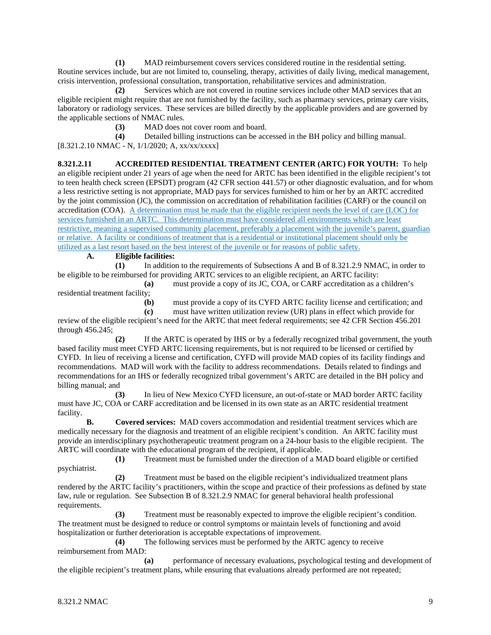**(1)** MAD reimbursement covers services considered routine in the residential setting. Routine services include, but are not limited to, counseling, therapy, activities of daily living, medical management, crisis intervention, professional consultation, transportation, rehabilitative services and administration.

**(2)** Services which are not covered in routine services include other MAD services that an eligible recipient might require that are not furnished by the facility, such as pharmacy services, primary care visits, laboratory or radiology services. These services are billed directly by the applicable providers and are governed by the applicable sections of NMAC rules.

(3) MAD does not cover room and board.<br>
(4) Detailed billing instructions can be acc

**(4)** Detailed billing instructions can be accessed in the BH policy and billing manual.  $[8.321.2.10 \text{ NMAC} - \text{N}, 1/1/2020; \text{A}, \text{xx}/\text{xx}/\text{xx} \text{X}]$ 

**8.321.2.11 ACCREDITED RESIDENTIAL TREATMENT CENTER (ARTC) FOR YOUTH:** To help an eligible recipient under 21 years of age when the need for ARTC has been identified in the eligible recipient's tot to teen health check screen (EPSDT) program (42 CFR section 441.57) or other diagnostic evaluation, and for whom a less restrictive setting is not appropriate, MAD pays for services furnished to him or her by an ARTC accredited by the joint commission (JC), the commission on accreditation of rehabilitation facilities (CARF) or the council on accreditation (COA). A determination must be made that the eligible recipient needs the level of care (LOC) for services furnished in an ARTC. This determination must have considered all environments which are least restrictive, meaning a supervised community placement, preferably a placement with the juvenile's parent, guardian or relative. A facility or conditions of treatment that is a residential or institutional placement should only be utilized as a last resort based on the best interest of the juvenile or for reasons of public safety.

# **A. Eligible facilities:**

**(1)** In addition to the requirements of Subsections A and B of 8.321.2.9 NMAC, in order to be eligible to be reimbursed for providing ARTC services to an eligible recipient, an ARTC facility:

**(a)** must provide a copy of its JC, COA, or CARF accreditation as a children's residential treatment facility;

**(b)** must provide a copy of its CYFD ARTC facility license and certification; and

**(c)** must have written utilization review (UR) plans in effect which provide for

review of the eligible recipient's need for the ARTC that meet federal requirements; see 42 CFR Section 456.201 through 456.245;

**(2)** If the ARTC is operated by IHS or by a federally recognized tribal government, the youth based facility must meet CYFD ARTC licensing requirements, but is not required to be licensed or certified by CYFD. In lieu of receiving a license and certification, CYFD will provide MAD copies of its facility findings and recommendations. MAD will work with the facility to address recommendations. Details related to findings and recommendations for an IHS or federally recognized tribal government's ARTC are detailed in the BH policy and billing manual; and

**(3)** In lieu of New Mexico CYFD licensure, an out-of-state or MAD border ARTC facility must have JC, COA or CARF accreditation and be licensed in its own state as an ARTC residential treatment facility.

**B. Covered services:** MAD covers accommodation and residential treatment services which are medically necessary for the diagnosis and treatment of an eligible recipient's condition. An ARTC facility must provide an interdisciplinary psychotherapeutic treatment program on a 24-hour basis to the eligible recipient. The ARTC will coordinate with the educational program of the recipient, if applicable.

**(1)** Treatment must be furnished under the direction of a MAD board eligible or certified psychiatrist.

**(2)** Treatment must be based on the eligible recipient's individualized treatment plans rendered by the ARTC facility's practitioners, within the scope and practice of their professions as defined by state law, rule or regulation. See Subsection B of 8.321.2.9 NMAC for general behavioral health professional requirements.

**(3)** Treatment must be reasonably expected to improve the eligible recipient's condition. The treatment must be designed to reduce or control symptoms or maintain levels of functioning and avoid hospitalization or further deterioration is acceptable expectations of improvement.

**(4)** The following services must be performed by the ARTC agency to receive reimbursement from MAD:

**(a)** performance of necessary evaluations, psychological testing and development of the eligible recipient's treatment plans, while ensuring that evaluations already performed are not repeated;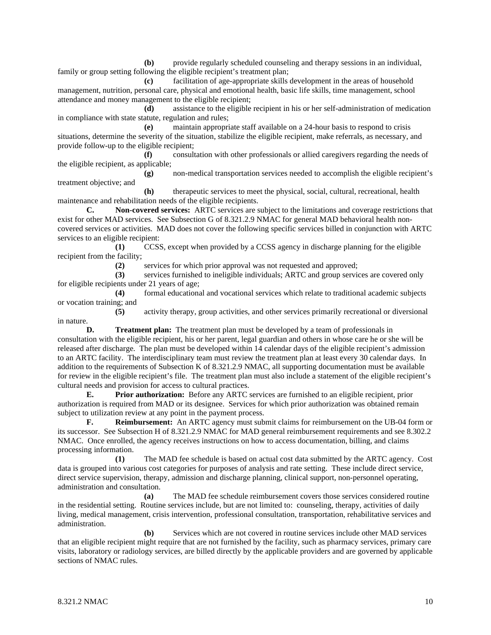**(b)** provide regularly scheduled counseling and therapy sessions in an individual, family or group setting following the eligible recipient's treatment plan;

**(c)** facilitation of age-appropriate skills development in the areas of household management, nutrition, personal care, physical and emotional health, basic life skills, time management, school attendance and money management to the eligible recipient;

**(d)** assistance to the eligible recipient in his or her self-administration of medication in compliance with state statute, regulation and rules;

**(e)** maintain appropriate staff available on a 24-hour basis to respond to crisis situations, determine the severity of the situation, stabilize the eligible recipient, make referrals, as necessary, and provide follow-up to the eligible recipient;

**(f)** consultation with other professionals or allied caregivers regarding the needs of the eligible recipient, as applicable;

**(g)** non-medical transportation services needed to accomplish the eligible recipient's treatment objective; and

**(h)** therapeutic services to meet the physical, social, cultural, recreational, health maintenance and rehabilitation needs of the eligible recipients.

**C. Non-covered services:** ARTC services are subject to the limitations and coverage restrictions that exist for other MAD services. See Subsection G of 8.321.2.9 NMAC for general MAD behavioral health noncovered services or activities. MAD does not cover the following specific services billed in conjunction with ARTC services to an eligible recipient:

**(1)** CCSS, except when provided by a CCSS agency in discharge planning for the eligible recipient from the facility;

(2) services for which prior approval was not requested and approved;<br>(3) services furnished to ineligible individuals; ARTC and group services

**(3)** services furnished to ineligible individuals; ARTC and group services are covered only for eligible recipients under 21 years of age;

**(4)** formal educational and vocational services which relate to traditional academic subjects or vocation training; and

**(5)** activity therapy, group activities, and other services primarily recreational or diversional in nature.

**D. Treatment plan:** The treatment plan must be developed by a team of professionals in consultation with the eligible recipient, his or her parent, legal guardian and others in whose care he or she will be released after discharge. The plan must be developed within 14 calendar days of the eligible recipient's admission to an ARTC facility. The interdisciplinary team must review the treatment plan at least every 30 calendar days. In addition to the requirements of Subsection K of 8.321.2.9 NMAC, all supporting documentation must be available for review in the eligible recipient's file. The treatment plan must also include a statement of the eligible recipient's cultural needs and provision for access to cultural practices.

**E. Prior authorization:** Before any ARTC services are furnished to an eligible recipient, prior authorization is required from MAD or its designee. Services for which prior authorization was obtained remain subject to utilization review at any point in the payment process.

**F. Reimbursement:** An ARTC agency must submit claims for reimbursement on the UB-04 form or its successor. See Subsection H of 8.321.2.9 NMAC for MAD general reimbursement requirements and see 8.302.2 NMAC. Once enrolled, the agency receives instructions on how to access documentation, billing, and claims processing information.

**(1)** The MAD fee schedule is based on actual cost data submitted by the ARTC agency. Cost data is grouped into various cost categories for purposes of analysis and rate setting. These include direct service, direct service supervision, therapy, admission and discharge planning, clinical support, non-personnel operating, administration and consultation.

**(a)** The MAD fee schedule reimbursement covers those services considered routine in the residential setting. Routine services include, but are not limited to: counseling, therapy, activities of daily living, medical management, crisis intervention, professional consultation, transportation, rehabilitative services and administration.

**(b)** Services which are not covered in routine services include other MAD services that an eligible recipient might require that are not furnished by the facility, such as pharmacy services, primary care visits, laboratory or radiology services, are billed directly by the applicable providers and are governed by applicable sections of NMAC rules.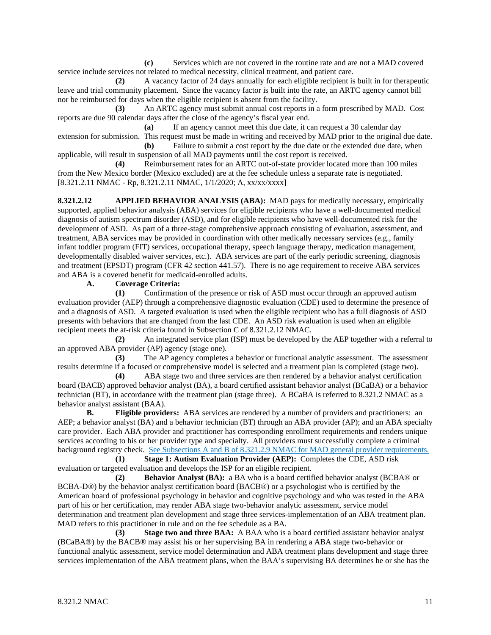**(c)** Services which are not covered in the routine rate and are not a MAD covered service include services not related to medical necessity, clinical treatment, and patient care.

**(2)** A vacancy factor of 24 days annually for each eligible recipient is built in for therapeutic leave and trial community placement. Since the vacancy factor is built into the rate, an ARTC agency cannot bill nor be reimbursed for days when the eligible recipient is absent from the facility.

**(3)** An ARTC agency must submit annual cost reports in a form prescribed by MAD. Cost reports are due 90 calendar days after the close of the agency's fiscal year end.

**(a)** If an agency cannot meet this due date, it can request a 30 calendar day extension for submission. This request must be made in writing and received by MAD prior to the original due date.<br>(b) Failure to submit a cost report by the due date or the extended due date. when Failure to submit a cost report by the due date or the extended due date, when

applicable, will result in suspension of all MAD payments until the cost report is received.

**(4)** Reimbursement rates for an ARTC out-of-state provider located more than 100 miles from the New Mexico border (Mexico excluded) are at the fee schedule unless a separate rate is negotiated. [8.321.2.11 NMAC - Rp, 8.321.2.11 NMAC, 1/1/2020; A, xx/xx/xxxx]

**8.321.2.12 APPLIED BEHAVIOR ANALYSIS (ABA):** MAD pays for medically necessary, empirically supported, applied behavior analysis (ABA) services for eligible recipients who have a well-documented medical diagnosis of autism spectrum disorder (ASD), and for eligible recipients who have well-documented risk for the development of ASD. As part of a three-stage comprehensive approach consisting of evaluation, assessment, and treatment, ABA services may be provided in coordination with other medically necessary services (e.g., family infant toddler program (FIT) services, occupational therapy, speech language therapy, medication management, developmentally disabled waiver services, etc.). ABA services are part of the early periodic screening, diagnosis and treatment (EPSDT) program (CFR 42 section 441.57). There is no age requirement to receive ABA services and ABA is a covered benefit for medicaid-enrolled adults.

# **A. Coverage Criteria:**

**(1)** Confirmation of the presence or risk of ASD must occur through an approved autism evaluation provider (AEP) through a comprehensive diagnostic evaluation (CDE) used to determine the presence of and a diagnosis of ASD. A targeted evaluation is used when the eligible recipient who has a full diagnosis of ASD presents with behaviors that are changed from the last CDE. An ASD risk evaluation is used when an eligible recipient meets the at-risk criteria found in Subsection C of 8.321.2.12 NMAC.

**(2)** An integrated service plan (ISP) must be developed by the AEP together with a referral to an approved ABA provider (AP) agency (stage one).

**(3)** The AP agency completes a behavior or functional analytic assessment. The assessment results determine if a focused or comprehensive model is selected and a treatment plan is completed (stage two).

**(4)** ABA stage two and three services are then rendered by a behavior analyst certification board (BACB) approved behavior analyst (BA), a board certified assistant behavior analyst (BCaBA) or a behavior technician (BT), in accordance with the treatment plan (stage three). A BCaBA is referred to 8.321.2 NMAC as a behavior analyst assistant (BAA).

**B. Eligible providers:** ABA services are rendered by a number of providers and practitioners: an AEP; a behavior analyst (BA) and a behavior technician (BT) through an ABA provider (AP); and an ABA specialty care provider. Each ABA provider and practitioner has corresponding enrollment requirements and renders unique services according to his or her provider type and specialty. All providers must successfully complete a criminal background registry check. See Subsections A and B of 8.321.2.9 NMAC for MAD general provider requirements.

**(1) Stage 1: Autism Evaluation Provider (AEP):** Completes the CDE, ASD risk evaluation or targeted evaluation and develops the ISP for an eligible recipient.

**(2) Behavior Analyst (BA):** a BA who is a board certified behavior analyst (BCBA® or BCBA-D®) by the behavior analyst certification board (BACB®) or a psychologist who is certified by the American board of professional psychology in behavior and cognitive psychology and who was tested in the ABA part of his or her certification, may render ABA stage two-behavior analytic assessment, service model determination and treatment plan development and stage three services-implementation of an ABA treatment plan. MAD refers to this practitioner in rule and on the fee schedule as a BA.

**(3) Stage two and three BAA:** A BAA who is a board certified assistant behavior analyst (BCaBA®) by the BACB® may assist his or her supervising BA in rendering a ABA stage two-behavior or functional analytic assessment, service model determination and ABA treatment plans development and stage three services implementation of the ABA treatment plans, when the BAA's supervising BA determines he or she has the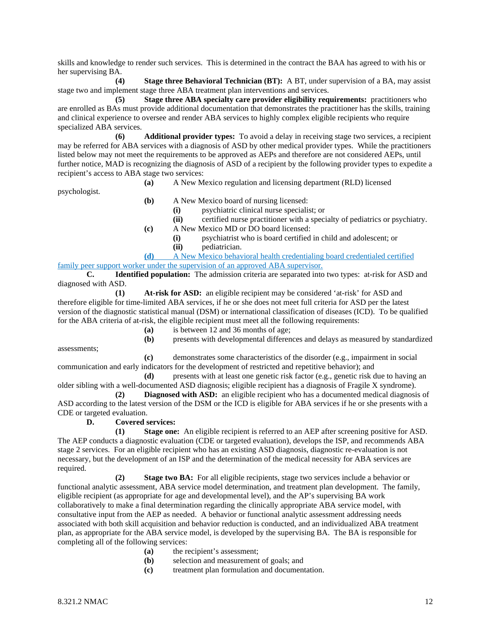skills and knowledge to render such services. This is determined in the contract the BAA has agreed to with his or her supervising BA.

**(4) Stage three Behavioral Technician (BT):** A BT, under supervision of a BA, may assist stage two and implement stage three ABA treatment plan interventions and services.

**(5) Stage three ABA specialty care provider eligibility requirements:** practitioners who are enrolled as BAs must provide additional documentation that demonstrates the practitioner has the skills, training and clinical experience to oversee and render ABA services to highly complex eligible recipients who require specialized ABA services.

**(6) Additional provider types:** To avoid a delay in receiving stage two services, a recipient may be referred for ABA services with a diagnosis of ASD by other medical provider types. While the practitioners listed below may not meet the requirements to be approved as AEPs and therefore are not considered AEPs, until further notice, MAD is recognizing the diagnosis of ASD of a recipient by the following provider types to expedite a recipient's access to ABA stage two services:

**(a)** A New Mexico regulation and licensing department (RLD) licensed

psychologist.

- **(b)** A New Mexico board of nursing licensed:
	- **(i)** psychiatric clinical nurse specialist; or
	- **(ii)** certified nurse practitioner with a specialty of pediatrics or psychiatry.
- **(c)** A New Mexico MD or DO board licensed:
	- (i) psychiatrist who is board certified in child and adolescent; or pediatrician.
		- **(ii)** pediatrician.
- **(d)** A New Mexico behavioral health credentialing board credentialed certified family peer support worker under the supervision of an approved ABA supervisor.

**C. Identified population:** The admission criteria are separated into two types: at-risk for ASD and diagnosed with ASD.

**(1) At-risk for ASD:** an eligible recipient may be considered 'at-risk' for ASD and therefore eligible for time-limited ABA services, if he or she does not meet full criteria for ASD per the latest version of the diagnostic statistical manual (DSM) or international classification of diseases (ICD). To be qualified for the ABA criteria of at-risk, the eligible recipient must meet all the following requirements:

**(a)** is between 12 and 36 months of age;

**(b)** presents with developmental differences and delays as measured by standardized

assessments;

**(c)** demonstrates some characteristics of the disorder (e.g., impairment in social communication and early indicators for the development of restricted and repetitive behavior); and

**(d)** presents with at least one genetic risk factor (e.g., genetic risk due to having an older sibling with a well-documented ASD diagnosis; eligible recipient has a diagnosis of Fragile X syndrome).

**(2) Diagnosed with ASD:** an eligible recipient who has a documented medical diagnosis of ASD according to the latest version of the DSM or the ICD is eligible for ABA services if he or she presents with a CDE or targeted evaluation.

**D. Covered services:**

**(1) Stage one:** An eligible recipient is referred to an AEP after screening positive for ASD. The AEP conducts a diagnostic evaluation (CDE or targeted evaluation), develops the ISP, and recommends ABA stage 2 services. For an eligible recipient who has an existing ASD diagnosis, diagnostic re-evaluation is not necessary, but the development of an ISP and the determination of the medical necessity for ABA services are required.

**(2) Stage two BA:** For all eligible recipients, stage two services include a behavior or functional analytic assessment, ABA service model determination, and treatment plan development. The family, eligible recipient (as appropriate for age and developmental level), and the AP's supervising BA work collaboratively to make a final determination regarding the clinically appropriate ABA service model, with consultative input from the AEP as needed. A behavior or functional analytic assessment addressing needs associated with both skill acquisition and behavior reduction is conducted, and an individualized ABA treatment plan, as appropriate for the ABA service model, is developed by the supervising BA. The BA is responsible for completing all of the following services:

- **(a)** the recipient's assessment;
- **(b)** selection and measurement of goals; and
- **(c)** treatment plan formulation and documentation.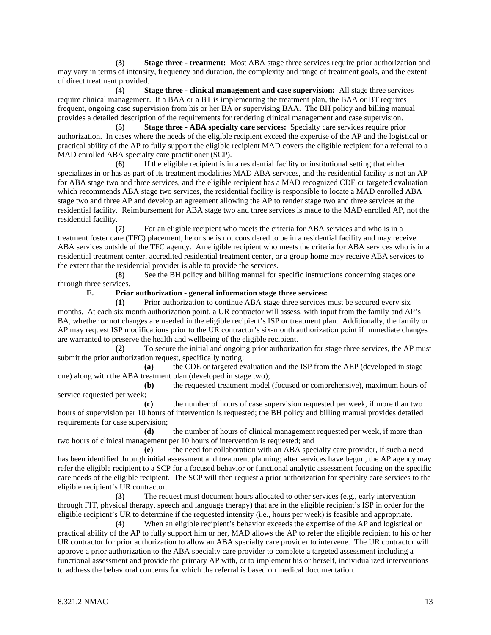**(3) Stage three - treatment:** Most ABA stage three services require prior authorization and may vary in terms of intensity, frequency and duration, the complexity and range of treatment goals, and the extent of direct treatment provided.

**(4) Stage three - clinical management and case supervision:** All stage three services require clinical management. If a BAA or a BT is implementing the treatment plan, the BAA or BT requires frequent, ongoing case supervision from his or her BA or supervising BAA. The BH policy and billing manual provides a detailed description of the requirements for rendering clinical management and case supervision.

**(5) Stage three - ABA specialty care services:** Specialty care services require prior authorization. In cases where the needs of the eligible recipient exceed the expertise of the AP and the logistical or practical ability of the AP to fully support the eligible recipient MAD covers the eligible recipient for a referral to a MAD enrolled ABA specialty care practitioner (SCP).

**(6)** If the eligible recipient is in a residential facility or institutional setting that either specializes in or has as part of its treatment modalities MAD ABA services, and the residential facility is not an AP for ABA stage two and three services, and the eligible recipient has a MAD recognized CDE or targeted evaluation which recommends ABA stage two services, the residential facility is responsible to locate a MAD enrolled ABA stage two and three AP and develop an agreement allowing the AP to render stage two and three services at the residential facility. Reimbursement for ABA stage two and three services is made to the MAD enrolled AP, not the residential facility.

**(7)** For an eligible recipient who meets the criteria for ABA services and who is in a treatment foster care (TFC) placement, he or she is not considered to be in a residential facility and may receive ABA services outside of the TFC agency. An eligible recipient who meets the criteria for ABA services who is in a residential treatment center, accredited residential treatment center, or a group home may receive ABA services to the extent that the residential provider is able to provide the services.

**(8)** See the BH policy and billing manual for specific instructions concerning stages one through three services.

**E. Prior authorization - general information stage three services:**

**(1)** Prior authorization to continue ABA stage three services must be secured every six months. At each six month authorization point, a UR contractor will assess, with input from the family and AP's BA, whether or not changes are needed in the eligible recipient's ISP or treatment plan. Additionally, the family or AP may request ISP modifications prior to the UR contractor's six-month authorization point if immediate changes are warranted to preserve the health and wellbeing of the eligible recipient.

**(2)** To secure the initial and ongoing prior authorization for stage three services, the AP must submit the prior authorization request, specifically noting:

**(a)** the CDE or targeted evaluation and the ISP from the AEP (developed in stage one) along with the ABA treatment plan (developed in stage two);

**(b)** the requested treatment model (focused or comprehensive), maximum hours of service requested per week;

**(c)** the number of hours of case supervision requested per week, if more than two hours of supervision per 10 hours of intervention is requested; the BH policy and billing manual provides detailed requirements for case supervision;

**(d)** the number of hours of clinical management requested per week, if more than two hours of clinical management per 10 hours of intervention is requested; and

**(e)** the need for collaboration with an ABA specialty care provider, if such a need has been identified through initial assessment and treatment planning; after services have begun, the AP agency may refer the eligible recipient to a SCP for a focused behavior or functional analytic assessment focusing on the specific care needs of the eligible recipient. The SCP will then request a prior authorization for specialty care services to the eligible recipient's UR contractor.

**(3)** The request must document hours allocated to other services (e.g., early intervention through FIT, physical therapy, speech and language therapy) that are in the eligible recipient's ISP in order for the eligible recipient's UR to determine if the requested intensity (i.e., hours per week) is feasible and appropriate.

**(4)** When an eligible recipient's behavior exceeds the expertise of the AP and logistical or practical ability of the AP to fully support him or her, MAD allows the AP to refer the eligible recipient to his or her UR contractor for prior authorization to allow an ABA specialty care provider to intervene. The UR contractor will approve a prior authorization to the ABA specialty care provider to complete a targeted assessment including a functional assessment and provide the primary AP with, or to implement his or herself, individualized interventions to address the behavioral concerns for which the referral is based on medical documentation.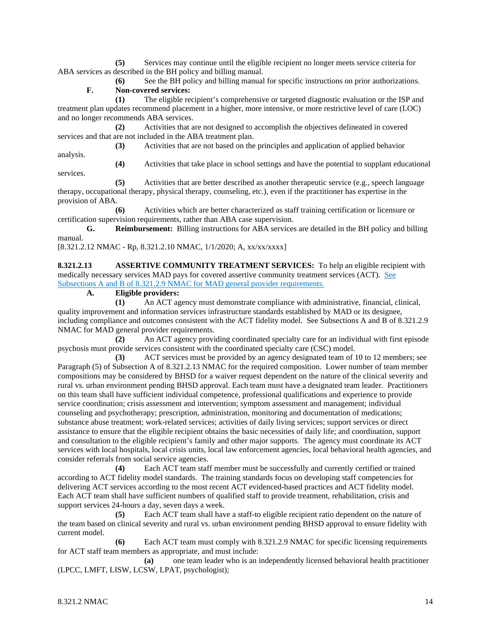**(5)** Services may continue until the eligible recipient no longer meets service criteria for ABA services as described in the BH policy and billing manual.

**(6)** See the BH policy and billing manual for specific instructions on prior authorizations. **F. Non-covered services:**

**(1)** The eligible recipient's comprehensive or targeted diagnostic evaluation or the ISP and treatment plan updates recommend placement in a higher, more intensive, or more restrictive level of care (LOC) and no longer recommends ABA services.

**(2)** Activities that are not designed to accomplish the objectives delineated in covered services and that are not included in the ABA treatment plan.

**(3)** Activities that are not based on the principles and application of applied behavior analysis.

services.

**(4)** Activities that take place in school settings and have the potential to supplant educational

**(5)** Activities that are better described as another therapeutic service (e.g., speech language therapy, occupational therapy, physical therapy, counseling, etc.), even if the practitioner has expertise in the provision of ABA.

**(6)** Activities which are better characterized as staff training certification or licensure or certification supervision requirements, rather than ABA case supervision.

**G. Reimbursement:** Billing instructions for ABA services are detailed in the BH policy and billing manual.

[8.321.2.12 NMAC - Rp, 8.321.2.10 NMAC, 1/1/2020; A, xx/xx/xxxx]

**8.321.2.13 ASSERTIVE COMMUNITY TREATMENT SERVICES:** To help an eligible recipient with medically necessary services MAD pays for covered assertive community treatment services (ACT). See Subsections A and B of 8.321.2.9 NMAC for MAD general provider requirements.

**A. Eligible providers:**

**(1)** An ACT agency must demonstrate compliance with administrative, financial, clinical, quality improvement and information services infrastructure standards established by MAD or its designee, including compliance and outcomes consistent with the ACT fidelity model. See Subsections A and B of 8.321.2.9 NMAC for MAD general provider requirements.

**(2)** An ACT agency providing coordinated specialty care for an individual with first episode psychosis must provide services consistent with the coordinated specialty care (CSC) model.

**(3)** ACT services must be provided by an agency designated team of 10 to 12 members; see Paragraph (5) of Subsection A of 8.321.2.13 NMAC for the required composition. Lower number of team member compositions may be considered by BHSD for a waiver request dependent on the nature of the clinical severity and rural vs. urban environment pending BHSD approval. Each team must have a designated team leader. Practitioners on this team shall have sufficient individual competence, professional qualifications and experience to provide service coordination; crisis assessment and intervention; symptom assessment and management; individual counseling and psychotherapy; prescription, administration, monitoring and documentation of medications; substance abuse treatment; work-related services; activities of daily living services; support services or direct assistance to ensure that the eligible recipient obtains the basic necessities of daily life; and coordination, support and consultation to the eligible recipient's family and other major supports. The agency must coordinate its ACT services with local hospitals, local crisis units, local law enforcement agencies, local behavioral health agencies, and consider referrals from social service agencies.

**(4)** Each ACT team staff member must be successfully and currently certified or trained according to ACT fidelity model standards. The training standards focus on developing staff competencies for delivering ACT services according to the most recent ACT evidenced-based practices and ACT fidelity model. Each ACT team shall have sufficient numbers of qualified staff to provide treatment, rehabilitation, crisis and support services 24-hours a day, seven days a week.

**(5)** Each ACT team shall have a staff-to eligible recipient ratio dependent on the nature of the team based on clinical severity and rural vs. urban environment pending BHSD approval to ensure fidelity with current model.

**(6)** Each ACT team must comply with 8.321.2.9 NMAC for specific licensing requirements for ACT staff team members as appropriate, and must include:

**(a)** one team leader who is an independently licensed behavioral health practitioner (LPCC, LMFT, LISW, LCSW, LPAT, psychologist);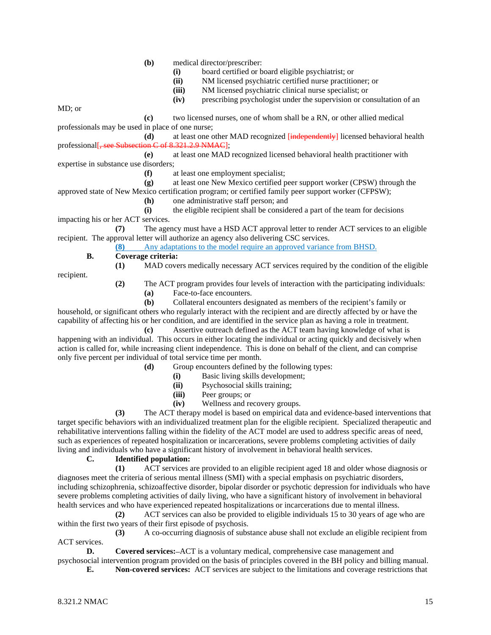**(b)** medical director/prescriber:

- **(i)** board certified or board eligible psychiatrist; or
- **(ii)** NM licensed psychiatric certified nurse practitioner; or
- **(iii)** NM licensed psychiatric clinical nurse specialist; or
- **(iv)** prescribing psychologist under the supervision or consultation of an

MD; or

**(c)** two licensed nurses, one of whom shall be a RN, or other allied medical professionals may be used in place of one nurse;

(d) at least one other MAD recognized [independently] licensed behavioral health on C of 8.321.2.9 NMAC]: professional  $\overline{\phantom{a}}$ , see Subsection C see Subsection C of 8.321.

**(e)** at least one MAD recognized licensed behavioral health practitioner with expertise in substance use disorders;

**(f)** at least one employment specialist;

**(g)** at least one New Mexico certified peer support worker (CPSW) through the approved state of New Mexico certification program; or certified family peer support worker (CFPSW);

**(h)** one administrative staff person; and

**(i)** the eligible recipient shall be considered a part of the team for decisions impacting his or her ACT services.

**(7)** The agency must have a HSD ACT approval letter to render ACT services to an eligible recipient. The approval letter will authorize an agency also delivering CSC services.

**(8)** Any adaptations to the model require an approved variance from BHSD.

#### **B. Coverage criteria: (1)** MAD covers medically necessary ACT services required by the condition of the eligible

recipient.

- **(2)** The ACT program provides four levels of interaction with the participating individuals:
	- **(a)** Face-to-face encounters.

**(b)** Collateral encounters designated as members of the recipient's family or household, or significant others who regularly interact with the recipient and are directly affected by or have the capability of affecting his or her condition, and are identified in the service plan as having a role in treatment.

**(c)** Assertive outreach defined as the ACT team having knowledge of what is happening with an individual. This occurs in either locating the individual or acting quickly and decisively when action is called for, while increasing client independence. This is done on behalf of the client, and can comprise only five percent per individual of total service time per month.

- **(d)** Group encounters defined by the following types:
	- **(i)** Basic living skills development;
	- **(ii)** Psychosocial skills training;
	- **(iii)** Peer groups; or
	- **(iv)** Wellness and recovery groups.

**(3)** The ACT therapy model is based on empirical data and evidence-based interventions that target specific behaviors with an individualized treatment plan for the eligible recipient. Specialized therapeutic and rehabilitative interventions falling within the fidelity of the ACT model are used to address specific areas of need, such as experiences of repeated hospitalization or incarcerations, severe problems completing activities of daily living and individuals who have a significant history of involvement in behavioral health services.

## **C. Identified population:**

**(1)** ACT services are provided to an eligible recipient aged 18 and older whose diagnosis or diagnoses meet the criteria of serious mental illness (SMI) with a special emphasis on psychiatric disorders, including schizophrenia, schizoaffective disorder, bipolar disorder or psychotic depression for individuals who have severe problems completing activities of daily living, who have a significant history of involvement in behavioral health services and who have experienced repeated hospitalizations or incarcerations due to mental illness.

**(2)** ACT services can also be provided to eligible individuals 15 to 30 years of age who are within the first two years of their first episode of psychosis.

**(3)** A co-occurring diagnosis of substance abuse shall not exclude an eligible recipient from ACT services.

**D. Covered services:** ACT is a voluntary medical, comprehensive case management and psychosocial intervention program provided on the basis of principles covered in the BH policy and billing manual.

**E. Non-covered services:** ACT services are subject to the limitations and coverage restrictions that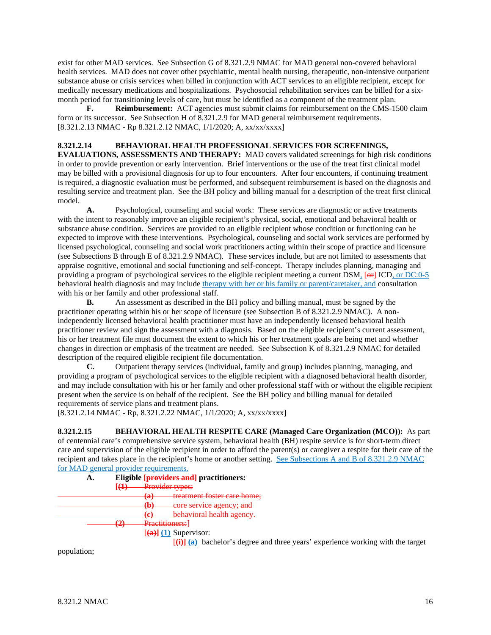exist for other MAD services. See Subsection G of 8.321.2.9 NMAC for MAD general non-covered behavioral health services. MAD does not cover other psychiatric, mental health nursing, therapeutic, non-intensive outpatient substance abuse or crisis services when billed in conjunction with ACT services to an eligible recipient, except for medically necessary medications and hospitalizations. Psychosocial rehabilitation services can be billed for a sixmonth period for transitioning levels of care, but must be identified as a component of the treatment plan.

**F. Reimbursement:** ACT agencies must submit claims for reimbursement on the CMS-1500 claim form or its successor. See Subsection H of 8.321.2.9 for MAD general reimbursement requirements. [8.321.2.13 NMAC - Rp 8.321.2.12 NMAC, 1/1/2020; A, xx/xx/xxxx]

## **8.321.2.14 BEHAVIORAL HEALTH PROFESSIONAL SERVICES FOR SCREENINGS,**

**EVALUATIONS, ASSESSMENTS AND THERAPY:** MAD covers validated screenings for high risk conditions in order to provide prevention or early intervention. Brief interventions or the use of the treat first clinical model may be billed with a provisional diagnosis for up to four encounters. After four encounters, if continuing treatment is required, a diagnostic evaluation must be performed, and subsequent reimbursement is based on the diagnosis and resulting service and treatment plan. See the BH policy and billing manual for a description of the treat first clinical model.

**A.** Psychological, counseling and social work: These services are diagnostic or active treatments with the intent to reasonably improve an eligible recipient's physical, social, emotional and behavioral health or substance abuse condition. Services are provided to an eligible recipient whose condition or functioning can be expected to improve with these interventions. Psychological, counseling and social work services are performed by licensed psychological, counseling and social work practitioners acting within their scope of practice and licensure (see Subsections B through E of 8.321.2.9 NMAC). These services include, but are not limited to assessments that appraise cognitive, emotional and social functioning and self-concept. Therapy includes planning, managing and providing a program of psychological services to the eligible recipient meeting a current DSM,  $\left[\frac{1}{eF}\right]$  ICD, or DC:0-5 behavioral health diagnosis and may include therapy with her or his family or parent/caretaker, and consultation with his or her family and other professional staff.

**B.** An assessment as described in the BH policy and billing manual, must be signed by the practitioner operating within his or her scope of licensure (see Subsection B of 8.321.2.9 NMAC). A nonindependently licensed behavioral health practitioner must have an independently licensed behavioral health practitioner review and sign the assessment with a diagnosis. Based on the eligible recipient's current assessment, his or her treatment file must document the extent to which his or her treatment goals are being met and whether changes in direction or emphasis of the treatment are needed. See Subsection K of 8.321.2.9 NMAC for detailed description of the required eligible recipient file documentation.

**C.** Outpatient therapy services (individual, family and group) includes planning, managing, and providing a program of psychological services to the eligible recipient with a diagnosed behavioral health disorder, and may include consultation with his or her family and other professional staff with or without the eligible recipient present when the service is on behalf of the recipient. See the BH policy and billing manual for detailed requirements of service plans and treatment plans.

[8.321.2.14 NMAC - Rp, 8.321.2.22 NMAC, 1/1/2020; A, xx/xx/xxxx]

**8.321.2.15 BEHAVIORAL HEALTH RESPITE CARE (Managed Care Organization (MCO)):** As part of centennial care's comprehensive service system, behavioral health (BH) respite service is for short-term direct care and supervision of the eligible recipient in order to afford the parent(s) or caregiver a respite for their care of the recipient and takes place in the recipient's home or another setting. See Subsections A and B of 8.321.2.9 NMAC for MAD general provider requirements.<br>A. Eligible [providers an



[**(i)] (a)** bachelor's degree and three years' experience working with the target

population;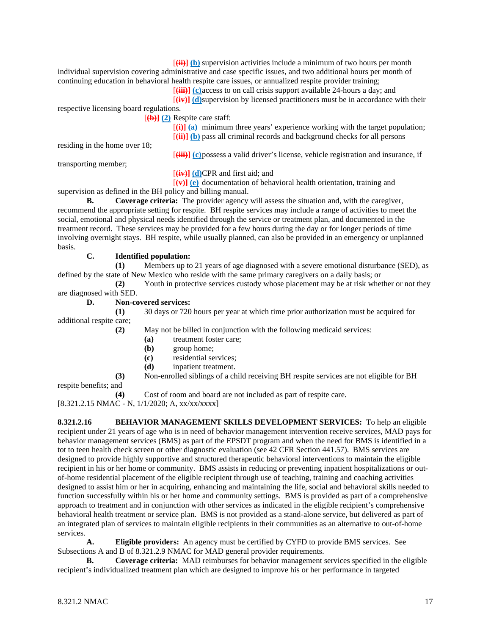[**(ii)] (b)** supervision activities include a minimum of two hours per month individual supervision covering administrative and case specific issues, and two additional hours per month of continuing education in behavioral health respite care issues, or annualized respite provider training;

[**(iii)] (c)**access to on call crisis support available 24-hours a day; and

[**(iv)] (d)**supervision by licensed practitioners must be in accordance with their

respective licensing board regulations.

[**(b)] (2)** Respite care staff:

[**(i)] (a)** minimum three years' experience working with the target population; [**(ii)] (b)** pass all criminal records and background checks for all persons

residing in the home over 18;

[**(iii)] (c)**possess a valid driver's license, vehicle registration and insurance, if

transporting member;

[**(iv)] (d)**CPR and first aid; and

[**(v)] (e)** documentation of behavioral health orientation, training and supervision as defined in the BH policy and billing manual.

**B. Coverage criteria:** The provider agency will assess the situation and, with the caregiver, recommend the appropriate setting for respite. BH respite services may include a range of activities to meet the social, emotional and physical needs identified through the service or treatment plan, and documented in the treatment record. These services may be provided for a few hours during the day or for longer periods of time involving overnight stays. BH respite, while usually planned, can also be provided in an emergency or unplanned basis.

# **C. Identified population:**

**(1)** Members up to 21 years of age diagnosed with a severe emotional disturbance (SED), as defined by the state of New Mexico who reside with the same primary caregivers on a daily basis; or

**(2)** Youth in protective services custody whose placement may be at risk whether or not they

are diagnosed with SED.

**D. Non-covered services:**

**(1)** 30 days or 720 hours per year at which time prior authorization must be acquired for additional respite care;

**(2)** May not be billed in conjunction with the following medicaid services:

- **(a)** treatment foster care;
- **(b)** group home;
- **(c)** residential services;
- **(d)** inpatient treatment.

**(3)** Non-enrolled siblings of a child receiving BH respite services are not eligible for BH

respite benefits; and

**(4)** Cost of room and board are not included as part of respite care.

[8.321.2.15 NMAC - N, 1/1/2020; A, xx/xx/xxxx]

**8.321.2.16 BEHAVIOR MANAGEMENT SKILLS DEVELOPMENT SERVICES:** To help an eligible recipient under 21 years of age who is in need of behavior management intervention receive services, MAD pays for behavior management services (BMS) as part of the EPSDT program and when the need for BMS is identified in a tot to teen health check screen or other diagnostic evaluation (see 42 CFR Section 441.57). BMS services are designed to provide highly supportive and structured therapeutic behavioral interventions to maintain the eligible recipient in his or her home or community. BMS assists in reducing or preventing inpatient hospitalizations or outof-home residential placement of the eligible recipient through use of teaching, training and coaching activities designed to assist him or her in acquiring, enhancing and maintaining the life, social and behavioral skills needed to function successfully within his or her home and community settings. BMS is provided as part of a comprehensive approach to treatment and in conjunction with other services as indicated in the eligible recipient's comprehensive behavioral health treatment or service plan. BMS is not provided as a stand-alone service, but delivered as part of an integrated plan of services to maintain eligible recipients in their communities as an alternative to out-of-home services.

**A. Eligible providers:** An agency must be certified by CYFD to provide BMS services. See Subsections A and B of 8.321.2.9 NMAC for MAD general provider requirements.

**B. Coverage criteria:** MAD reimburses for behavior management services specified in the eligible recipient's individualized treatment plan which are designed to improve his or her performance in targeted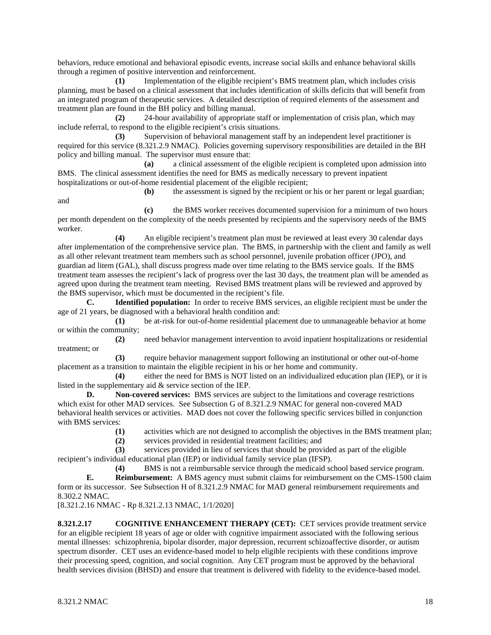behaviors, reduce emotional and behavioral episodic events, increase social skills and enhance behavioral skills through a regimen of positive intervention and reinforcement.

**(1)** Implementation of the eligible recipient's BMS treatment plan, which includes crisis planning, must be based on a clinical assessment that includes identification of skills deficits that will benefit from an integrated program of therapeutic services. A detailed description of required elements of the assessment and treatment plan are found in the BH policy and billing manual.

**(2)** 24-hour availability of appropriate staff or implementation of crisis plan, which may include referral, to respond to the eligible recipient's crisis situations.

**(3)** Supervision of behavioral management staff by an independent level practitioner is required for this service (8.321.2.9 NMAC). Policies governing supervisory responsibilities are detailed in the BH policy and billing manual. The supervisor must ensure that:

**(a)** a clinical assessment of the eligible recipient is completed upon admission into BMS. The clinical assessment identifies the need for BMS as medically necessary to prevent inpatient hospitalizations or out-of-home residential placement of the eligible recipient;

and

**(b)** the assessment is signed by the recipient or his or her parent or legal guardian;

**(c)** the BMS worker receives documented supervision for a minimum of two hours per month dependent on the complexity of the needs presented by recipients and the supervisory needs of the BMS worker.

**(4)** An eligible recipient's treatment plan must be reviewed at least every 30 calendar days after implementation of the comprehensive service plan. The BMS, in partnership with the client and family as well as all other relevant treatment team members such as school personnel, juvenile probation officer (JPO), and guardian ad litem (GAL), shall discuss progress made over time relating to the BMS service goals. If the BMS treatment team assesses the recipient's lack of progress over the last 30 days, the treatment plan will be amended as agreed upon during the treatment team meeting. Revised BMS treatment plans will be reviewed and approved by the BMS supervisor, which must be documented in the recipient's file.

**C. Identified population:** In order to receive BMS services, an eligible recipient must be under the age of 21 years, be diagnosed with a behavioral health condition and:

**(1)** be at-risk for out-of-home residential placement due to unmanageable behavior at home or within the community;

**(2)** need behavior management intervention to avoid inpatient hospitalizations or residential treatment; or

**(3)** require behavior management support following an institutional or other out-of-home placement as a transition to maintain the eligible recipient in his or her home and community.

**(4)** either the need for BMS is NOT listed on an individualized education plan (IEP), or it is listed in the supplementary aid & service section of the IEP.

**D. Non-covered services:** BMS services are subject to the limitations and coverage restrictions which exist for other MAD services. See Subsection G of 8.321.2.9 NMAC for general non-covered MAD behavioral health services or activities. MAD does not cover the following specific services billed in conjunction with BMS services:

**(1)** activities which are not designed to accomplish the objectives in the BMS treatment plan;

**(2)** services provided in residential treatment facilities; and

**(3)** services provided in lieu of services that should be provided as part of the eligible recipient's individual educational plan (IEP) or individual family service plan (IFSP).

**(4)** BMS is not a reimbursable service through the medicaid school based service program.

**E. Reimbursement:** A BMS agency must submit claims for reimbursement on the CMS-1500 claim form or its successor. See Subsection H of 8.321.2.9 NMAC for MAD general reimbursement requirements and 8.302.2 NMAC.

[8.321.2.16 NMAC - Rp 8.321.2.13 NMAC, 1/1/2020]

**8.321.2.17 COGNITIVE ENHANCEMENT THERAPY (CET):** CET services provide treatment service for an eligible recipient 18 years of age or older with cognitive impairment associated with the following serious mental illnesses: schizophrenia, bipolar disorder, major depression, recurrent schizoaffective disorder, or autism spectrum disorder. CET uses an evidence-based model to help eligible recipients with these conditions improve their processing speed, cognition, and social cognition. Any CET program must be approved by the behavioral health services division (BHSD) and ensure that treatment is delivered with fidelity to the evidence-based model.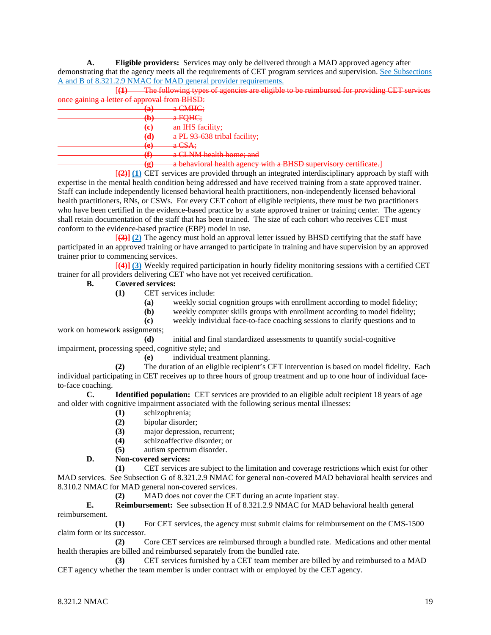**A. Eligible providers:** Services may only be delivered through a MAD approved agency after demonstrating that the agency meets all the requirements of CET program services and supervision. See Subsections A and B of 8.321.2.9 NMAC for MAD general provider requirements.

[**(1)** The following types of agencies are eligible to be reimbursed for providing CET services  $proval$  from BHSD:

| once gaining a retter or approval from Drisd. |                           |                                                                                                                                             |
|-----------------------------------------------|---------------------------|---------------------------------------------------------------------------------------------------------------------------------------------|
| 'െ                                            |                           | <del>a CMHC:</del>                                                                                                                          |
|                                               | 33                        |                                                                                                                                             |
|                                               | $\mathbf{A}$<br>மா        | <del>a FQHC;</del>                                                                                                                          |
|                                               |                           |                                                                                                                                             |
| (c)                                           | $\mathbf{\bullet}$        | an IHS facility;                                                                                                                            |
|                                               | 74 A                      | a PL 93 638 tribal facility;                                                                                                                |
|                                               |                           |                                                                                                                                             |
|                                               | ് പ<br>$\mathbf{\bullet}$ | $\alpha$ CRA $\cdot$<br>$\mathfrak{a}$ $\mathfrak{b}$                                                                                       |
|                                               |                           |                                                                                                                                             |
| /Քነ                                           |                           | a CLNM health home; and                                                                                                                     |
|                                               |                           |                                                                                                                                             |
|                                               | <u>(ar</u><br>57          | a bahavioral haalth agancy with a RHCD cupervisory cortificate<br><del>a ocnavioral neann agency with a DHDD Supervisory certificate.</del> |
|                                               |                           | .                                                                                                                                           |
|                                               |                           |                                                                                                                                             |

[**(2)] (1)** CET services are provided through an integrated interdisciplinary approach by staff with expertise in the mental health condition being addressed and have received training from a state approved trainer. Staff can include independently licensed behavioral health practitioners, non-independently licensed behavioral health practitioners, RNs, or CSWs. For every CET cohort of eligible recipients, there must be two practitioners who have been certified in the evidence-based practice by a state approved trainer or training center. The agency shall retain documentation of the staff that has been trained. The size of each cohort who receives CET must conform to the evidence-based practice (EBP) model in use.

[**(3)] (2)** The agency must hold an approval letter issued by BHSD certifying that the staff have participated in an approved training or have arranged to participate in training and have supervision by an approved trainer prior to commencing services.

[**(4)] (3)** Weekly required participation in hourly fidelity monitoring sessions with a certified CET trainer for all providers delivering CET who have not yet received certification.

## **B. Covered services:**

- **(1)** CET services include:
	- **(a)** weekly social cognition groups with enrollment according to model fidelity;
	- **(b)** weekly computer skills groups with enrollment according to model fidelity;

**(c)** weekly individual face-to-face coaching sessions to clarify questions and to work on homework assignments;

**(d)** initial and final standardized assessments to quantify social-cognitive impairment, processing speed, cognitive style; and

**(e)** individual treatment planning.

**(2)** The duration of an eligible recipient's CET intervention is based on model fidelity. Each individual participating in CET receives up to three hours of group treatment and up to one hour of individual faceto-face coaching.

**C. Identified population:** CET services are provided to an eligible adult recipient 18 years of age and older with cognitive impairment associated with the following serious mental illnesses:

- **(1)** schizophrenia;
- **(2)** bipolar disorder;
- **(3)** major depression, recurrent;
- **(4)** schizoaffective disorder; or
- **(5)** autism spectrum disorder.

## **D. Non-covered services:**

**(1)** CET services are subject to the limitation and coverage restrictions which exist for other MAD services. See Subsection G of 8.321.2.9 NMAC for general non-covered MAD behavioral health services and 8.310.2 NMAC for MAD general non-covered services.

**(2)** MAD does not cover the CET during an acute inpatient stay.

**E. Reimbursement:** See subsection H of 8.321.2.9 NMAC for MAD behavioral health general reimbursement.

**(1)** For CET services, the agency must submit claims for reimbursement on the CMS-1500 claim form or its successor.

**(2)** Core CET services are reimbursed through a bundled rate. Medications and other mental health therapies are billed and reimbursed separately from the bundled rate.

**(3)** CET services furnished by a CET team member are billed by and reimbursed to a MAD CET agency whether the team member is under contract with or employed by the CET agency.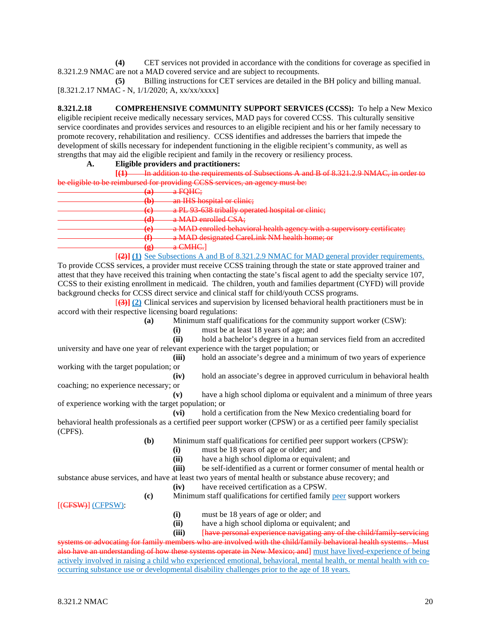**(4)** CET services not provided in accordance with the conditions for coverage as specified in 8.321.2.9 NMAC are not a MAD covered service and are subject to recoupments.

**(5)** Billing instructions for CET services are detailed in the BH policy and billing manual. [8.321.2.17 NMAC - N, 1/1/2020; A, xx/xx/xxxx]

**8.321.2.18 COMPREHENSIVE COMMUNITY SUPPORT SERVICES (CCSS):** To help a New Mexico eligible recipient receive medically necessary services, MAD pays for covered CCSS. This culturally sensitive service coordinates and provides services and resources to an eligible recipient and his or her family necessary to promote recovery, rehabilitation and resiliency. CCSS identifies and addresses the barriers that impede the development of skills necessary for independent functioning in the eligible recipient's community, as well as strengths that may aid the eligible recipient and family in the recovery or resiliency process.

#### **A. Eligible providers and practitioners:**

**[(1)** In addition to the requirements of Subsections A and B of 8.321.2.9 NMAC, in order to

| $\alpha$ FOHC.<br>'ച<br>$\mathfrak{a}$ required.<br>رس<br>an IHS hospital or clinic:<br>ሔ<br>w<br>a PL 93-638 tribally operated hospital or elinie;<br>$\left( \mathbf{a}\right)$<br>$\mathbf{C}$ |
|---------------------------------------------------------------------------------------------------------------------------------------------------------------------------------------------------|
|                                                                                                                                                                                                   |
|                                                                                                                                                                                                   |
|                                                                                                                                                                                                   |
| a MAD enrolled CSA;<br>74)                                                                                                                                                                        |
| a MAD appelled behavioral health agency with a supervisory certificate.<br>ັດ<br><u>u with Devillence collumnu ileului uzoilo y with a supor noon y confineme,</u><br>$\overline{\phantom{a}}$    |
| a MAD designated CareLink NM health home; or<br>/Քነ<br>u.                                                                                                                                         |
| $\Omega$ CMHC<br>(cr.)<br><del>a Civine.</del>                                                                                                                                                    |
| 5<br>$\left[\frac{2}{2}\right]$ (1) See Subsections A and B of 8.321.2.9 NMAC for MAD general provider requirements.                                                                              |

To provide CCSS services, a provider must receive CCSS training through the state or state approved trainer and attest that they have received this training when contacting the state's fiscal agent to add the specialty service 107, CCSS to their existing enrollment in medicaid. The children, youth and families department (CYFD) will provide background checks for CCSS direct service and clinical staff for child/youth CCSS programs.

[**(3)] (2)** Clinical services and supervision by licensed behavioral health practitioners must be in accord with their respective licensing board regulations:

**(a)** Minimum staff qualifications for the community support worker (CSW):

(i) must be at least 18 years of age; and<br>(ii) hold a bachelor's degree in a human

**(ii)** hold a bachelor's degree in a human services field from an accredited university and have one year of relevant experience with the target population; or

**(iii)** hold an associate's degree and a minimum of two years of experience working with the target population; or

**(iv)** hold an associate's degree in approved curriculum in behavioral health coaching; no experience necessary; or

**(v)** have a high school diploma or equivalent and a minimum of three years of experience working with the target population; or

**(vi)** hold a certification from the New Mexico credentialing board for behavioral health professionals as a certified peer support worker (CPSW) or as a certified peer family specialist (CPFS).

**(b)** Minimum staff qualifications for certified peer support workers (CPSW):

(i) must be 18 years of age or older; and<br>(ii) have a high school diploma or equival

- have a high school diploma or equivalent; and
- **(iii)** be self-identified as a current or former consumer of mental health or

substance abuse services, and have at least two years of mental health or substance abuse recovery; and

- **(iv)** have received certification as a CPSW.
- **(c)** Minimum staff qualifications for certified family peer support workers

[(CFSW)] (CFPSW):

- **(i)** must be 18 years of age or older; and
- **(ii)** have a high school diploma or equivalent; and

**(iii)** [have personal experience navigating any of the child/family-servicing

eating for family members who are involved with the child/family behavioral health systems. Must standing of how these systems operate in New Mexico; and must have lived-experience of being actively involved in raising a child who experienced emotional, behavioral, mental health, or mental health with cooccurring substance use or developmental disability challenges prior to the age of 18 years.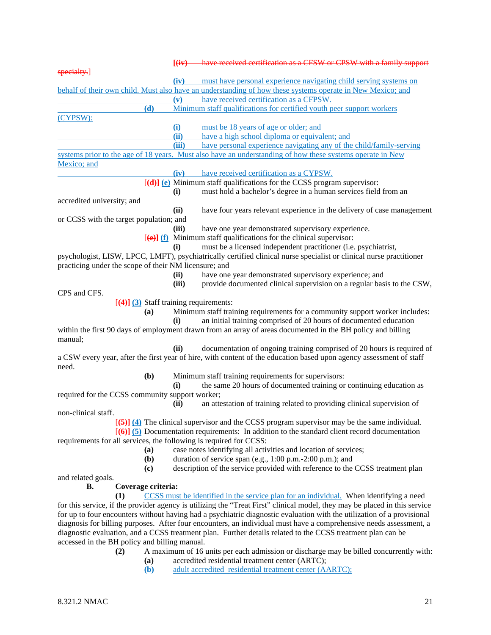|                                                                    |       | [(iv) have received certification as a CFSW or CPSW with a family support                                                                                                                                                                            |
|--------------------------------------------------------------------|-------|------------------------------------------------------------------------------------------------------------------------------------------------------------------------------------------------------------------------------------------------------|
| specialty.                                                         |       |                                                                                                                                                                                                                                                      |
|                                                                    | (iv)  | must have personal experience navigating child serving systems on                                                                                                                                                                                    |
|                                                                    |       | behalf of their own child. Must also have an understanding of how these systems operate in New Mexico; and                                                                                                                                           |
|                                                                    | (v)   | have received certification as a CFPSW.                                                                                                                                                                                                              |
| (d)                                                                |       | Minimum staff qualifications for certified youth peer support workers                                                                                                                                                                                |
| (CYPSW):                                                           |       |                                                                                                                                                                                                                                                      |
|                                                                    | (i)   | must be 18 years of age or older; and                                                                                                                                                                                                                |
|                                                                    | (ii)  | have a high school diploma or equivalent; and                                                                                                                                                                                                        |
|                                                                    | (iii) | have personal experience navigating any of the child/family-serving                                                                                                                                                                                  |
| Mexico; and                                                        |       | systems prior to the age of 18 years. Must also have an understanding of how these systems operate in New                                                                                                                                            |
|                                                                    | (iv)  | have received certification as a CYPSW.                                                                                                                                                                                                              |
|                                                                    |       | $[\textbf{(d)}]$ (e) Minimum staff qualifications for the CCSS program supervisor:                                                                                                                                                                   |
|                                                                    | (i)   | must hold a bachelor's degree in a human services field from an                                                                                                                                                                                      |
| accredited university; and                                         |       |                                                                                                                                                                                                                                                      |
|                                                                    | (ii)  | have four years relevant experience in the delivery of case management                                                                                                                                                                               |
| or CCSS with the target population; and                            |       |                                                                                                                                                                                                                                                      |
|                                                                    | (iii) | have one year demonstrated supervisory experience.                                                                                                                                                                                                   |
|                                                                    |       | $[\text{e}]$ (f) Minimum staff qualifications for the clinical supervisor:                                                                                                                                                                           |
|                                                                    | (i)   | must be a licensed independent practitioner (i.e. psychiatrist,                                                                                                                                                                                      |
|                                                                    |       | psychologist, LISW, LPCC, LMFT), psychiatrically certified clinical nurse specialist or clinical nurse practitioner                                                                                                                                  |
| practicing under the scope of their NM licensure; and              |       |                                                                                                                                                                                                                                                      |
|                                                                    | (ii)  | have one year demonstrated supervisory experience; and                                                                                                                                                                                               |
|                                                                    | (iii) | provide documented clinical supervision on a regular basis to the CSW,                                                                                                                                                                               |
| CPS and CFS.                                                       |       |                                                                                                                                                                                                                                                      |
| $[4]$ $(3)$ Staff training requirements:                           |       |                                                                                                                                                                                                                                                      |
| (a)                                                                | (i)   | Minimum staff training requirements for a community support worker includes:<br>an initial training comprised of 20 hours of documented education                                                                                                    |
|                                                                    |       | within the first 90 days of employment drawn from an array of areas documented in the BH policy and billing                                                                                                                                          |
| manual;                                                            |       |                                                                                                                                                                                                                                                      |
|                                                                    | (ii)  | documentation of ongoing training comprised of 20 hours is required of                                                                                                                                                                               |
| need.                                                              |       | a CSW every year, after the first year of hire, with content of the education based upon agency assessment of staff                                                                                                                                  |
| (b)                                                                |       | Minimum staff training requirements for supervisors:                                                                                                                                                                                                 |
|                                                                    | (i)   | the same 20 hours of documented training or continuing education as                                                                                                                                                                                  |
| required for the CCSS community support worker;                    |       |                                                                                                                                                                                                                                                      |
|                                                                    | (ii)  | an attestation of training related to providing clinical supervision of                                                                                                                                                                              |
| non-clinical staff.                                                |       |                                                                                                                                                                                                                                                      |
|                                                                    |       | $\overline{[65]}$ $\overline{[4]}$ The clinical supervisor and the CCSS program supervisor may be the same individual.                                                                                                                               |
|                                                                    |       | $\left[\left(6\right)\right]$ (5) Documentation requirements: In addition to the standard client record documentation                                                                                                                                |
| requirements for all services, the following is required for CCSS: |       |                                                                                                                                                                                                                                                      |
| (a)                                                                |       | case notes identifying all activities and location of services;                                                                                                                                                                                      |
| ( <b>b</b> )                                                       |       | duration of service span (e.g., 1:00 p.m.-2:00 p.m.); and                                                                                                                                                                                            |
| (c)                                                                |       | description of the service provided with reference to the CCSS treatment plan                                                                                                                                                                        |
| and related goals.                                                 |       |                                                                                                                                                                                                                                                      |
| Coverage criteria:<br>В.                                           |       |                                                                                                                                                                                                                                                      |
| (1)                                                                |       | CCSS must be identified in the service plan for an individual. When identifying a need                                                                                                                                                               |
|                                                                    |       | for this service, if the provider agency is utilizing the "Treat First" clinical model, they may be placed in this service<br>for up to four encounters without having had a psychiatric diagnostic evaluation with the utilization of a provisional |
|                                                                    |       | diagnosis for billing purposes. After four encounters, an individual must have a comprehensive needs assessment, a                                                                                                                                   |
|                                                                    |       | diagnostic evaluation, and a CCSS treatment plan. Further details related to the CCSS treatment plan can be                                                                                                                                          |
| accessed in the BH policy and billing manual.                      |       |                                                                                                                                                                                                                                                      |
| (2)                                                                |       | A maximum of 16 units per each admission or discharge may be billed concurrently with:                                                                                                                                                               |

- **(a)** accredited residential treatment center (ARTC);
- **(b)** adult accredited residential treatment center (AARTC);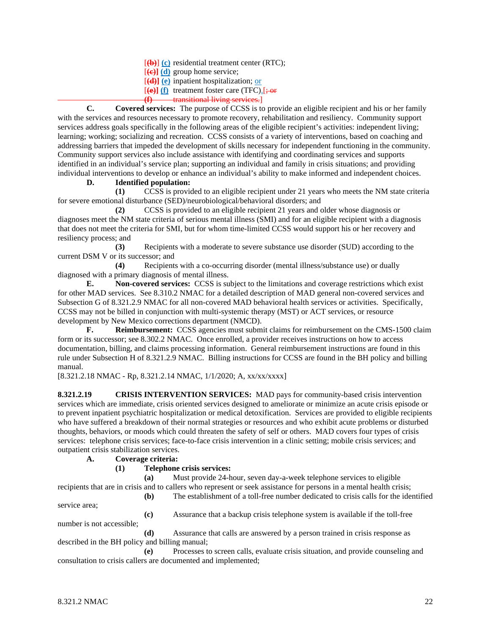[**(b)**] **(c)** residential treatment center (RTC);

[**(c)] (d)** group home service;

[**(d)] (e)** inpatient hospitalization; or

 $[\textbf{e}]$  (f) treatment foster care (TFC). $\div$ **or** 

**(f)** transitional living services.]

**C. Covered services:** The purpose of CCSS is to provide an eligible recipient and his or her family with the services and resources necessary to promote recovery, rehabilitation and resiliency. Community support services address goals specifically in the following areas of the eligible recipient's activities: independent living; learning; working; socializing and recreation. CCSS consists of a variety of interventions, based on coaching and addressing barriers that impeded the development of skills necessary for independent functioning in the community. Community support services also include assistance with identifying and coordinating services and supports identified in an individual's service plan; supporting an individual and family in crisis situations; and providing individual interventions to develop or enhance an individual's ability to make informed and independent choices.

#### **D. Identified population:**

**(1)** CCSS is provided to an eligible recipient under 21 years who meets the NM state criteria for severe emotional disturbance (SED)/neurobiological/behavioral disorders; and

**(2)** CCSS is provided to an eligible recipient 21 years and older whose diagnosis or diagnoses meet the NM state criteria of serious mental illness (SMI) and for an eligible recipient with a diagnosis that does not meet the criteria for SMI, but for whom time-limited CCSS would support his or her recovery and resiliency process; and

**(3)** Recipients with a moderate to severe substance use disorder (SUD) according to the current DSM V or its successor; and

**(4)** Recipients with a co-occurring disorder (mental illness/substance use) or dually diagnosed with a primary diagnosis of mental illness.

**E. Non-covered services:** CCSS is subject to the limitations and coverage restrictions which exist for other MAD services. See 8.310.2 NMAC for a detailed description of MAD general non-covered services and Subsection G of 8.321.2.9 NMAC for all non-covered MAD behavioral health services or activities. Specifically, CCSS may not be billed in conjunction with multi-systemic therapy (MST) or ACT services, or resource development by New Mexico corrections department (NMCD).

**F. Reimbursement:** CCSS agencies must submit claims for reimbursement on the CMS-1500 claim form or its successor; see 8.302.2 NMAC. Once enrolled, a provider receives instructions on how to access documentation, billing, and claims processing information. General reimbursement instructions are found in this rule under Subsection H of 8.321.2.9 NMAC. Billing instructions for CCSS are found in the BH policy and billing manual.

[8.321.2.18 NMAC - Rp, 8.321.2.14 NMAC, 1/1/2020; A, xx/xx/xxxx]

**8.321.2.19 CRISIS INTERVENTION SERVICES:** MAD pays for community-based crisis intervention services which are immediate, crisis oriented services designed to ameliorate or minimize an acute crisis episode or to prevent inpatient psychiatric hospitalization or medical detoxification. Services are provided to eligible recipients who have suffered a breakdown of their normal strategies or resources and who exhibit acute problems or disturbed thoughts, behaviors, or moods which could threaten the safety of self or others. MAD covers four types of crisis services: telephone crisis services; face-to-face crisis intervention in a clinic setting; mobile crisis services; and outpatient crisis stabilization services.

**A. Coverage criteria:**

## **(1) Telephone crisis services:**

**(a)** Must provide 24-hour, seven day-a-week telephone services to eligible recipients that are in crisis and to callers who represent or seek assistance for persons in a mental health crisis;

**(b)** The establishment of a toll-free number dedicated to crisis calls for the identified

service area;

**(c)** Assurance that a backup crisis telephone system is available if the toll-free

number is not accessible;

**(d)** Assurance that calls are answered by a person trained in crisis response as described in the BH policy and billing manual;

**(e)** Processes to screen calls, evaluate crisis situation, and provide counseling and consultation to crisis callers are documented and implemented;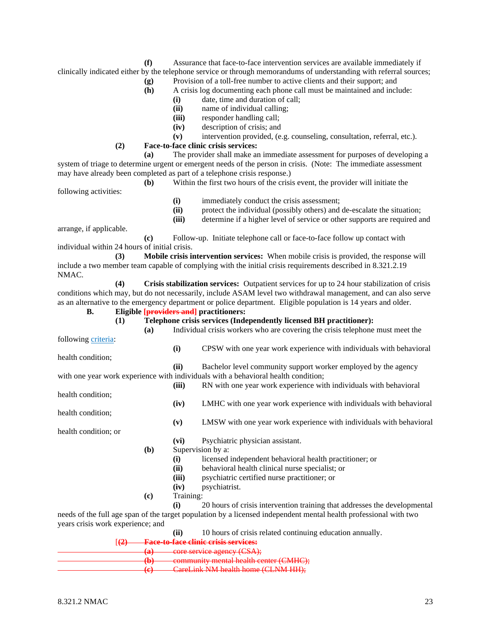- **(f)** Assurance that face-to-face intervention services are available immediately if clinically indicated either by the telephone service or through memorandums of understanding with referral sources;
	- **(g)** Provision of a toll-free number to active clients and their support; and
	- **(h)** A crisis log documenting each phone call must be maintained and include:
		- **(i)** date, time and duration of call;
		- **(ii)** name of individual calling;
		- **(iii)** responder handling call;
		- **(iv)** description of crisis; and
		- intervention provided, (e.g. counseling, consultation, referral, etc.).
	- **(2) Face-to-face clinic crisis services:**

**(a)** The provider shall make an immediate assessment for purposes of developing a system of triage to determine urgent or emergent needs of the person in crisis. (Note: The immediate assessment may have already been completed as part of a telephone crisis response.)

|                       | Within the first two hours of the crisis event, the provider will initiate the |
|-----------------------|--------------------------------------------------------------------------------|
| following activities: |                                                                                |

- **(i)** immediately conduct the crisis assessment;
- **(ii)** protect the individual (possibly others) and de-escalate the situation;
- **(iii)** determine if a higher level of service or other supports are required and

arrange, if applicable.

**(c)** Follow-up. Initiate telephone call or face-to-face follow up contact with individual within 24 hours of initial crisis.

**(3) Mobile crisis intervention services:** When mobile crisis is provided, the response will include a two member team capable of complying with the initial crisis requirements described in 8.321.2.19 NMAC.

**(4) Crisis stabilization services:** Outpatient services for up to 24 hour stabilization of crisis conditions which may, but do not necessarily, include ASAM level two withdrawal management, and can also serve as an alternative to the emergency department or police department. Eligible population is 14 years and older.

**B. Eligible [providers and] practitioners:**

**(1) Telephone crisis services (Independently licensed BH practitioner):**

**(a)** Individual crisis workers who are covering the crisis telephone must meet the following criteria: **(i)** CPSW with one year work experience with individuals with behavioral health condition; **(ii)** Bachelor level community support worker employed by the agency with one year work experience with individuals with a behavioral health condition; **(iii)** RN with one year work experience with individuals with behavioral health condition; **(iv)** LMHC with one year work experience with individuals with behavioral health condition; **(v)** LMSW with one year work experience with individuals with behavioral health condition; or **(vi)** Psychiatric physician assistant. **(b)** Supervision by a: **(i)** licensed independent behavioral health practitioner; or (ii) behavioral health clinical nurse specialist; or<br> **(iii)** bsychiatric certified nurse practitioner; or **(iii)** psychiatric certified nurse practitioner; or **(iv)** psychiatrist. **(c)** Training: **(i)** 20 hours of crisis intervention training that addresses the developmental needs of the full age span of the target population by a licensed independent mental health professional with two years crisis work experience; and

**(ii)** 10 hours of crisis related continuing education annually. [**(2) Face-to-face clinic crisis services: (a)** core service agency (CSA); **(b)** community mental health center (CMHC); **(c)** CareLink NM health home (CLNM HH);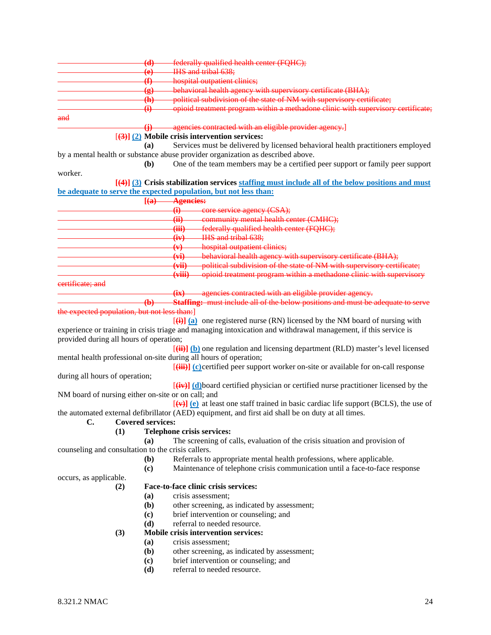|                                                    | $\mathbf{(d)}$               | federally qualified health center (FQHC);                                                                                                                      |
|----------------------------------------------------|------------------------------|----------------------------------------------------------------------------------------------------------------------------------------------------------------|
|                                                    | $\left($ e $\right)$         | IHS and tribal 638:                                                                                                                                            |
|                                                    | $\bigoplus$                  | hospital outpatient clinics;                                                                                                                                   |
|                                                    | $\left( \bf{g} \right)$      | behavioral health agency with supervisory certificate (BHA);                                                                                                   |
|                                                    | $\langle \mathbf{h} \rangle$ | political subdivision of the state of NM with supervisory certificate;                                                                                         |
|                                                    | $\ddot{\mathbf{H}}$          | opioid treatment program within a methadone clinic with supervisory certificate;                                                                               |
| and                                                |                              |                                                                                                                                                                |
|                                                    | ⊕                            | -agencies contracted with an eligible provider agency.]<br>$[\frac{3}{3}]$ (2) Mobile crisis intervention services:                                            |
|                                                    | (a)                          | Services must be delivered by licensed behavioral health practitioners employed                                                                                |
|                                                    |                              | by a mental health or substance abuse provider organization as described above.                                                                                |
|                                                    | (b)                          | One of the team members may be a certified peer support or family peer support                                                                                 |
| worker.                                            |                              |                                                                                                                                                                |
|                                                    |                              | [(4)] (3) Crisis stabilization services staffing must include all of the below positions and must                                                              |
|                                                    |                              | be adequate to serve the expected population, but not less than:                                                                                               |
|                                                    |                              | [(a) Agencies:                                                                                                                                                 |
|                                                    |                              | (i) core service agency (CSA);                                                                                                                                 |
|                                                    |                              | community mental health center (CMHC);<br>$\overline{4i}$                                                                                                      |
|                                                    |                              | (iii)<br>federally qualified health center (FQHC);                                                                                                             |
|                                                    |                              | $(iv)$ IHS and tribal $638$ ;                                                                                                                                  |
|                                                    |                              | hospital outpatient clinies;<br>(v)                                                                                                                            |
|                                                    |                              | (vi) behavioral health agency with supervisory certificate (BHA);<br>political subdivision of the state of NM with supervisory certificate;                    |
|                                                    |                              | $(\overline{\text{vii}})$<br>opioid treatment program within a methadone clinic with supervisory<br><del>(viii)</del>                                          |
| eertificate; and                                   |                              |                                                                                                                                                                |
|                                                    |                              | (ix) agencies contracted with an eligible provider agency.                                                                                                     |
|                                                    | (b)                          | Staffing: must include all of the below positions and must be adequate to serve                                                                                |
| the expected population, but not less than:]       |                              |                                                                                                                                                                |
|                                                    |                              | $\overline{(\mathbf{\Theta})}$ (a) one registered nurse (RN) licensed by the NM board of nursing with                                                          |
|                                                    |                              | experience or training in crisis triage and managing intoxication and withdrawal management, if this service is                                                |
| provided during all hours of operation;            |                              |                                                                                                                                                                |
|                                                    |                              | $[\overrightarrow{\textbf{(ii)}}]$ (b) one regulation and licensing department (RLD) master's level licensed                                                   |
|                                                    |                              | mental health professional on-site during all hours of operation;                                                                                              |
|                                                    |                              | $[\textbf{f} \cdot \textbf{f} \cdot \textbf{f} \cdot \textbf{f} \cdot \textbf{f}]$ (c) certified peer support worker on-site or available for on-call response |
| during all hours of operation;                     |                              |                                                                                                                                                                |
|                                                    |                              | $\overline{f(x)}$ (d) board certified physician or certified nurse practitioner licensed by the                                                                |
| NM board of nursing either on-site or on call; and |                              |                                                                                                                                                                |
|                                                    |                              | $[\overline{(+)}]$ (e) at least one staff trained in basic cardiac life support (BCLS), the use of                                                             |
| C.                                                 | <b>Covered services:</b>     | the automated external defibrillator (AED) equipment, and first aid shall be on duty at all times.                                                             |
| (1)                                                |                              | Telephone crisis services:                                                                                                                                     |
|                                                    | (a)                          | The screening of calls, evaluation of the crisis situation and provision of                                                                                    |
| counseling and consultation to the crisis callers. |                              |                                                                                                                                                                |
|                                                    | (b)                          | Referrals to appropriate mental health professions, where applicable.                                                                                          |
|                                                    | (c)                          | Maintenance of telephone crisis communication until a face-to-face response                                                                                    |
| occurs, as applicable.                             |                              |                                                                                                                                                                |
| (2)                                                |                              | Face-to-face clinic crisis services:                                                                                                                           |
|                                                    | (a)                          | crisis assessment;                                                                                                                                             |
|                                                    | (b)                          | other screening, as indicated by assessment;                                                                                                                   |
|                                                    | $\left( \mathbf{c}\right)$   | brief intervention or counseling; and                                                                                                                          |
|                                                    | (d)                          | referral to needed resource.                                                                                                                                   |
| (3)                                                |                              | Mobile crisis intervention services:                                                                                                                           |
|                                                    | (a)                          | crisis assessment;                                                                                                                                             |
|                                                    | (b)                          | other screening, as indicated by assessment;                                                                                                                   |
|                                                    | (c)                          | brief intervention or counseling; and                                                                                                                          |
|                                                    | (d)                          | referral to needed resource.                                                                                                                                   |
|                                                    |                              |                                                                                                                                                                |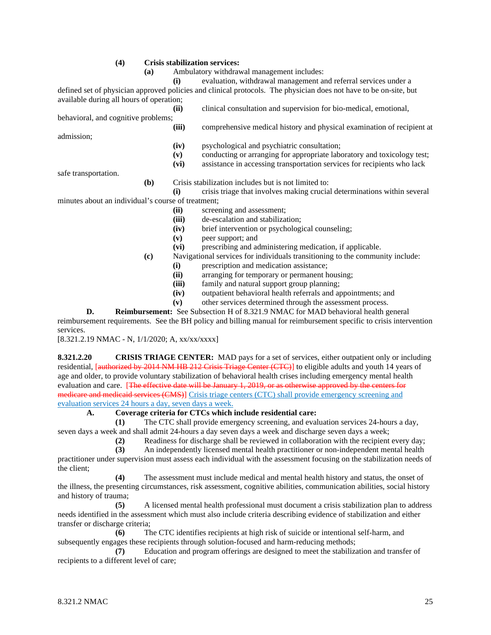#### **(4) Crisis stabilization services:**

**(a)** Ambulatory withdrawal management includes:

**(i)** evaluation, withdrawal management and referral services under a defined set of physician approved policies and clinical protocols. The physician does not have to be on-site, but available during all hours of operation;

**(ii)** clinical consultation and supervision for bio-medical, emotional, behavioral, and cognitive problems; **(iii)** comprehensive medical history and physical examination of recipient at admission; **(iv)** psychological and psychiatric consultation; **(v)** conducting or arranging for appropriate laboratory and toxicology test; **(vi)** assistance in accessing transportation services for recipients who lack

safe transportation.

**(b)** Crisis stabilization includes but is not limited to:

- **(i)** crisis triage that involves making crucial determinations within several minutes about an individual's course of treatment;
	- **(ii)** screening and assessment;
	- **(iii)** de-escalation and stabilization;
	- **(iv)** brief intervention or psychological counseling;
	- **(v)** peer support; and
	- **(vi)** prescribing and administering medication, if applicable.
	- **(c)** Navigational services for individuals transitioning to the community include:
		- (i) prescription and medication assistance;<br>(ii) arranging for temporary or permanent h
		- arranging for temporary or permanent housing;
		- **(iii)** family and natural support group planning;
		- **(iv)** outpatient behavioral health referrals and appointments; and
		- **(v)** other services determined through the assessment process.

**D. Reimbursement:** See Subsection H of 8.321.9 NMAC for MAD behavioral health general reimbursement requirements. See the BH policy and billing manual for reimbursement specific to crisis intervention services.

[8.321.2.19 NMAC - N, 1/1/2020; A, xx/xx/xxxx]

**8.321.2.20 CRISIS TRIAGE CENTER:** MAD pays for a set of services, either outpatient only or including residential, [authorized by 2014 NM HB 212 Crisis Triage Center (CTC)] to eligible adults and youth 14 years of age and older, to provide voluntary stabilization of behavioral health crises including emergency mental health evaluation and care. [The effective date will be January 1, 2019, or as otherwise approved medicare and medicaid services (CMS)] Crisis triage centers (CTC) shall provide emergency screening and evaluation services 24 hours a day, seven days a week.

## **A. Coverage criteria for CTCs which include residential care:**

**(1)** The CTC shall provide emergency screening, and evaluation services 24-hours a day, seven days a week and shall admit 24-hours a day seven days a week and discharge seven days a week;

(2) Readiness for discharge shall be reviewed in collaboration with the recipient every day;<br>(3) An independently licensed mental health practitioner or non-independent mental health

**(3)** An independently licensed mental health practitioner or non-independent mental health

practitioner under supervision must assess each individual with the assessment focusing on the stabilization needs of the client;

**(4)** The assessment must include medical and mental health history and status, the onset of the illness, the presenting circumstances, risk assessment, cognitive abilities, communication abilities, social history and history of trauma;

**(5)** A licensed mental health professional must document a crisis stabilization plan to address needs identified in the assessment which must also include criteria describing evidence of stabilization and either transfer or discharge criteria;

**(6)** The CTC identifies recipients at high risk of suicide or intentional self-harm, and subsequently engages these recipients through solution-focused and harm-reducing methods;

**(7)** Education and program offerings are designed to meet the stabilization and transfer of recipients to a different level of care;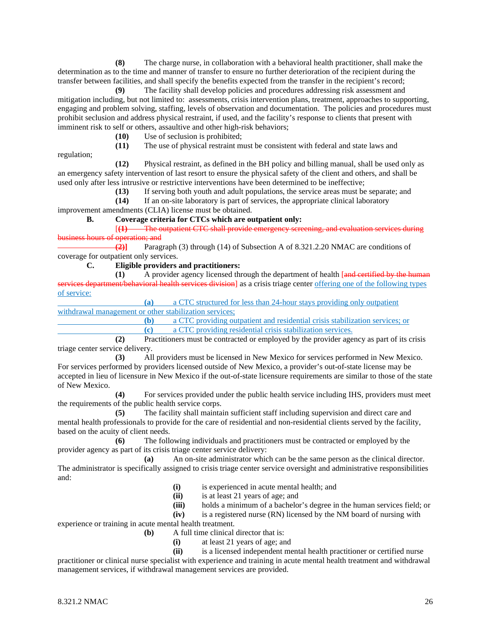**(8)** The charge nurse, in collaboration with a behavioral health practitioner, shall make the determination as to the time and manner of transfer to ensure no further deterioration of the recipient during the transfer between facilities, and shall specify the benefits expected from the transfer in the recipient's record;

**(9)** The facility shall develop policies and procedures addressing risk assessment and mitigation including, but not limited to: assessments, crisis intervention plans, treatment, approaches to supporting, engaging and problem solving, staffing, levels of observation and documentation. The policies and procedures must prohibit seclusion and address physical restraint, if used, and the facility's response to clients that present with imminent risk to self or others, assaultive and other high-risk behaviors;

**(10)** Use of seclusion is prohibited;

The use of physical restraint must be consistent with federal and state laws and

regulation;

**(12)** Physical restraint, as defined in the BH policy and billing manual, shall be used only as an emergency safety intervention of last resort to ensure the physical safety of the client and others, and shall be used only after less intrusive or restrictive interventions have been determined to be ineffective;

**(13)** If serving both youth and adult populations, the service areas must be separate; and

**(14)** If an on-site laboratory is part of services, the appropriate clinical laboratory

improvement amendments (CLIA) license must be obtained.

# **B. Coverage criteria for CTCs which are outpatient only:**

[**(1)** The outpatient CTC shall provide emergency screening, and evaluation services during business hours of operation; and

**(2)]** Paragraph (3) through (14) of Subsection A of 8.321.2.20 NMAC are conditions of coverage for outpatient only services.

**C. Eligible providers and practitioners:**

**(1)** A provider agency licensed through the department of health [and certified by the human ral health services division] as a crisis triage center offering one of the following types of service:

**(a)** a CTC structured for less than 24-hour stays providing only outpatient withdrawal management or other stabilization services;

**(b)** a CTC providing outpatient and residential crisis stabilization services; or **(c)** a CTC providing residential crisis stabilization services.

**(2)** Practitioners must be contracted or employed by the provider agency as part of its crisis triage center service delivery.

**(3)** All providers must be licensed in New Mexico for services performed in New Mexico. For services performed by providers licensed outside of New Mexico, a provider's out-of-state license may be accepted in lieu of licensure in New Mexico if the out-of-state licensure requirements are similar to those of the state of New Mexico.

**(4)** For services provided under the public health service including IHS, providers must meet the requirements of the public health service corps.

**(5)** The facility shall maintain sufficient staff including supervision and direct care and mental health professionals to provide for the care of residential and non-residential clients served by the facility, based on the acuity of client needs.

**(6)** The following individuals and practitioners must be contracted or employed by the provider agency as part of its crisis triage center service delivery:

**(a)** An on-site administrator which can be the same person as the clinical director. The administrator is specifically assigned to crisis triage center service oversight and administrative responsibilities and:

- **(i)** is experienced in acute mental health; and
- **(ii)** is at least 21 years of age; and
- **(iii)** holds a minimum of a bachelor's degree in the human services field; or
- **(iv)** is a registered nurse (RN) licensed by the NM board of nursing with

experience or training in acute mental health treatment.

- **(b)** A full time clinical director that is:
	- (i) at least 21 years of age; and<br>(ii) is a licensed independent me

**(ii)** is a licensed independent mental health practitioner or certified nurse

practitioner or clinical nurse specialist with experience and training in acute mental health treatment and withdrawal management services, if withdrawal management services are provided.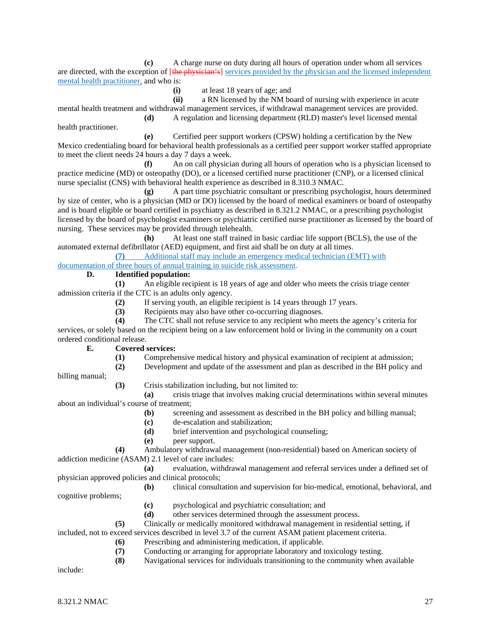**(c)** A charge nurse on duty during all hours of operation under whom all services are directed, with the exception of [the physician's] services provided by the physician and the licensed independent mental health practitioner, and who is:

**(i)** at least 18 years of age; and

**(ii)** a RN licensed by the NM board of nursing with experience in acute

mental health treatment and withdrawal management services, if withdrawal management services are provided. **(d)** A regulation and licensing department (RLD) master's level licensed mental

health practitioner. **(e)** Certified peer support workers (CPSW) holding a certification by the New Mexico credentialing board for behavioral health professionals as a certified peer support worker staffed appropriate to meet the client needs 24 hours a day 7 days a week.

**(f)** An on call physician during all hours of operation who is a physician licensed to practice medicine (MD) or osteopathy (DO), or a licensed certified nurse practitioner (CNP), or a licensed clinical nurse specialist (CNS) with behavioral health experience as described in 8.310.3 NMAC.

**(g)** A part time psychiatric consultant or prescribing psychologist, hours determined by size of center, who is a physician (MD or DO) licensed by the board of medical examiners or board of osteopathy and is board eligible or board certified in psychiatry as described in 8.321.2 NMAC, or a prescribing psychologist licensed by the board of psychologist examiners or psychiatric certified nurse practitioner as licensed by the board of nursing. These services may be provided through telehealth.

**(h)** At least one staff trained in basic cardiac life support (BCLS), the use of the automated external defibrillator (AED) equipment, and first aid shall be on duty at all times.

**(7)** Additional staff may include an emergency medical technician (EMT) with

documentation of three hours of annual training in suicide risk assessment.

# **D. Identified population:**

**(1)** An eligible recipient is 18 years of age and older who meets the crisis triage center admission criteria if the CTC is an adults only agency.

**(2)** If serving youth, an eligible recipient is 14 years through 17 years.

**(3)** Recipients may also have other co-occurring diagnoses.

**(4)** The CTC shall not refuse service to any recipient who meets the agency's criteria for services, or solely based on the recipient being on a law enforcement hold or living in the community on a court ordered conditional release.

## **E. Covered services:**

- **(1)** Comprehensive medical history and physical examination of recipient at admission;
- **(2)** Development and update of the assessment and plan as described in the BH policy and

billing manual;

**(3)** Crisis stabilization including, but not limited to:

**(a)** crisis triage that involves making crucial determinations within several minutes about an individual's course of treatment;

- **(b)** screening and assessment as described in the BH policy and billing manual;
- **(c)** de-escalation and stabilization;
- **(d)** brief intervention and psychological counseling;
- **(e)** peer support.

**(4)** Ambulatory withdrawal management (non-residential) based on American society of addiction medicine (ASAM) 2.1 level of care includes:

**(a)** evaluation, withdrawal management and referral services under a defined set of physician approved policies and clinical protocols;

**(b)** clinical consultation and supervision for bio-medical, emotional, behavioral, and cognitive problems;

- **(c)** psychological and psychiatric consultation; and
- **(d)** other services determined through the assessment process.
- **(5)** Clinically or medically monitored withdrawal management in residential setting, if

included, not to exceed services described in level 3.7 of the current ASAM patient placement criteria.

- **(6)** Prescribing and administering medication, if applicable.
- **(7)** Conducting or arranging for appropriate laboratory and toxicology testing.
- **(8)** Navigational services for individuals transitioning to the community when available

include: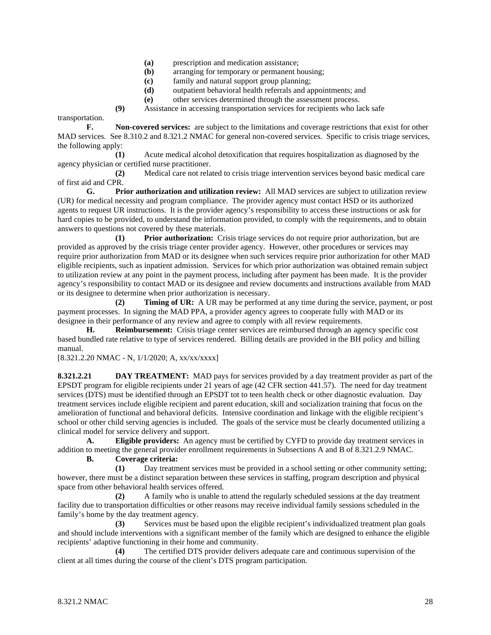- **(a)** prescription and medication assistance;
- **(b)** arranging for temporary or permanent housing;
- **(c)** family and natural support group planning;
- **(d)** outpatient behavioral health referrals and appointments; and
- **(e)** other services determined through the assessment process.

**(9)** Assistance in accessing transportation services for recipients who lack safe

transportation.

**F. Non-covered services:** are subject to the limitations and coverage restrictions that exist for other MAD services. See 8.310.2 and 8.321.2 NMAC for general non-covered services. Specific to crisis triage services, the following apply:

**(1)** Acute medical alcohol detoxification that requires hospitalization as diagnosed by the agency physician or certified nurse practitioner.

**(2)** Medical care not related to crisis triage intervention services beyond basic medical care of first aid and CPR.

**G. Prior authorization and utilization review:** All MAD services are subject to utilization review (UR) for medical necessity and program compliance. The provider agency must contact HSD or its authorized agents to request UR instructions. It is the provider agency's responsibility to access these instructions or ask for hard copies to be provided, to understand the information provided, to comply with the requirements, and to obtain answers to questions not covered by these materials.

**(1) Prior authorization:** Crisis triage services do not require prior authorization, but are provided as approved by the crisis triage center provider agency. However, other procedures or services may require prior authorization from MAD or its designee when such services require prior authorization for other MAD eligible recipients, such as inpatient admission. Services for which prior authorization was obtained remain subject to utilization review at any point in the payment process, including after payment has been made. It is the provider agency's responsibility to contact MAD or its designee and review documents and instructions available from MAD or its designee to determine when prior authorization is necessary.

**(2) Timing of UR:** A UR may be performed at any time during the service, payment, or post payment processes. In signing the MAD PPA, a provider agency agrees to cooperate fully with MAD or its designee in their performance of any review and agree to comply with all review requirements.

**H. Reimbursement:** Crisis triage center services are reimbursed through an agency specific cost based bundled rate relative to type of services rendered. Billing details are provided in the BH policy and billing manual.

[8.321.2.20 NMAC - N, 1/1/2020; A, xx/xx/xxxx]

**8.321.2.21 DAY TREATMENT:** MAD pays for services provided by a day treatment provider as part of the EPSDT program for eligible recipients under 21 years of age (42 CFR section 441.57). The need for day treatment services (DTS) must be identified through an EPSDT tot to teen health check or other diagnostic evaluation. Day treatment services include eligible recipient and parent education, skill and socialization training that focus on the amelioration of functional and behavioral deficits. Intensive coordination and linkage with the eligible recipient's school or other child serving agencies is included. The goals of the service must be clearly documented utilizing a clinical model for service delivery and support.

**A. Eligible providers:** An agency must be certified by CYFD to provide day treatment services in addition to meeting the general provider enrollment requirements in Subsections A and B of 8.321.2.9 NMAC.

**B. Coverage criteria:**

**(1)** Day treatment services must be provided in a school setting or other community setting; however, there must be a distinct separation between these services in staffing, program description and physical space from other behavioral health services offered.

**(2)** A family who is unable to attend the regularly scheduled sessions at the day treatment facility due to transportation difficulties or other reasons may receive individual family sessions scheduled in the family's home by the day treatment agency.

**(3)** Services must be based upon the eligible recipient's individualized treatment plan goals and should include interventions with a significant member of the family which are designed to enhance the eligible recipients' adaptive functioning in their home and community.

**(4)** The certified DTS provider delivers adequate care and continuous supervision of the client at all times during the course of the client's DTS program participation.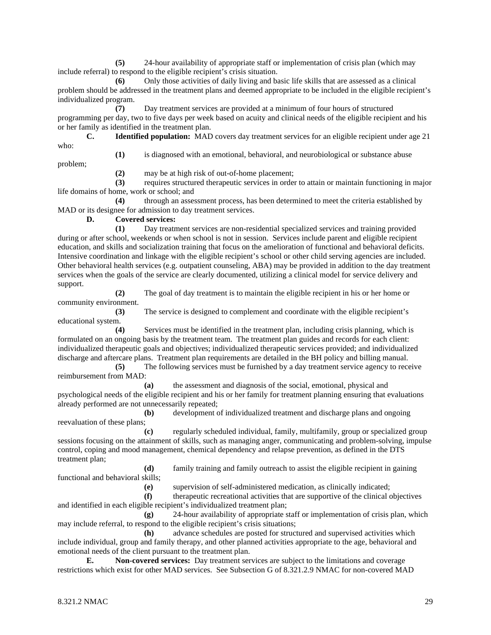**(5)** 24-hour availability of appropriate staff or implementation of crisis plan (which may include referral) to respond to the eligible recipient's crisis situation.

**(6)** Only those activities of daily living and basic life skills that are assessed as a clinical problem should be addressed in the treatment plans and deemed appropriate to be included in the eligible recipient's individualized program.

**(7)** Day treatment services are provided at a minimum of four hours of structured programming per day, two to five days per week based on acuity and clinical needs of the eligible recipient and his or her family as identified in the treatment plan.

**C. Identified population:** MAD covers day treatment services for an eligible recipient under age 21 who:

**(1)** is diagnosed with an emotional, behavioral, and neurobiological or substance abuse

problem;

**(2)** may be at high risk of out-of-home placement;

**(3)** requires structured therapeutic services in order to attain or maintain functioning in major life domains of home, work or school; and

**(4)** through an assessment process, has been determined to meet the criteria established by MAD or its designee for admission to day treatment services.

**D. Covered services:**

**(1)** Day treatment services are non-residential specialized services and training provided during or after school, weekends or when school is not in session. Services include parent and eligible recipient education, and skills and socialization training that focus on the amelioration of functional and behavioral deficits. Intensive coordination and linkage with the eligible recipient's school or other child serving agencies are included. Other behavioral health services (e.g. outpatient counseling, ABA) may be provided in addition to the day treatment services when the goals of the service are clearly documented, utilizing a clinical model for service delivery and support.

**(2)** The goal of day treatment is to maintain the eligible recipient in his or her home or community environment.

**(3)** The service is designed to complement and coordinate with the eligible recipient's educational system.

**(4)** Services must be identified in the treatment plan, including crisis planning, which is formulated on an ongoing basis by the treatment team. The treatment plan guides and records for each client: individualized therapeutic goals and objectives; individualized therapeutic services provided; and individualized discharge and aftercare plans. Treatment plan requirements are detailed in the BH policy and billing manual.

**(5)** The following services must be furnished by a day treatment service agency to receive reimbursement from MAD:

**(a)** the assessment and diagnosis of the social, emotional, physical and psychological needs of the eligible recipient and his or her family for treatment planning ensuring that evaluations already performed are not unnecessarily repeated;

**(b)** development of individualized treatment and discharge plans and ongoing reevaluation of these plans;

**(c)** regularly scheduled individual, family, multifamily, group or specialized group sessions focusing on the attainment of skills, such as managing anger, communicating and problem-solving, impulse control, coping and mood management, chemical dependency and relapse prevention, as defined in the DTS treatment plan;

**(d)** family training and family outreach to assist the eligible recipient in gaining functional and behavioral skills;

**(e)** supervision of self-administered medication, as clinically indicated;

**(f)** therapeutic recreational activities that are supportive of the clinical objectives and identified in each eligible recipient's individualized treatment plan;

**(g)** 24-hour availability of appropriate staff or implementation of crisis plan, which may include referral, to respond to the eligible recipient's crisis situations;

**(h)** advance schedules are posted for structured and supervised activities which include individual, group and family therapy, and other planned activities appropriate to the age, behavioral and emotional needs of the client pursuant to the treatment plan.

**E. Non-covered services:** Day treatment services are subject to the limitations and coverage restrictions which exist for other MAD services. See Subsection G of 8.321.2.9 NMAC for non-covered MAD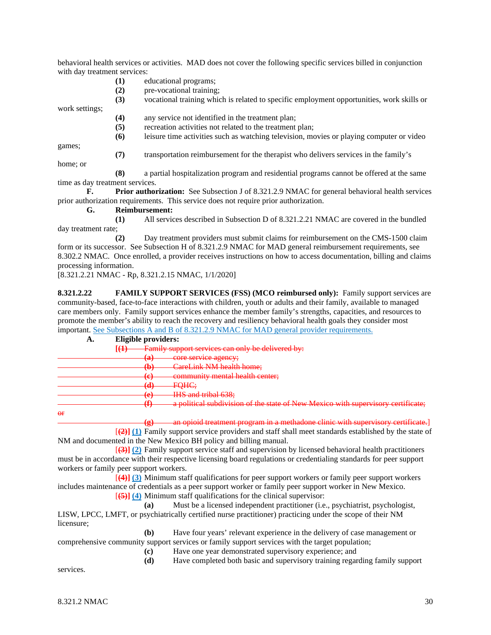behavioral health services or activities. MAD does not cover the following specific services billed in conjunction with day treatment services:

- **(1)** educational programs;
- **(2)** pre-vocational training;

**(3)** vocational training which is related to specific employment opportunities, work skills or work settings;

- **(4)** any service not identified in the treatment plan;
- **(5)** recreation activities not related to the treatment plan;
- **(6)** leisure time activities such as watching television, movies or playing computer or video

games;

**(7)** transportation reimbursement for the therapist who delivers services in the family's

home; or

**(8)** a partial hospitalization program and residential programs cannot be offered at the same time as day treatment services.

**F. Prior authorization:** See Subsection J of 8.321.2.9 NMAC for general behavioral health services prior authorization requirements. This service does not require prior authorization.

**G. Reimbursement:**

**(1)** All services described in Subsection D of 8.321.2.21 NMAC are covered in the bundled day treatment rate;

**(2)** Day treatment providers must submit claims for reimbursement on the CMS-1500 claim form or its successor. See Subsection H of 8.321.2.9 NMAC for MAD general reimbursement requirements, see 8.302.2 NMAC. Once enrolled, a provider receives instructions on how to access documentation, billing and claims processing information.

[8.321.2.21 NMAC - Rp, 8.321.2.15 NMAC, 1/1/2020]

**8.321.2.22 FAMILY SUPPORT SERVICES (FSS) (MCO reimbursed only):** Family support services are community-based, face-to-face interactions with children, youth or adults and their family, available to managed care members only. Family support services enhance the member family's strengths, capacities, and resources to promote the member's ability to reach the recovery and resiliency behavioral health goals they consider most important. See Subsections A and B of 8.321.2.9 NMAC for MAD general provider requirements.

| А.                                      | Eligible providers:                                       |                                                                                  |  |
|-----------------------------------------|-----------------------------------------------------------|----------------------------------------------------------------------------------|--|
|                                         | Family support services can only be delivered by:<br>[(1) |                                                                                  |  |
|                                         | (ል)<br>رىئ                                                | core corvice against<br><del>cole survice agency,</del>                          |  |
|                                         | w                                                         | <b>CareLink NM health home;</b>                                                  |  |
|                                         | ( ຕີ<br>↽                                                 | community mental health center;                                                  |  |
|                                         | 74)<br>53                                                 | EOMC<br><del>r ync,</del>                                                        |  |
|                                         | ് പ<br>~                                                  | $HIR$ and tribal $638$<br><del>nio ang undai 0,30.</del>                         |  |
|                                         | /ቶን<br>œ                                                  | a political subdivision of the state of New Mexico with supervisory certificate; |  |
| $\theta$ <sup><math>\bf{f}</math></sup> |                                                           |                                                                                  |  |

or

an opioid treatment program in a methadone clinic with supervisory certificate.]

[**(2)] (1)** Family support service providers and staff shall meet standards established by the state of NM and documented in the New Mexico BH policy and billing manual.

[**(3)] (2)** Family support service staff and supervision by licensed behavioral health practitioners must be in accordance with their respective licensing board regulations or credentialing standards for peer support workers or family peer support workers.

[**(4)] (3)** Minimum staff qualifications for peer support workers or family peer support workers includes maintenance of credentials as a peer support worker or family peer support worker in New Mexico. [**(5)] (4)** Minimum staff qualifications for the clinical supervisor:

**(a)** Must be a licensed independent practitioner (i.e., psychiatrist, psychologist, LISW, LPCC, LMFT, or psychiatrically certified nurse practitioner) practicing under the scope of their NM licensure;

**(b)** Have four years' relevant experience in the delivery of case management or comprehensive community support services or family support services with the target population;

**(c)** Have one year demonstrated supervisory experience; and

**(d)** Have completed both basic and supervisory training regarding family support

services.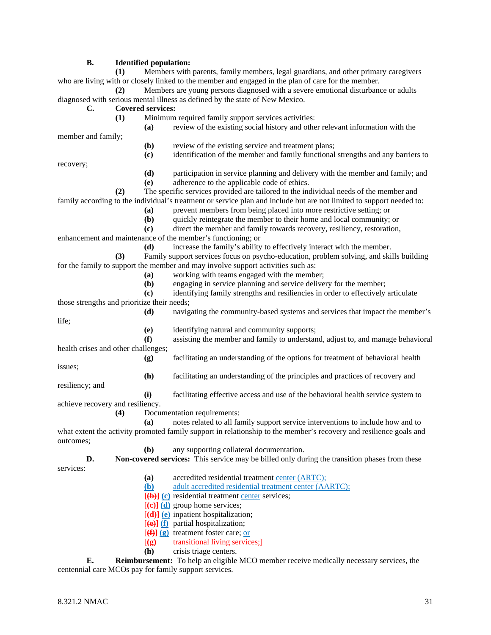## **B. Identified population:**

**(1)** Members with parents, family members, legal guardians, and other primary caregivers who are living with or closely linked to the member and engaged in the plan of care for the member.

**(2)** Members are young persons diagnosed with a severe emotional disturbance or adults diagnosed with serious mental illness as defined by the state of New Mexico.

#### **C. Covered services:**

**(1)** Minimum required family support services activities:

**(a)** review of the existing social history and other relevant information with the

member and family;

- **(b)** review of the existing service and treatment plans;
- **(c)** identification of the member and family functional strengths and any barriers to

recovery;

- **(d)** participation in service planning and delivery with the member and family; and
	- **(e)** adherence to the applicable code of ethics.

**(2)** The specific services provided are tailored to the individual needs of the member and family according to the individual's treatment or service plan and include but are not limited to support needed to:

- **(a)** prevent members from being placed into more restrictive setting; or
- **(b)** quickly reintegrate the member to their home and local community; or

**(c)** direct the member and family towards recovery, resiliency, restoration, enhancement and maintenance of the member's functioning; or

**(d)** increase the family's ability to effectively interact with the member.

**(3)** Family support services focus on psycho-education, problem solving, and skills building for the family to support the member and may involve support activities such as:

- **(a)** working with teams engaged with the member;
- **(b)** engaging in service planning and service delivery for the member;
- **(c)** identifying family strengths and resiliencies in order to effectively articulate those strengths and prioritize their needs;

**(d)** navigating the community-based systems and services that impact the member's life;

- **(e)** identifying natural and community supports;
- **(f)** assisting the member and family to understand, adjust to, and manage behavioral health crises and other challenges;
	- **(g)** facilitating an understanding of the options for treatment of behavioral health

issues;

**(h)** facilitating an understanding of the principles and practices of recovery and

resiliency; and

- **(i)** facilitating effective access and use of the behavioral health service system to achieve recovery and resiliency.
	- **(4)** Documentation requirements:

**(a)** notes related to all family support service interventions to include how and to what extent the activity promoted family support in relationship to the member's recovery and resilience goals and outcomes;

**(b)** any supporting collateral documentation.

**D. Non-covered services:** This service may be billed only during the transition phases from these services:

- **(a)** accredited residential treatment center (ARTC);
- **(b)** adult accredited residential treatment center (AARTC);
- **[(b)] (c)** residential treatment center services;
- [**(c)] (d)** group home services;
- [**(d)] (e)** inpatient hospitalization;
- [**(e)] (f)** partial hospitalization;
- [**(f)] (g)** treatment foster care; or
- [**(g)** transitional living services;]
- **(h)** crisis triage centers.

**E. Reimbursement:** To help an eligible MCO member receive medically necessary services, the centennial care MCOs pay for family support services.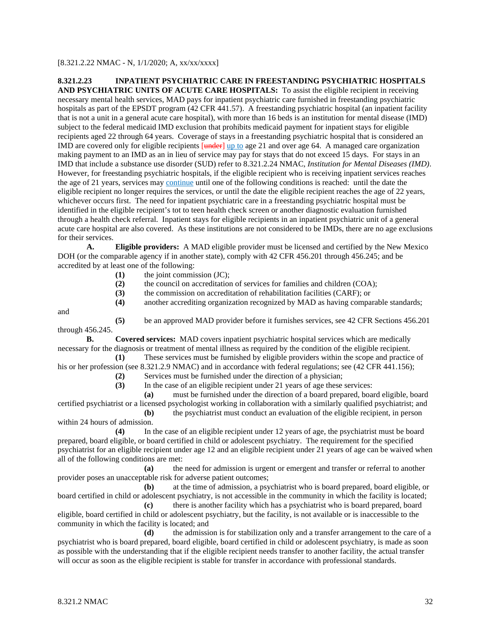[8.321.2.22 NMAC - N, 1/1/2020; A, xx/xx/xxxx]

## **8.321.2.23 INPATIENT PSYCHIATRIC CARE IN FREESTANDING PSYCHIATRIC HOSPITALS AND PSYCHIATRIC UNITS OF ACUTE CARE HOSPITALS:** To assist the eligible recipient in receiving necessary mental health services, MAD pays for inpatient psychiatric care furnished in freestanding psychiatric hospitals as part of the EPSDT program (42 CFR 441.57). A freestanding psychiatric hospital (an inpatient facility that is not a unit in a general acute care hospital), with more than 16 beds is an institution for mental disease (IMD) subject to the federal medicaid IMD exclusion that prohibits medicaid payment for inpatient stays for eligible recipients aged 22 through 64 years. Coverage of stays in a freestanding psychiatric hospital that is considered an IMD are covered only for eligible recipients [under] up to age 21 and over age 64. A managed care organization making payment to an IMD as an in lieu of service may pay for stays that do not exceed 15 days. For stays in an IMD that include a substance use disorder (SUD) refer to 8.321.2.24 NMAC, *Institution for Mental Diseases (IMD)*. However, for freestanding psychiatric hospitals, if the eligible recipient who is receiving inpatient services reaches the age of 21 years, services may continue until one of the following conditions is reached: until the date the eligible recipient no longer requires the services, or until the date the eligible recipient reaches the age of 22 years, whichever occurs first. The need for inpatient psychiatric care in a freestanding psychiatric hospital must be identified in the eligible recipient's tot to teen health check screen or another diagnostic evaluation furnished through a health check referral. Inpatient stays for eligible recipients in an inpatient psychiatric unit of a general

acute care hospital are also covered. As these institutions are not considered to be IMDs, there are no age exclusions for their services.

**A. Eligible providers:** A MAD eligible provider must be licensed and certified by the New Mexico DOH (or the comparable agency if in another state), comply with 42 CFR 456.201 through 456.245; and be accredited by at least one of the following:

- **(1)** the joint commission (JC);
- **(2)** the council on accreditation of services for families and children (COA);

**(3)** the commission on accreditation of rehabilitation facilities (CARF); or

**(4)** another accrediting organization recognized by MAD as having comparable standards;

and

**(5)** be an approved MAD provider before it furnishes services, see 42 CFR Sections 456.201 through 456.245.

**B. Covered services:** MAD covers inpatient psychiatric hospital services which are medically necessary for the diagnosis or treatment of mental illness as required by the condition of the eligible recipient. **(1)** These services must be furnished by eligible providers within the scope and practice of

his or her profession (see 8.321.2.9 NMAC) and in accordance with federal regulations; see (42 CFR 441.156);

**(2)** Services must be furnished under the direction of a physician;

**(3)** In the case of an eligible recipient under 21 years of age these services:

**(a)** must be furnished under the direction of a board prepared, board eligible, board certified psychiatrist or a licensed psychologist working in collaboration with a similarly qualified psychiatrist; and

**(b)** the psychiatrist must conduct an evaluation of the eligible recipient, in person within 24 hours of admission.

**(4)** In the case of an eligible recipient under 12 years of age, the psychiatrist must be board prepared, board eligible, or board certified in child or adolescent psychiatry. The requirement for the specified psychiatrist for an eligible recipient under age 12 and an eligible recipient under 21 years of age can be waived when all of the following conditions are met:

**(a)** the need for admission is urgent or emergent and transfer or referral to another provider poses an unacceptable risk for adverse patient outcomes;

**(b)** at the time of admission, a psychiatrist who is board prepared, board eligible, or board certified in child or adolescent psychiatry, is not accessible in the community in which the facility is located;

**(c)** there is another facility which has a psychiatrist who is board prepared, board eligible, board certified in child or adolescent psychiatry, but the facility, is not available or is inaccessible to the community in which the facility is located; and

**(d)** the admission is for stabilization only and a transfer arrangement to the care of a psychiatrist who is board prepared, board eligible, board certified in child or adolescent psychiatry, is made as soon as possible with the understanding that if the eligible recipient needs transfer to another facility, the actual transfer will occur as soon as the eligible recipient is stable for transfer in accordance with professional standards.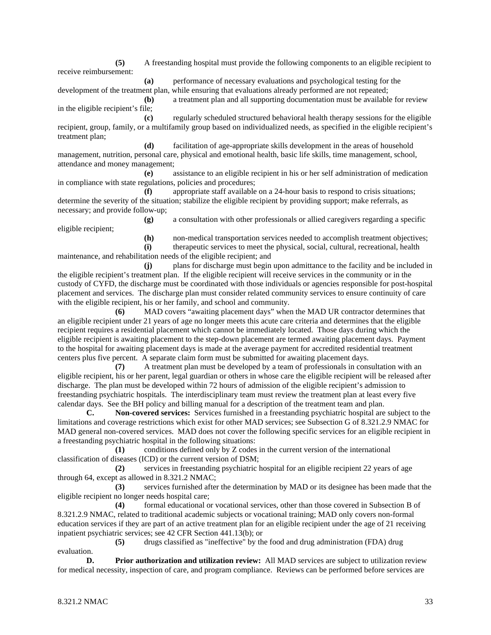**(5)** A freestanding hospital must provide the following components to an eligible recipient to receive reimbursement:

**(a)** performance of necessary evaluations and psychological testing for the development of the treatment plan, while ensuring that evaluations already performed are not repeated;

**(b)** a treatment plan and all supporting documentation must be available for review in the eligible recipient's file;

**(c)** regularly scheduled structured behavioral health therapy sessions for the eligible recipient, group, family, or a multifamily group based on individualized needs, as specified in the eligible recipient's treatment plan;

**(d)** facilitation of age-appropriate skills development in the areas of household management, nutrition, personal care, physical and emotional health, basic life skills, time management, school, attendance and money management;

**(e)** assistance to an eligible recipient in his or her self administration of medication in compliance with state regulations, policies and procedures;

**(f)** appropriate staff available on a 24-hour basis to respond to crisis situations; determine the severity of the situation; stabilize the eligible recipient by providing support; make referrals, as necessary; and provide follow-up;

**(g)** a consultation with other professionals or allied caregivers regarding a specific eligible recipient;

**(h)** non-medical transportation services needed to accomplish treatment objectives;

**(i)** therapeutic services to meet the physical, social, cultural, recreational, health maintenance, and rehabilitation needs of the eligible recipient; and

**(j)** plans for discharge must begin upon admittance to the facility and be included in the eligible recipient's treatment plan. If the eligible recipient will receive services in the community or in the custody of CYFD, the discharge must be coordinated with those individuals or agencies responsible for post-hospital placement and services. The discharge plan must consider related community services to ensure continuity of care with the eligible recipient, his or her family, and school and community.

**(6)** MAD covers "awaiting placement days" when the MAD UR contractor determines that an eligible recipient under 21 years of age no longer meets this acute care criteria and determines that the eligible recipient requires a residential placement which cannot be immediately located. Those days during which the eligible recipient is awaiting placement to the step-down placement are termed awaiting placement days. Payment to the hospital for awaiting placement days is made at the average payment for accredited residential treatment centers plus five percent. A separate claim form must be submitted for awaiting placement days.

**(7)** A treatment plan must be developed by a team of professionals in consultation with an eligible recipient, his or her parent, legal guardian or others in whose care the eligible recipient will be released after discharge. The plan must be developed within 72 hours of admission of the eligible recipient's admission to freestanding psychiatric hospitals. The interdisciplinary team must review the treatment plan at least every five calendar days. See the BH policy and billing manual for a description of the treatment team and plan.

**C. Non-covered services:** Services furnished in a freestanding psychiatric hospital are subject to the limitations and coverage restrictions which exist for other MAD services; see Subsection G of 8.321.2.9 NMAC for MAD general non-covered services. MAD does not cover the following specific services for an eligible recipient in a freestanding psychiatric hospital in the following situations:

**(1)** conditions defined only by Z codes in the current version of the international classification of diseases (ICD) or the current version of DSM;

**(2)** services in freestanding psychiatric hospital for an eligible recipient 22 years of age through 64, except as allowed in 8.321.2 NMAC;

**(3)** services furnished after the determination by MAD or its designee has been made that the eligible recipient no longer needs hospital care;

**(4)** formal educational or vocational services, other than those covered in Subsection B of 8.321.2.9 NMAC, related to traditional academic subjects or vocational training; MAD only covers non-formal education services if they are part of an active treatment plan for an eligible recipient under the age of 21 receiving inpatient psychiatric services; see 42 CFR Section 441.13(b); or

**(5)** drugs classified as "ineffective" by the food and drug administration (FDA) drug evaluation.

**D. Prior authorization and utilization review:** All MAD services are subject to utilization review for medical necessity, inspection of care, and program compliance. Reviews can be performed before services are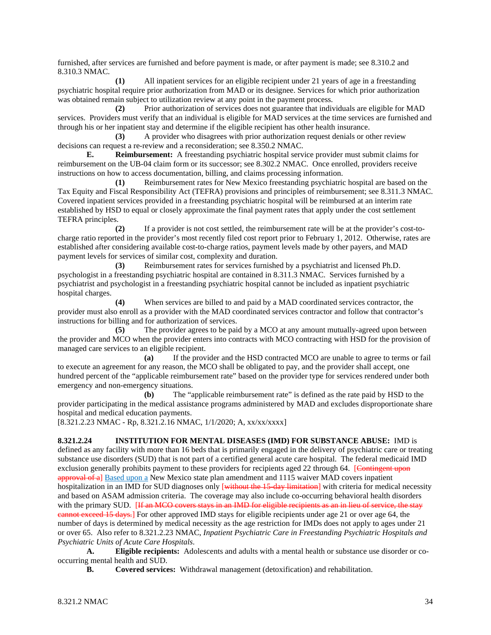furnished, after services are furnished and before payment is made, or after payment is made; see 8.310.2 and 8.310.3 NMAC.

**(1)** All inpatient services for an eligible recipient under 21 years of age in a freestanding psychiatric hospital require prior authorization from MAD or its designee. Services for which prior authorization was obtained remain subject to utilization review at any point in the payment process.

**(2)** Prior authorization of services does not guarantee that individuals are eligible for MAD services. Providers must verify that an individual is eligible for MAD services at the time services are furnished and through his or her inpatient stay and determine if the eligible recipient has other health insurance.

**(3)** A provider who disagrees with prior authorization request denials or other review decisions can request a re-review and a reconsideration; see 8.350.2 NMAC.

**E. Reimbursement:** A freestanding psychiatric hospital service provider must submit claims for reimbursement on the UB-04 claim form or its successor; see 8.302.2 NMAC. Once enrolled, providers receive instructions on how to access documentation, billing, and claims processing information.

**(1)** Reimbursement rates for New Mexico freestanding psychiatric hospital are based on the Tax Equity and Fiscal Responsibility Act (TEFRA) provisions and principles of reimbursement; see 8.311.3 NMAC. Covered inpatient services provided in a freestanding psychiatric hospital will be reimbursed at an interim rate established by HSD to equal or closely approximate the final payment rates that apply under the cost settlement TEFRA principles.

**(2)** If a provider is not cost settled, the reimbursement rate will be at the provider's cost-tocharge ratio reported in the provider's most recently filed cost report prior to February 1, 2012. Otherwise, rates are established after considering available cost-to-charge ratios, payment levels made by other payers, and MAD payment levels for services of similar cost, complexity and duration.

**(3)** Reimbursement rates for services furnished by a psychiatrist and licensed Ph.D. psychologist in a freestanding psychiatric hospital are contained in 8.311.3 NMAC. Services furnished by a psychiatrist and psychologist in a freestanding psychiatric hospital cannot be included as inpatient psychiatric hospital charges.

**(4)** When services are billed to and paid by a MAD coordinated services contractor, the provider must also enroll as a provider with the MAD coordinated services contractor and follow that contractor's instructions for billing and for authorization of services.

**(5)** The provider agrees to be paid by a MCO at any amount mutually-agreed upon between the provider and MCO when the provider enters into contracts with MCO contracting with HSD for the provision of managed care services to an eligible recipient.

**(a)** If the provider and the HSD contracted MCO are unable to agree to terms or fail to execute an agreement for any reason, the MCO shall be obligated to pay, and the provider shall accept, one hundred percent of the "applicable reimbursement rate" based on the provider type for services rendered under both emergency and non-emergency situations.

**(b)** The "applicable reimbursement rate" is defined as the rate paid by HSD to the provider participating in the medical assistance programs administered by MAD and excludes disproportionate share hospital and medical education payments.

[8.321.2.23 NMAC - Rp, 8.321.2.16 NMAC, 1/1/2020; A, xx/xx/xxxx]

**8.321.2.24 INSTITUTION FOR MENTAL DISEASES (IMD) FOR SUBSTANCE ABUSE:** IMD is defined as any facility with more than 16 beds that is primarily engaged in the delivery of psychiatric care or treating substance use disorders (SUD) that is not part of a certified general acute care hospital. The federal medicaid IMD exclusion generally prohibits payment to these providers for recipients aged 22 through 64. [Contingent upon approval of a] Based upon a New Mexico state plan amendment and 1115 waiver MAD covers inpatient hospitalization in an IMD for SUD diagnoses only [without the 15-day limitation] with criteria for medical necessity and based on ASAM admission criteria. The coverage may also include co-occurring behavioral health disorders with the primary SUD. [If an MCO covers stays in an IMD for eligible recipients as an in lieu of service, the stay cannot exceed 15 days.] For other approved IMD stays for eligible recipients under age 21 or over age 64, the number of days is determined by medical necessity as the age restriction for IMDs does not apply to ages under 21 or over 65. Also refer to 8.321.2.23 NMAC, *Inpatient Psychiatric Care in Freestanding Psychiatric Hospitals and Psychiatric Units of Acute Care Hospitals*.

**A. Eligible recipients:** Adolescents and adults with a mental health or substance use disorder or cooccurring mental health and SUD.

**B. Covered services:** Withdrawal management (detoxification) and rehabilitation.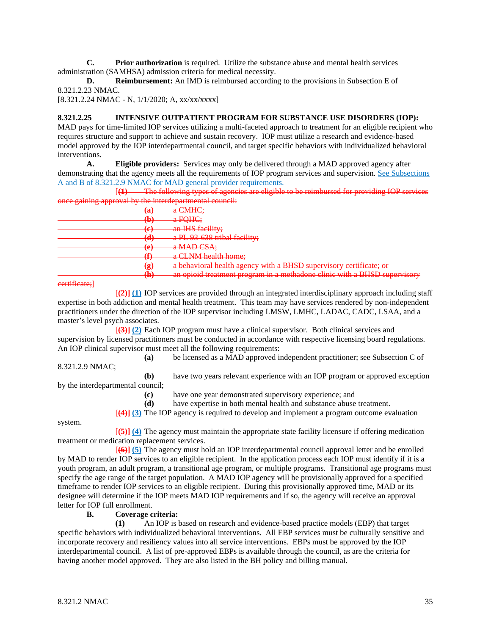**C. Prior authorization** is required. Utilize the substance abuse and mental health services administration (SAMHSA) admission criteria for medical necessity.

**D. Reimbursement:** An IMD is reimbursed according to the provisions in Subsection E of 8.321.2.23 NMAC.

[8.321.2.24 NMAC - N, 1/1/2020; A, xx/xx/xxxx]

#### **8.321.2.25 INTENSIVE OUTPATIENT PROGRAM FOR SUBSTANCE USE DISORDERS (IOP):**

MAD pays for time-limited IOP services utilizing a multi-faceted approach to treatment for an eligible recipient who requires structure and support to achieve and sustain recovery. IOP must utilize a research and evidence-based model approved by the IOP interdepartmental council, and target specific behaviors with individualized behavioral interventions.

**A. Eligible providers:** Services may only be delivered through a MAD approved agency after demonstrating that the agency meets all the requirements of IOP program services and supervision. See Subsections A and B of 8.321.2.9 NMAC for MAD general provider requirements.

[**(1)** The following types of agencies are eligible to be reimbursed for providing IOP services once gaining approval by the interdepartmental council:

| . .                  |                                                                           |  |
|----------------------|---------------------------------------------------------------------------|--|
| ົດມີ<br>$\mathbf{a}$ | a CMHC;                                                                   |  |
| ሔነ<br>$\mathbf{w}$   | a FQHC;                                                                   |  |
| (ል)                  | an IHS facility;                                                          |  |
| $\mathbf{C}$         |                                                                           |  |
| $\mathbf{u}$         | a PL 93 638 tribal facility;                                              |  |
| ۱ ه<br>$\mathbf{C}$  | a MAD CSA;                                                                |  |
| ′₽<br>$\mathbf{u}$   | a CLNM health home;                                                       |  |
| ് പ<br>67            | a behavioral health agency with a BHSD supervisory certificate; or        |  |
| ሔነ                   | an opioid treatment program in a mathadone clinic with a RHSD supervisory |  |
| <b></b>              | <b>DESPASSING COLOR</b>                                                   |  |

#### certificate;]

[**(2)] (1)** IOP services are provided through an integrated interdisciplinary approach including staff expertise in both addiction and mental health treatment. This team may have services rendered by non-independent practitioners under the direction of the IOP supervisor including LMSW, LMHC, LADAC, CADC, LSAA, and a master's level psych associates.

[**(3)] (2)** Each IOP program must have a clinical supervisor. Both clinical services and supervision by licensed practitioners must be conducted in accordance with respective licensing board regulations. An IOP clinical supervisor must meet all the following requirements:

**(a)** be licensed as a MAD approved independent practitioner; see Subsection C of

8.321.2.9 NMAC;

**(b)** have two years relevant experience with an IOP program or approved exception by the interdepartmental council;

**(c)** have one year demonstrated supervisory experience; and

**(d)** have expertise in both mental health and substance abuse treatment.

[**(4)] (3)** The IOP agency is required to develop and implement a program outcome evaluation

system.

[**(5)] (4)** The agency must maintain the appropriate state facility licensure if offering medication treatment or medication replacement services.

[**(6)] (5)** The agency must hold an IOP interdepartmental council approval letter and be enrolled by MAD to render IOP services to an eligible recipient. In the application process each IOP must identify if it is a youth program, an adult program, a transitional age program, or multiple programs. Transitional age programs must specify the age range of the target population. A MAD IOP agency will be provisionally approved for a specified timeframe to render IOP services to an eligible recipient. During this provisionally approved time, MAD or its designee will determine if the IOP meets MAD IOP requirements and if so, the agency will receive an approval letter for IOP full enrollment.

#### **B. Coverage criteria:**

**(1)** An IOP is based on research and evidence-based practice models (EBP) that target specific behaviors with individualized behavioral interventions. All EBP services must be culturally sensitive and incorporate recovery and resiliency values into all service interventions. EBPs must be approved by the IOP interdepartmental council. A list of pre-approved EBPs is available through the council, as are the criteria for having another model approved. They are also listed in the BH policy and billing manual.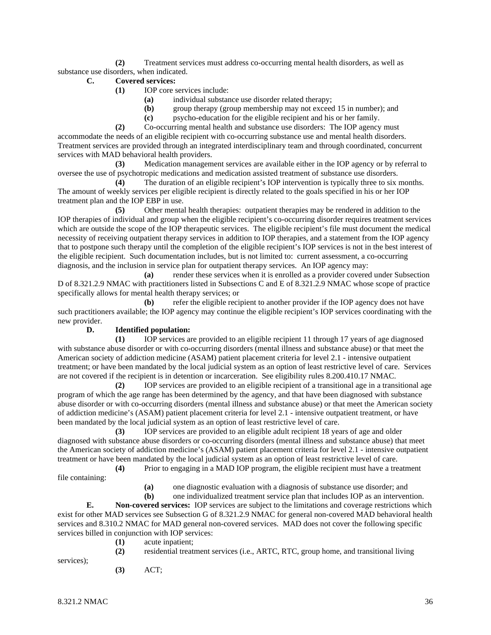**(2)** Treatment services must address co-occurring mental health disorders, as well as substance use disorders, when indicated.

- **C. Covered services:**
	- **(1)** IOP core services include:
		- **(a)** individual substance use disorder related therapy;
		- **(b)** group therapy (group membership may not exceed 15 in number); and
		- **(c)** psycho-education for the eligible recipient and his or her family.

**(2)** Co-occurring mental health and substance use disorders: The IOP agency must accommodate the needs of an eligible recipient with co-occurring substance use and mental health disorders. Treatment services are provided through an integrated interdisciplinary team and through coordinated, concurrent services with MAD behavioral health providers.

**(3)** Medication management services are available either in the IOP agency or by referral to oversee the use of psychotropic medications and medication assisted treatment of substance use disorders.

**(4)** The duration of an eligible recipient's IOP intervention is typically three to six months. The amount of weekly services per eligible recipient is directly related to the goals specified in his or her IOP treatment plan and the IOP EBP in use.

**(5)** Other mental health therapies: outpatient therapies may be rendered in addition to the IOP therapies of individual and group when the eligible recipient's co-occurring disorder requires treatment services which are outside the scope of the IOP therapeutic services. The eligible recipient's file must document the medical necessity of receiving outpatient therapy services in addition to IOP therapies, and a statement from the IOP agency that to postpone such therapy until the completion of the eligible recipient's IOP services is not in the best interest of the eligible recipient. Such documentation includes, but is not limited to: current assessment, a co-occurring diagnosis, and the inclusion in service plan for outpatient therapy services. An IOP agency may:

**(a)** render these services when it is enrolled as a provider covered under Subsection D of 8.321.2.9 NMAC with practitioners listed in Subsections C and E of 8.321.2.9 NMAC whose scope of practice specifically allows for mental health therapy services; or

**(b)** refer the eligible recipient to another provider if the IOP agency does not have such practitioners available; the IOP agency may continue the eligible recipient's IOP services coordinating with the new provider.

# **D. Identified population:**

**(1)** IOP services are provided to an eligible recipient 11 through 17 years of age diagnosed with substance abuse disorder or with co-occurring disorders (mental illness and substance abuse) or that meet the American society of addiction medicine (ASAM) patient placement criteria for level 2.1 - intensive outpatient treatment; or have been mandated by the local judicial system as an option of least restrictive level of care. Services are not covered if the recipient is in detention or incarceration. See eligibility rules 8.200.410.17 NMAC.

**(2)** IOP services are provided to an eligible recipient of a transitional age in a transitional age program of which the age range has been determined by the agency, and that have been diagnosed with substance abuse disorder or with co-occurring disorders (mental illness and substance abuse) or that meet the American society of addiction medicine's (ASAM) patient placement criteria for level 2.1 - intensive outpatient treatment, or have been mandated by the local judicial system as an option of least restrictive level of care.

**(3)** IOP services are provided to an eligible adult recipient 18 years of age and older diagnosed with substance abuse disorders or co-occurring disorders (mental illness and substance abuse) that meet the American society of addiction medicine's (ASAM) patient placement criteria for level 2.1 - intensive outpatient treatment or have been mandated by the local judicial system as an option of least restrictive level of care. **(4)** Prior to engaging in a MAD IOP program, the eligible recipient must have a treatment

file containing:

**(a)** one diagnostic evaluation with a diagnosis of substance use disorder; and

**(b)** one individualized treatment service plan that includes IOP as an intervention.

**E. Non-covered services:** IOP services are subject to the limitations and coverage restrictions which exist for other MAD services see Subsection G of 8.321.2.9 NMAC for general non-covered MAD behavioral health services and 8.310.2 NMAC for MAD general non-covered services. MAD does not cover the following specific services billed in conjunction with IOP services:

**(1)** acute inpatient;

**(2)** residential treatment services (i.e., ARTC, RTC, group home, and transitional living

services);

**(3)** ACT;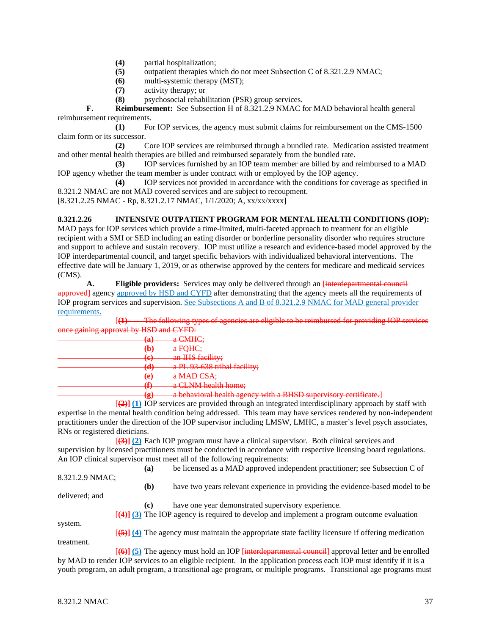- **(4)** partial hospitalization;
- **(5)** outpatient therapies which do not meet Subsection C of 8.321.2.9 NMAC;
- **(6)** multi-systemic therapy (MST);
- **(7)** activity therapy; or
- **(8)** psychosocial rehabilitation (PSR) group services.

**F. Reimbursement:** See Subsection H of 8.321.2.9 NMAC for MAD behavioral health general reimbursement requirements.

**(1)** For IOP services, the agency must submit claims for reimbursement on the CMS-1500 claim form or its successor.

**(2)** Core IOP services are reimbursed through a bundled rate. Medication assisted treatment and other mental health therapies are billed and reimbursed separately from the bundled rate.

**(3)** IOP services furnished by an IOP team member are billed by and reimbursed to a MAD IOP agency whether the team member is under contract with or employed by the IOP agency.

**(4)** IOP services not provided in accordance with the conditions for coverage as specified in 8.321.2 NMAC are not MAD covered services and are subject to recoupment.

[8.321.2.25 NMAC - Rp, 8.321.2.17 NMAC, 1/1/2020; A, xx/xx/xxxx]

# **8.321.2.26 INTENSIVE OUTPATIENT PROGRAM FOR MENTAL HEALTH CONDITIONS (IOP):**

MAD pays for IOP services which provide a time-limited, multi-faceted approach to treatment for an eligible recipient with a SMI or SED including an eating disorder or borderline personality disorder who requires structure and support to achieve and sustain recovery. IOP must utilize a research and evidence-based model approved by the IOP interdepartmental council, and target specific behaviors with individualized behavioral interventions. The effective date will be January 1, 2019, or as otherwise approved by the centers for medicare and medicaid services (CMS).

**A. Eligible providers:** Services may only be delivered through an [interdepartment] approved] agency approved by HSD and CYFD after demonstrating that the agency meets all the requirements of IOP program services and supervision. See Subsections A and B of 8.321.2.9 NMAC for MAD general provider requirements.

[**(1)** The following types of agencies are eligible to be reimbursed for providing IOP services nce gaining approval by HSD and CYFD:

| . |                   |                                                                                     |
|---|-------------------|-------------------------------------------------------------------------------------|
|   | τ.                | a CMHC;                                                                             |
|   | w,                | a FQHC;                                                                             |
|   |                   | an IHS facility;                                                                    |
|   | ্                 |                                                                                     |
|   |                   | a PL 93 638 tribal facility;                                                        |
|   | ◡                 | a MAD CSA;                                                                          |
|   |                   | a CLNM health home;                                                                 |
|   | $\mathbf{r}$<br>6 | a behavioral health agency with a RHSD cupervisory certificate<br><b>CONTRACTOR</b> |
|   |                   |                                                                                     |

[**(2)] (1)** IOP services are provided through an integrated interdisciplinary approach by staff with expertise in the mental health condition being addressed. This team may have services rendered by non-independent practitioners under the direction of the IOP supervisor including LMSW, LMHC, a master's level psych associates, RNs or registered dieticians.

[**(3)] (2)** Each IOP program must have a clinical supervisor. Both clinical services and supervision by licensed practitioners must be conducted in accordance with respective licensing board regulations. An IOP clinical supervisor must meet all of the following requirements: **(a)** be licensed as a MAD approved independent practitioner; see Subsection C of

| 8.321.2.9 NMAC; |  | 1a 1 | oc necused as a <i>wifer</i> approved independent praetitioner, see subsection C or                                     |
|-----------------|--|------|-------------------------------------------------------------------------------------------------------------------------|
|                 |  | (b)  | have two years relevant experience in providing the evidence-based model to be                                          |
| delivered; and  |  | (c)  | have one year demonstrated supervisory experience.                                                                      |
|                 |  |      | $[4]$ (3) The IOP agency is required to develop and implement a program outcome evaluation                              |
| system.         |  |      | $\overline{(\frac{5}{2})}$ (4) The agency must maintain the appropriate state facility licensure if offering medication |
| treatment.      |  |      | $\overline{[66]}$ (5) The agency must hold an IOP [interdepartmental council] approval letter and be enrolled           |

by MAD to render IOP services to an eligible recipient. In the application process each IOP must identify if it is a youth program, an adult program, a transitional age program, or multiple programs. Transitional age programs must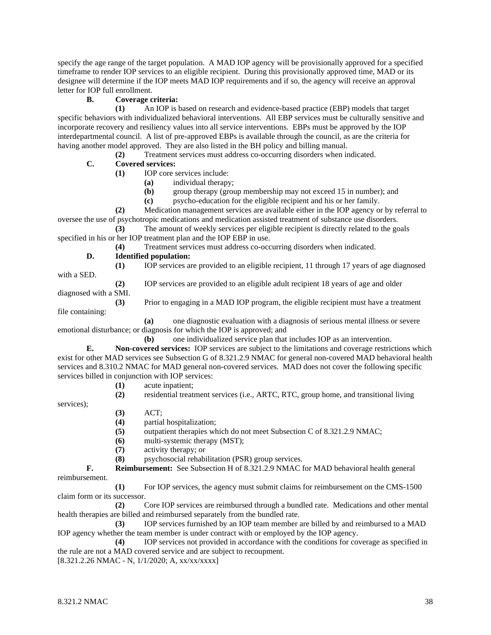specify the age range of the target population. A MAD IOP agency will be provisionally approved for a specified timeframe to render IOP services to an eligible recipient. During this provisionally approved time, MAD or its designee will determine if the IOP meets MAD IOP requirements and if so, the agency will receive an approval letter for IOP full enrollment.

# **B. Coverage criteria:**

**(1)** An IOP is based on research and evidence-based practice (EBP) models that target specific behaviors with individualized behavioral interventions. All EBP services must be culturally sensitive and incorporate recovery and resiliency values into all service interventions. EBPs must be approved by the IOP interdepartmental council. A list of pre-approved EBPs is available through the council, as are the criteria for having another model approved. They are also listed in the BH policy and billing manual.

**(2)** Treatment services must address co-occurring disorders when indicated.

# **C. Covered services:**

- **(1)** IOP core services include:
	- **(a)** individual therapy;
	- **(b)** group therapy (group membership may not exceed 15 in number); and
	- **(c)** psycho-education for the eligible recipient and his or her family.

**(2)** Medication management services are available either in the IOP agency or by referral to oversee the use of psychotropic medications and medication assisted treatment of substance use disorders.

**(3)** The amount of weekly services per eligible recipient is directly related to the goals specified in his or her IOP treatment plan and the IOP EBP in use.

**(4)** Treatment services must address co-occurring disorders when indicated.

#### **D. Identified population: (1)** IOP services are provided to an eligible recipient, 11 through 17 years of age diagnosed

with a SED.

**(2)** IOP services are provided to an eligible adult recipient 18 years of age and older

diagnosed with a SMI.

**(3)** Prior to engaging in a MAD IOP program, the eligible recipient must have a treatment file containing:

**(a)** one diagnostic evaluation with a diagnosis of serious mental illness or severe emotional disturbance; or diagnosis for which the IOP is approved; and

**(b)** one individualized service plan that includes IOP as an intervention.

**E. Non-covered services:** IOP services are subject to the limitations and coverage restrictions which exist for other MAD services see Subsection G of 8.321.2.9 NMAC for general non-covered MAD behavioral health services and 8.310.2 NMAC for MAD general non-covered services. MAD does not cover the following specific services billed in conjunction with IOP services:

**(1)** acute inpatient;

**(2)** residential treatment services (i.e., ARTC, RTC, group home, and transitional living

services);

- **(3)** ACT;
- **(4)** partial hospitalization;
- **(5)** outpatient therapies which do not meet Subsection C of 8.321.2.9 NMAC;
- **(6)** multi-systemic therapy (MST);
- **(7)** activity therapy; or

**(8)** psychosocial rehabilitation (PSR) group services.

**F. Reimbursement:** See Subsection H of 8.321.2.9 NMAC for MAD behavioral health general reimbursement.

**(1)** For IOP services, the agency must submit claims for reimbursement on the CMS-1500 claim form or its successor.

**(2)** Core IOP services are reimbursed through a bundled rate. Medications and other mental health therapies are billed and reimbursed separately from the bundled rate.

**(3)** IOP services furnished by an IOP team member are billed by and reimbursed to a MAD IOP agency whether the team member is under contract with or employed by the IOP agency.

**(4)** IOP services not provided in accordance with the conditions for coverage as specified in the rule are not a MAD covered service and are subject to recoupment.

[8.321.2.26 NMAC - N, 1/1/2020; A, xx/xx/xxxx]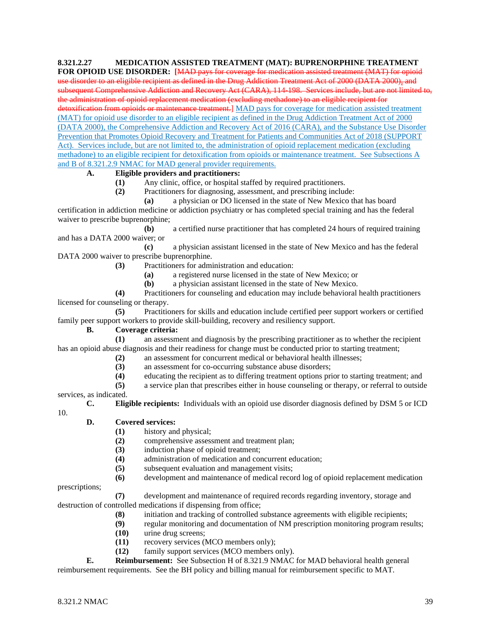# **8.321.2.27 MEDICATION ASSISTED TREATMENT (MAT): BUPRENORPHINE TREATMENT**

**FOR OPIOID USE DISORDER: [**MAD pays for coverage for medication assisted treatment (MAT) for opioid use disorder to an eligible recipient as defined in the Drug Addiction Treatment Act of 2000 (DATA 2000), and subsequent Comprehensive Addiction and Recovery Act (CARA), 114-198. Services include, but are not limited to, the administration of opioid replacement medication (excluding methadone) to an eligible recipient for detoxification from opioids or maintenance treatment.] MAD pays for coverage for medication assisted treatment (MAT) for opioid use disorder to an eligible recipient as defined in the Drug Addiction Treatment Act of 2000 (DATA 2000), the Comprehensive Addiction and Recovery Act of 2016 (CARA), and the Substance Use Disorder Prevention that Promotes Opioid Recovery and Treatment for Patients and Communities Act of 2018 (SUPPORT Act). Services include, but are not limited to, the administration of opioid replacement medication (excluding methadone) to an eligible recipient for detoxification from opioids or maintenance treatment. See Subsections A and B of 8.321.2.9 NMAC for MAD general provider requirements.

## **A. Eligible providers and practitioners:**

**(1)** Any clinic, office, or hospital staffed by required practitioners.

**(2)** Practitioners for diagnosing, assessment, and prescribing include:

**(a)** a physician or DO licensed in the state of New Mexico that has board certification in addiction medicine or addiction psychiatry or has completed special training and has the federal waiver to prescribe buprenorphine;

**(b)** a certified nurse practitioner that has completed 24 hours of required training and has a DATA 2000 waiver; or

**(c)** a physician assistant licensed in the state of New Mexico and has the federal DATA 2000 waiver to prescribe buprenorphine.

**(3)** Practitioners for administration and education:

- **(a)** a registered nurse licensed in the state of New Mexico; or
- **(b)** a physician assistant licensed in the state of New Mexico.

**(4)** Practitioners for counseling and education may include behavioral health practitioners licensed for counseling or therapy.

**(5)** Practitioners for skills and education include certified peer support workers or certified family peer support workers to provide skill-building, recovery and resiliency support.

# **B. Coverage criteria:**

**(1)** an assessment and diagnosis by the prescribing practitioner as to whether the recipient has an opioid abuse diagnosis and their readiness for change must be conducted prior to starting treatment;

- **(2)** an assessment for concurrent medical or behavioral health illnesses;
- **(3)** an assessment for co-occurring substance abuse disorders;
- **(4)** educating the recipient as to differing treatment options prior to starting treatment; and
- **(5)** a service plan that prescribes either in house counseling or therapy, or referral to outside

services, as indicated.

10.

**C. Eligible recipients:** Individuals with an opioid use disorder diagnosis defined by DSM 5 or ICD

## **D. Covered services:**

- **(1)** history and physical;
- (2) comprehensive assessment and treatment plan;<br>(3) induction phase of opioid treatment:
- **(3)** induction phase of opioid treatment;
- **(4)** administration of medication and concurrent education;
- **(5)** subsequent evaluation and management visits;
- **(6)** development and maintenance of medical record log of opioid replacement medication

prescriptions;

**(7)** development and maintenance of required records regarding inventory, storage and destruction of controlled medications if dispensing from office;

- **(8)** initiation and tracking of controlled substance agreements with eligible recipients;
- **(9)** regular monitoring and documentation of NM prescription monitoring program results;
- **(10)** urine drug screens;
- **(11)** recovery services (MCO members only);<br>**(12)** family support services (MCO members only)
- family support services (MCO members only).

**E. Reimbursement:** See Subsection H of 8.321.9 NMAC for MAD behavioral health general reimbursement requirements. See the BH policy and billing manual for reimbursement specific to MAT.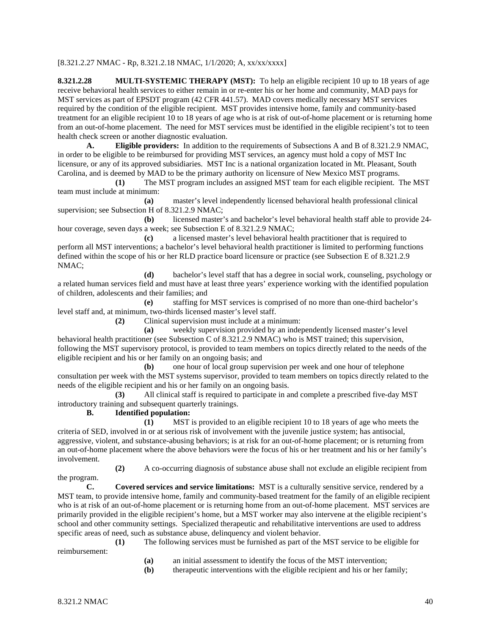## [8.321.2.27 NMAC - Rp, 8.321.2.18 NMAC, 1/1/2020; A, xx/xx/xxxx]

**8.321.2.28 MULTI-SYSTEMIC THERAPY (MST):** To help an eligible recipient 10 up to 18 years of age receive behavioral health services to either remain in or re-enter his or her home and community, MAD pays for MST services as part of EPSDT program (42 CFR 441.57). MAD covers medically necessary MST services required by the condition of the eligible recipient. MST provides intensive home, family and community-based treatment for an eligible recipient 10 to 18 years of age who is at risk of out-of-home placement or is returning home from an out-of-home placement. The need for MST services must be identified in the eligible recipient's tot to teen health check screen or another diagnostic evaluation.

**A. Eligible providers:** In addition to the requirements of Subsections A and B of 8.321.2.9 NMAC, in order to be eligible to be reimbursed for providing MST services, an agency must hold a copy of MST Inc licensure, or any of its approved subsidiaries. MST Inc is a national organization located in Mt. Pleasant, South Carolina, and is deemed by MAD to be the primary authority on licensure of New Mexico MST programs.

**(1)** The MST program includes an assigned MST team for each eligible recipient. The MST team must include at minimum:

**(a)** master's level independently licensed behavioral health professional clinical supervision; see Subsection H of 8.321.2.9 NMAC;

**(b)** licensed master's and bachelor's level behavioral health staff able to provide 24 hour coverage, seven days a week; see Subsection E of 8.321.2.9 NMAC;

**(c)** a licensed master's level behavioral health practitioner that is required to perform all MST interventions; a bachelor's level behavioral health practitioner is limited to performing functions defined within the scope of his or her RLD practice board licensure or practice (see Subsection E of 8.321.2.9 NMAC;

**(d)** bachelor's level staff that has a degree in social work, counseling, psychology or a related human services field and must have at least three years' experience working with the identified population of children, adolescents and their families; and

**(e)** staffing for MST services is comprised of no more than one-third bachelor's level staff and, at minimum, two-thirds licensed master's level staff.

**(2)** Clinical supervision must include at a minimum:

**(a)** weekly supervision provided by an independently licensed master's level behavioral health practitioner (see Subsection C of 8.321.2.9 NMAC) who is MST trained; this supervision, following the MST supervisory protocol, is provided to team members on topics directly related to the needs of the eligible recipient and his or her family on an ongoing basis; and

**(b)** one hour of local group supervision per week and one hour of telephone consultation per week with the MST systems supervisor, provided to team members on topics directly related to the needs of the eligible recipient and his or her family on an ongoing basis.

**(3)** All clinical staff is required to participate in and complete a prescribed five-day MST introductory training and subsequent quarterly trainings.

**B. Identified population:**

**(1)** MST is provided to an eligible recipient 10 to 18 years of age who meets the criteria of SED, involved in or at serious risk of involvement with the juvenile justice system; has antisocial, aggressive, violent, and substance-abusing behaviors; is at risk for an out-of-home placement; or is returning from an out-of-home placement where the above behaviors were the focus of his or her treatment and his or her family's involvement.

**(2)** A co-occurring diagnosis of substance abuse shall not exclude an eligible recipient from the program.

**C. Covered services and service limitations:** MST is a culturally sensitive service, rendered by a MST team, to provide intensive home, family and community-based treatment for the family of an eligible recipient who is at risk of an out-of-home placement or is returning home from an out-of-home placement. MST services are primarily provided in the eligible recipient's home, but a MST worker may also intervene at the eligible recipient's school and other community settings. Specialized therapeutic and rehabilitative interventions are used to address specific areas of need, such as substance abuse, delinquency and violent behavior.

**(1)** The following services must be furnished as part of the MST service to be eligible for reimbursement:

- **(a)** an initial assessment to identify the focus of the MST intervention;
- **(b)** therapeutic interventions with the eligible recipient and his or her family;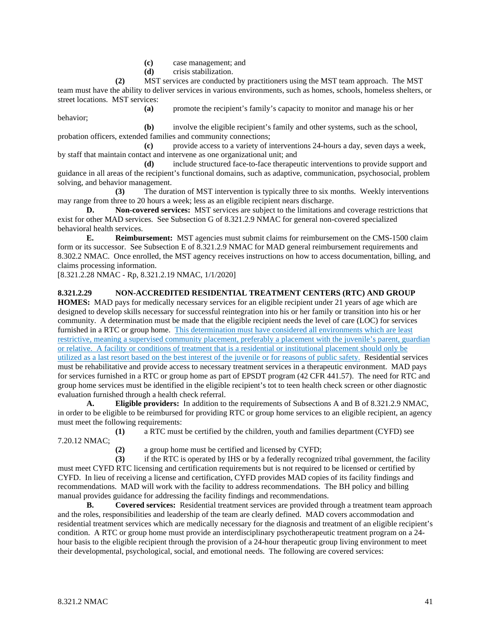- **(c)** case management; and
- **(d)** crisis stabilization.

**(2)** MST services are conducted by practitioners using the MST team approach. The MST team must have the ability to deliver services in various environments, such as homes, schools, homeless shelters, or street locations. MST services:

**(a)** promote the recipient's family's capacity to monitor and manage his or her

**(b)** involve the eligible recipient's family and other systems, such as the school, probation officers, extended families and community connections;

**(c)** provide access to a variety of interventions 24-hours a day, seven days a week, by staff that maintain contact and intervene as one organizational unit; and

**(d)** include structured face-to-face therapeutic interventions to provide support and guidance in all areas of the recipient's functional domains, such as adaptive, communication, psychosocial, problem solving, and behavior management.

**(3)** The duration of MST intervention is typically three to six months. Weekly interventions may range from three to 20 hours a week; less as an eligible recipient nears discharge.

**D. Non-covered services:** MST services are subject to the limitations and coverage restrictions that exist for other MAD services. See Subsection G of 8.321.2.9 NMAC for general non-covered specialized behavioral health services.

**E. Reimbursement:** MST agencies must submit claims for reimbursement on the CMS-1500 claim form or its successor. See Subsection E of 8.321.2.9 NMAC for MAD general reimbursement requirements and 8.302.2 NMAC. Once enrolled, the MST agency receives instructions on how to access documentation, billing, and claims processing information.

[8.321.2.28 NMAC - Rp, 8.321.2.19 NMAC, 1/1/2020]

behavior;

## **8.321.2.29 NON-ACCREDITED RESIDENTIAL TREATMENT CENTERS (RTC) AND GROUP**

**HOMES:** MAD pays for medically necessary services for an eligible recipient under 21 years of age which are designed to develop skills necessary for successful reintegration into his or her family or transition into his or her community. A determination must be made that the eligible recipient needs the level of care (LOC) for services furnished in a RTC or group home. This determination must have considered all environments which are least restrictive, meaning a supervised community placement, preferably a placement with the juvenile's parent, guardian or relative. A facility or conditions of treatment that is a residential or institutional placement should only be utilized as a last resort based on the best interest of the juvenile or for reasons of public safety. Residential services must be rehabilitative and provide access to necessary treatment services in a therapeutic environment. MAD pays for services furnished in a RTC or group home as part of EPSDT program (42 CFR 441.57). The need for RTC and group home services must be identified in the eligible recipient's tot to teen health check screen or other diagnostic evaluation furnished through a health check referral.

**A. Eligible providers:** In addition to the requirements of Subsections A and B of 8.321.2.9 NMAC, in order to be eligible to be reimbursed for providing RTC or group home services to an eligible recipient, an agency must meet the following requirements:

**(1)** a RTC must be certified by the children, youth and families department (CYFD) see 7.20.12 NMAC;

**(2)** a group home must be certified and licensed by CYFD;

**(3)** if the RTC is operated by IHS or by a federally recognized tribal government, the facility must meet CYFD RTC licensing and certification requirements but is not required to be licensed or certified by CYFD. In lieu of receiving a license and certification, CYFD provides MAD copies of its facility findings and recommendations. MAD will work with the facility to address recommendations. The BH policy and billing manual provides guidance for addressing the facility findings and recommendations.

**B. Covered services:** Residential treatment services are provided through a treatment team approach and the roles, responsibilities and leadership of the team are clearly defined. MAD covers accommodation and residential treatment services which are medically necessary for the diagnosis and treatment of an eligible recipient's condition. A RTC or group home must provide an interdisciplinary psychotherapeutic treatment program on a 24 hour basis to the eligible recipient through the provision of a 24-hour therapeutic group living environment to meet their developmental, psychological, social, and emotional needs. The following are covered services: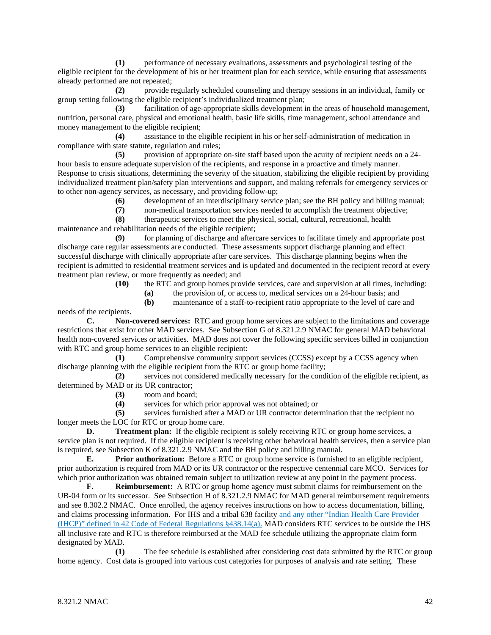**(1)** performance of necessary evaluations, assessments and psychological testing of the eligible recipient for the development of his or her treatment plan for each service, while ensuring that assessments already performed are not repeated;

**(2)** provide regularly scheduled counseling and therapy sessions in an individual, family or group setting following the eligible recipient's individualized treatment plan;

**(3)** facilitation of age-appropriate skills development in the areas of household management, nutrition, personal care, physical and emotional health, basic life skills, time management, school attendance and money management to the eligible recipient;

**(4)** assistance to the eligible recipient in his or her self-administration of medication in compliance with state statute, regulation and rules;

**(5)** provision of appropriate on-site staff based upon the acuity of recipient needs on a 24 hour basis to ensure adequate supervision of the recipients, and response in a proactive and timely manner. Response to crisis situations, determining the severity of the situation, stabilizing the eligible recipient by providing individualized treatment plan/safety plan interventions and support, and making referrals for emergency services or to other non-agency services, as necessary, and providing follow-up;

**(6)** development of an interdisciplinary service plan; see the BH policy and billing manual;

**(7)** non-medical transportation services needed to accomplish the treatment objective;

**(8)** therapeutic services to meet the physical, social, cultural, recreational, health maintenance and rehabilitation needs of the eligible recipient;

**(9)** for planning of discharge and aftercare services to facilitate timely and appropriate post discharge care regular assessments are conducted. These assessments support discharge planning and effect successful discharge with clinically appropriate after care services. This discharge planning begins when the recipient is admitted to residential treatment services and is updated and documented in the recipient record at every treatment plan review, or more frequently as needed; and

**(10)** the RTC and group homes provide services, care and supervision at all times, including:

**(a)** the provision of, or access to, medical services on a 24-hour basis; and

**(b)** maintenance of a staff-to-recipient ratio appropriate to the level of care and

needs of the recipients.

**C. Non-covered services:** RTC and group home services are subject to the limitations and coverage restrictions that exist for other MAD services. See Subsection G of 8.321.2.9 NMAC for general MAD behavioral health non-covered services or activities. MAD does not cover the following specific services billed in conjunction with RTC and group home services to an eligible recipient:

**(1)** Comprehensive community support services (CCSS) except by a CCSS agency when discharge planning with the eligible recipient from the RTC or group home facility;

**(2)** services not considered medically necessary for the condition of the eligible recipient, as determined by MAD or its UR contractor;

**(3)** room and board;

**(4)** services for which prior approval was not obtained; or

**(5)** services furnished after a MAD or UR contractor determination that the recipient no longer meets the LOC for RTC or group home care.

**D. Treatment plan:** If the eligible recipient is solely receiving RTC or group home services, a service plan is not required. If the eligible recipient is receiving other behavioral health services, then a service plan is required, see Subsection K of 8.321.2.9 NMAC and the BH policy and billing manual.

**E. Prior authorization:** Before a RTC or group home service is furnished to an eligible recipient, prior authorization is required from MAD or its UR contractor or the respective centennial care MCO. Services for which prior authorization was obtained remain subject to utilization review at any point in the payment process.

**F. Reimbursement:** A RTC or group home agency must submit claims for reimbursement on the UB-04 form or its successor. See Subsection H of 8.321.2.9 NMAC for MAD general reimbursement requirements and see 8.302.2 NMAC. Once enrolled, the agency receives instructions on how to access documentation, billing, and claims processing information. For IHS and a tribal 638 facility and any other "Indian Health Care Provider (IHCP)" defined in 42 Code of Federal Regulations §438.14(a), MAD considers RTC services to be outside the IHS all inclusive rate and RTC is therefore reimbursed at the MAD fee schedule utilizing the appropriate claim form designated by MAD.

**(1)** The fee schedule is established after considering cost data submitted by the RTC or group home agency. Cost data is grouped into various cost categories for purposes of analysis and rate setting. These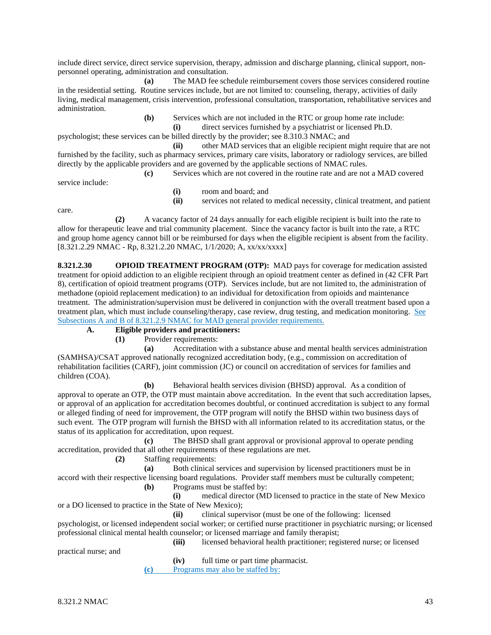include direct service, direct service supervision, therapy, admission and discharge planning, clinical support, nonpersonnel operating, administration and consultation.

**(a)** The MAD fee schedule reimbursement covers those services considered routine in the residential setting. Routine services include, but are not limited to: counseling, therapy, activities of daily living, medical management, crisis intervention, professional consultation, transportation, rehabilitative services and administration.

**(b)** Services which are not included in the RTC or group home rate include:

**(i)** direct services furnished by a psychiatrist or licensed Ph.D.

psychologist; these services can be billed directly by the provider; see 8.310.3 NMAC; and

**(ii)** other MAD services that an eligible recipient might require that are not furnished by the facility, such as pharmacy services, primary care visits, laboratory or radiology services, are billed directly by the applicable providers and are governed by the applicable sections of NMAC rules.

**(c)** Services which are not covered in the routine rate and are not a MAD covered service include:

**(i)** room and board; and

**(ii)** services not related to medical necessity, clinical treatment, and patient

care.

**(2)** A vacancy factor of 24 days annually for each eligible recipient is built into the rate to allow for therapeutic leave and trial community placement. Since the vacancy factor is built into the rate, a RTC and group home agency cannot bill or be reimbursed for days when the eligible recipient is absent from the facility. [8.321.2.29 NMAC - Rp, 8.321.2.20 NMAC, 1/1/2020; A, xx/xx/xxxx]

**8.321.2.30 OPIOID TREATMENT PROGRAM (OTP):** MAD pays for coverage for medication assisted treatment for opioid addiction to an eligible recipient through an opioid treatment center as defined in (42 CFR Part 8), certification of opioid treatment programs (OTP). Services include, but are not limited to, the administration of methadone (opioid replacement medication) to an individual for detoxification from opioids and maintenance treatment. The administration/supervision must be delivered in conjunction with the overall treatment based upon a treatment plan, which must include counseling/therapy, case review, drug testing, and medication monitoring. See Subsections A and B of 8.321.2.9 NMAC for MAD general provider requirements.

**A. Eligible providers and practitioners:**

**(1)** Provider requirements:

**(a)** Accreditation with a substance abuse and mental health services administration (SAMHSA)/CSAT approved nationally recognized accreditation body, (e.g., commission on accreditation of rehabilitation facilities (CARF), joint commission (JC) or council on accreditation of services for families and children (COA).

**(b)** Behavioral health services division (BHSD) approval. As a condition of approval to operate an OTP, the OTP must maintain above accreditation. In the event that such accreditation lapses, or approval of an application for accreditation becomes doubtful, or continued accreditation is subject to any formal or alleged finding of need for improvement, the OTP program will notify the BHSD within two business days of such event. The OTP program will furnish the BHSD with all information related to its accreditation status, or the status of its application for accreditation, upon request.

**(c)** The BHSD shall grant approval or provisional approval to operate pending accreditation, provided that all other requirements of these regulations are met.

**(2)** Staffing requirements:

**(a)** Both clinical services and supervision by licensed practitioners must be in accord with their respective licensing board regulations. Provider staff members must be culturally competent; **(b)** Programs must be staffed by:

**(i)** medical director (MD licensed to practice in the state of New Mexico or a DO licensed to practice in the State of New Mexico);

**(ii)** clinical supervisor (must be one of the following: licensed

psychologist, or licensed independent social worker; or certified nurse practitioner in psychiatric nursing; or licensed professional clinical mental health counselor; or licensed marriage and family therapist; **(iii)** licensed behavioral health practitioner; registered nurse; or licensed

practical nurse; and

**(iv)** full time or part time pharmacist.

**(c)** Programs may also be staffed by: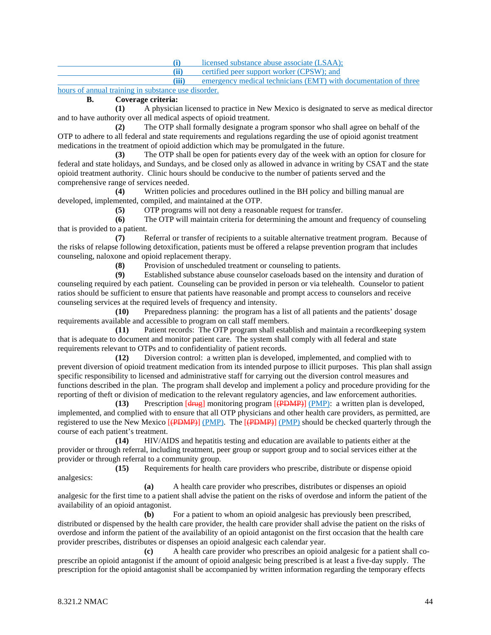**(i)** licensed substance abuse associate (LSAA);

**(ii)** certified peer support worker (CPSW); and

**(iii)** emergency medical technicians (EMT) with documentation of three hours of annual training in substance use disorder.

# **B. Coverage criteria:**

**(1)** A physician licensed to practice in New Mexico is designated to serve as medical director and to have authority over all medical aspects of opioid treatment.

**(2)** The OTP shall formally designate a program sponsor who shall agree on behalf of the OTP to adhere to all federal and state requirements and regulations regarding the use of opioid agonist treatment medications in the treatment of opioid addiction which may be promulgated in the future.

**(3)** The OTP shall be open for patients every day of the week with an option for closure for federal and state holidays, and Sundays, and be closed only as allowed in advance in writing by CSAT and the state opioid treatment authority. Clinic hours should be conducive to the number of patients served and the comprehensive range of services needed.

**(4)** Written policies and procedures outlined in the BH policy and billing manual are developed, implemented, compiled, and maintained at the OTP.

**(5)** OTP programs will not deny a reasonable request for transfer.

**(6)** The OTP will maintain criteria for determining the amount and frequency of counseling that is provided to a patient.

**(7)** Referral or transfer of recipients to a suitable alternative treatment program. Because of the risks of relapse following detoxification, patients must be offered a relapse prevention program that includes counseling, naloxone and opioid replacement therapy.

**(8)** Provision of unscheduled treatment or counseling to patients.<br>**(9)** Established substance abuse counselor caseloads based on the

**(9)** Established substance abuse counselor caseloads based on the intensity and duration of counseling required by each patient. Counseling can be provided in person or via telehealth. Counselor to patient ratios should be sufficient to ensure that patients have reasonable and prompt access to counselors and receive counseling services at the required levels of frequency and intensity.

**(10)** Preparedness planning: the program has a list of all patients and the patients' dosage requirements available and accessible to program on call staff members.

**(11)** Patient records: The OTP program shall establish and maintain a recordkeeping system that is adequate to document and monitor patient care. The system shall comply with all federal and state requirements relevant to OTPs and to confidentiality of patient records.

**(12)** Diversion control: a written plan is developed, implemented, and complied with to prevent diversion of opioid treatment medication from its intended purpose to illicit purposes. This plan shall assign specific responsibility to licensed and administrative staff for carrying out the diversion control measures and functions described in the plan. The program shall develop and implement a policy and procedure providing for the reporting of theft or division of medication to the relevant regulatory agencies, and law enforcement authorities.

**(13)** Prescription [drug] monitoring program [(PDMP)] (PMP): a written plan is developed, implemented, and complied with to ensure that all OTP physicians and other health care providers, as permitted, are registered to use the New Mexico  $\overline{(\overline{\text{PDMP}}) (\overline{\text{PMP}})}$ . The  $\overline{(\overline{\text{PDMP}}) (\overline{\text{PMP}})}$  should be checked quarterly through the course of each patient's treatment.

**(14)** HIV/AIDS and hepatitis testing and education are available to patients either at the provider or through referral, including treatment, peer group or support group and to social services either at the provider or through referral to a community group.

**(15)** Requirements for health care providers who prescribe, distribute or dispense opioid analgesics:

**(a)** A health care provider who prescribes, distributes or dispenses an opioid analgesic for the first time to a patient shall advise the patient on the risks of overdose and inform the patient of the availability of an opioid antagonist.

**(b)** For a patient to whom an opioid analgesic has previously been prescribed, distributed or dispensed by the health care provider, the health care provider shall advise the patient on the risks of overdose and inform the patient of the availability of an opioid antagonist on the first occasion that the health care provider prescribes, distributes or dispenses an opioid analgesic each calendar year.

**(c)** A health care provider who prescribes an opioid analgesic for a patient shall coprescribe an opioid antagonist if the amount of opioid analgesic being prescribed is at least a five-day supply. The prescription for the opioid antagonist shall be accompanied by written information regarding the temporary effects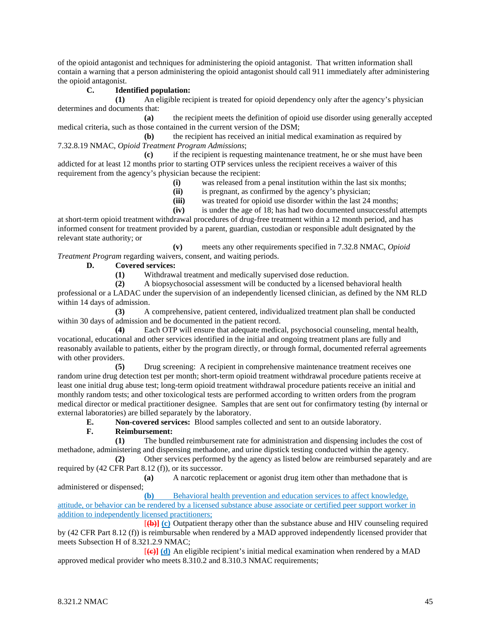of the opioid antagonist and techniques for administering the opioid antagonist. That written information shall contain a warning that a person administering the opioid antagonist should call 911 immediately after administering the opioid antagonist.

## **C. Identified population:**

**(1)** An eligible recipient is treated for opioid dependency only after the agency's physician determines and documents that:

**(a)** the recipient meets the definition of opioid use disorder using generally accepted medical criteria, such as those contained in the current version of the DSM;

**(b)** the recipient has received an initial medical examination as required by 7.32.8.19 NMAC, *Opioid Treatment Program Admissions*;

**(c)** if the recipient is requesting maintenance treatment, he or she must have been addicted for at least 12 months prior to starting OTP services unless the recipient receives a waiver of this requirement from the agency's physician because the recipient:

- **(i)** was released from a penal institution within the last six months;
- **(ii)** is pregnant, as confirmed by the agency's physician;
- **(iii)** was treated for opioid use disorder within the last 24 months;

**(iv)** is under the age of 18; has had two documented unsuccessful attempts at short-term opioid treatment withdrawal procedures of drug-free treatment within a 12 month period, and has informed consent for treatment provided by a parent, guardian, custodian or responsible adult designated by the

relevant state authority; or **(v)** meets any other requirements specified in 7.32.8 NMAC, *Opioid* 

*Treatment Program* regarding waivers, consent, and waiting periods.

## **D. Covered services:**

**(1)** Withdrawal treatment and medically supervised dose reduction.

**(2)** A biopsychosocial assessment will be conducted by a licensed behavioral health professional or a LADAC under the supervision of an independently licensed clinician, as defined by the NM RLD within 14 days of admission.

**(3)** A comprehensive, patient centered, individualized treatment plan shall be conducted within 30 days of admission and be documented in the patient record.

**(4)** Each OTP will ensure that adequate medical, psychosocial counseling, mental health, vocational, educational and other services identified in the initial and ongoing treatment plans are fully and reasonably available to patients, either by the program directly, or through formal, documented referral agreements with other providers.

**(5)** Drug screening: A recipient in comprehensive maintenance treatment receives one random urine drug detection test per month; short-term opioid treatment withdrawal procedure patients receive at least one initial drug abuse test; long-term opioid treatment withdrawal procedure patients receive an initial and monthly random tests; and other toxicological tests are performed according to written orders from the program medical director or medical practitioner designee. Samples that are sent out for confirmatory testing (by internal or external laboratories) are billed separately by the laboratory.

**E. Non-covered services:** Blood samples collected and sent to an outside laboratory.

## **F. Reimbursement:**

**(1)** The bundled reimbursement rate for administration and dispensing includes the cost of methadone, administering and dispensing methadone, and urine dipstick testing conducted within the agency.

**(2)** Other services performed by the agency as listed below are reimbursed separately and are required by (42 CFR Part 8.12 (f)), or its successor.

**(a)** A narcotic replacement or agonist drug item other than methadone that is administered or dispensed;

**(b)** Behavioral health prevention and education services to affect knowledge, attitude, or behavior can be rendered by a licensed substance abuse associate or certified peer support worker in addition to independently licensed practitioners;

[**(b)] (c)** Outpatient therapy other than the substance abuse and HIV counseling required by (42 CFR Part 8.12 (f)) is reimbursable when rendered by a MAD approved independently licensed provider that meets Subsection H of 8.321.2.9 NMAC;

[**(c)] (d)** An eligible recipient's initial medical examination when rendered by a MAD approved medical provider who meets 8.310.2 and 8.310.3 NMAC requirements;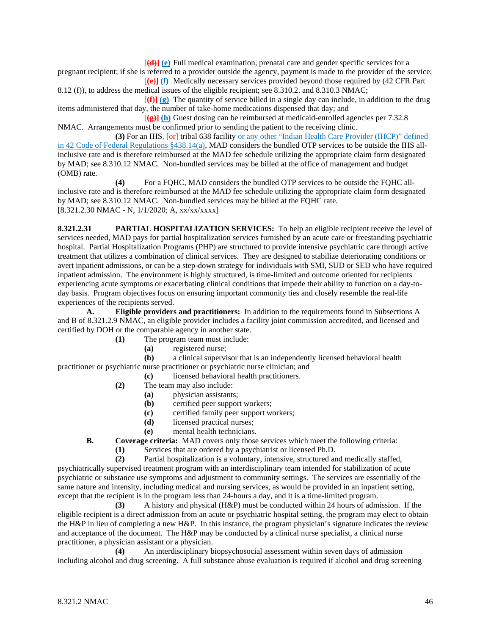[**(d)] (e)** Full medical examination, prenatal care and gender specific services for a

pregnant recipient; if she is referred to a provider outside the agency, payment is made to the provider of the service; [**(e)] (f)** Medically necessary services provided beyond those required by (42 CFR Part

8.12 (f)), to address the medical issues of the eligible recipient; see 8.310.2. and 8.310.3 NMAC; [**(f)] (g)** The quantity of service billed in a single day can include, in addition to the drug

items administered that day, the number of take-home medications dispensed that day; and [**(g)] (h)** Guest dosing can be reimbursed at medicaid-enrolled agencies per 7.32.8

NMAC. Arrangements must be confirmed prior to sending the patient to the receiving clinic.

(3) For an IHS<sub>1</sub> [ $\Theta$ F] tribal 638 facility <u>or any other "Indian Health Care Provider (IHCP)" defined</u> in 42 Code of Federal Regulations §438.14(a), MAD considers the bundled OTP services to be outside the IHS allinclusive rate and is therefore reimbursed at the MAD fee schedule utilizing the appropriate claim form designated by MAD; see 8.310.12 NMAC. Non-bundled services may be billed at the office of management and budget (OMB) rate.

**(4)** For a FQHC, MAD considers the bundled OTP services to be outside the FQHC allinclusive rate and is therefore reimbursed at the MAD fee schedule utilizing the appropriate claim form designated by MAD; see 8.310.12 NMAC. Non-bundled services may be billed at the FQHC rate. [8.321.2.30 NMAC - N, 1/1/2020; A, xx/xx/xxxx]

**8.321.2.31 PARTIAL HOSPITALIZATION SERVICES:** To help an eligible recipient receive the level of services needed, MAD pays for partial hospitalization services furnished by an acute care or freestanding psychiatric hospital. Partial Hospitalization Programs (PHP) are structured to provide intensive psychiatric care through active treatment that utilizes a combination of clinical services. They are designed to stabilize deteriorating conditions or avert inpatient admissions, or can be a step-down strategy for individuals with SMI, SUD or SED who have required inpatient admission. The environment is highly structured, is time-limited and outcome oriented for recipients experiencing acute symptoms or exacerbating clinical conditions that impede their ability to function on a day-today basis. Program objectives focus on ensuring important community ties and closely resemble the real-life experiences of the recipients served.

**A. Eligible providers and practitioners:** In addition to the requirements found in Subsections A and B of 8.321.2.9 NMAC, an eligible provider includes a facility joint commission accredited, and licensed and certified by DOH or the comparable agency in another state.

- **(1)** The program team must include:
	- **(a)** registered nurse;

**(b)** a clinical supervisor that is an independently licensed behavioral health practitioner or psychiatric nurse practitioner or psychiatric nurse clinician; and

**(c)** licensed behavioral health practitioners.

- **(2)** The team may also include:
	- **(a)** physician assistants;
	- **(b)** certified peer support workers;
	- **(c)** certified family peer support workers;
	- **(d)** licensed practical nurses;
	- **(e)** mental health technicians.
- **B. Coverage criteria:** MAD covers only those services which meet the following criteria:
	- **(1)** Services that are ordered by a psychiatrist or licensed Ph.D.
	- **(2)** Partial hospitalization is a voluntary, intensive, structured and medically staffed,

psychiatrically supervised treatment program with an interdisciplinary team intended for stabilization of acute psychiatric or substance use symptoms and adjustment to community settings. The services are essentially of the same nature and intensity, including medical and nursing services, as would be provided in an inpatient setting, except that the recipient is in the program less than 24-hours a day, and it is a time-limited program.

**(3)** A history and physical (H&P) must be conducted within 24 hours of admission. If the eligible recipient is a direct admission from an acute or psychiatric hospital setting, the program may elect to obtain the H&P in lieu of completing a new H&P. In this instance, the program physician's signature indicates the review and acceptance of the document. The H&P may be conducted by a clinical nurse specialist, a clinical nurse practitioner, a physician assistant or a physician.

**(4)** An interdisciplinary biopsychosocial assessment within seven days of admission including alcohol and drug screening. A full substance abuse evaluation is required if alcohol and drug screening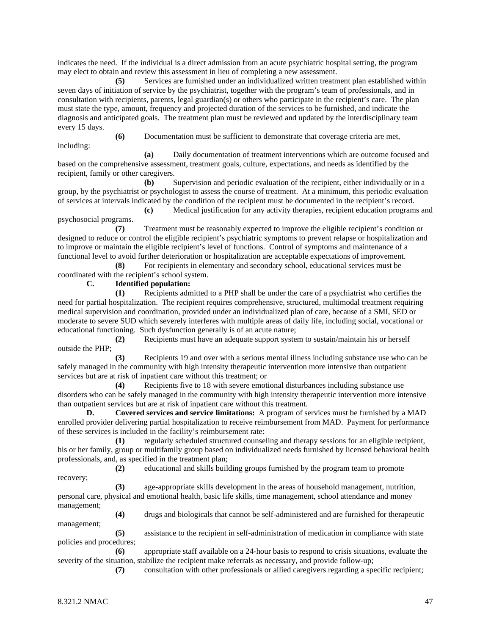indicates the need. If the individual is a direct admission from an acute psychiatric hospital setting, the program may elect to obtain and review this assessment in lieu of completing a new assessment.

**(5)** Services are furnished under an individualized written treatment plan established within seven days of initiation of service by the psychiatrist, together with the program's team of professionals, and in consultation with recipients, parents, legal guardian(s) or others who participate in the recipient's care. The plan must state the type, amount, frequency and projected duration of the services to be furnished, and indicate the diagnosis and anticipated goals. The treatment plan must be reviewed and updated by the interdisciplinary team every 15 days.

**(6)** Documentation must be sufficient to demonstrate that coverage criteria are met, including:

**(a)** Daily documentation of treatment interventions which are outcome focused and based on the comprehensive assessment, treatment goals, culture, expectations, and needs as identified by the recipient, family or other caregivers.

**(b)** Supervision and periodic evaluation of the recipient, either individually or in a group, by the psychiatrist or psychologist to assess the course of treatment. At a minimum, this periodic evaluation of services at intervals indicated by the condition of the recipient must be documented in the recipient's record.

**(c)** Medical justification for any activity therapies, recipient education programs and psychosocial programs.

**(7)** Treatment must be reasonably expected to improve the eligible recipient's condition or designed to reduce or control the eligible recipient's psychiatric symptoms to prevent relapse or hospitalization and to improve or maintain the eligible recipient's level of functions. Control of symptoms and maintenance of a functional level to avoid further deterioration or hospitalization are acceptable expectations of improvement.

**(8)** For recipients in elementary and secondary school, educational services must be coordinated with the recipient's school system.

## **C. Identified population:**

**(1)** Recipients admitted to a PHP shall be under the care of a psychiatrist who certifies the need for partial hospitalization. The recipient requires comprehensive, structured, multimodal treatment requiring medical supervision and coordination, provided under an individualized plan of care, because of a SMI, SED or moderate to severe SUD which severely interferes with multiple areas of daily life, including social, vocational or educational functioning. Such dysfunction generally is of an acute nature;

**(2)** Recipients must have an adequate support system to sustain/maintain his or herself outside the PHP;

**(3)** Recipients 19 and over with a serious mental illness including substance use who can be safely managed in the community with high intensity therapeutic intervention more intensive than outpatient services but are at risk of inpatient care without this treatment; or

**(4)** Recipients five to 18 with severe emotional disturbances including substance use disorders who can be safely managed in the community with high intensity therapeutic intervention more intensive than outpatient services but are at risk of inpatient care without this treatment.

**D. Covered services and service limitations:** A program of services must be furnished by a MAD enrolled provider delivering partial hospitalization to receive reimbursement from MAD. Payment for performance of these services is included in the facility's reimbursement rate:

**(1)** regularly scheduled structured counseling and therapy sessions for an eligible recipient, his or her family, group or multifamily group based on individualized needs furnished by licensed behavioral health professionals, and, as specified in the treatment plan;

**(2)** educational and skills building groups furnished by the program team to promote

**(3)** age-appropriate skills development in the areas of household management, nutrition, personal care, physical and emotional health, basic life skills, time management, school attendance and money management;

**(4)** drugs and biologicals that cannot be self-administered and are furnished for therapeutic management;

**(5)** assistance to the recipient in self-administration of medication in compliance with state policies and procedures;

**(6)** appropriate staff available on a 24-hour basis to respond to crisis situations, evaluate the severity of the situation, stabilize the recipient make referrals as necessary, and provide follow-up;

**(7)** consultation with other professionals or allied caregivers regarding a specific recipient;

recovery;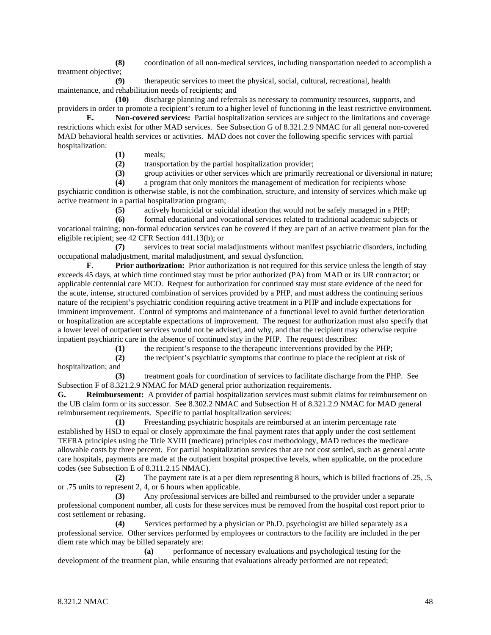**(8)** coordination of all non-medical services, including transportation needed to accomplish a treatment objective;

**(9)** therapeutic services to meet the physical, social, cultural, recreational, health maintenance, and rehabilitation needs of recipients; and

**(10)** discharge planning and referrals as necessary to community resources, supports, and providers in order to promote a recipient's return to a higher level of functioning in the least restrictive environment.

**E. Non-covered services:** Partial hospitalization services are subject to the limitations and coverage restrictions which exist for other MAD services. See Subsection G of 8.321.2.9 NMAC for all general non-covered MAD behavioral health services or activities. MAD does not cover the following specific services with partial hospitalization:

**(1)** meals;

**(2)** transportation by the partial hospitalization provider;

**(3)** group activities or other services which are primarily recreational or diversional in nature;

**(4)** a program that only monitors the management of medication for recipients whose psychiatric condition is otherwise stable, is not the combination, structure, and intensity of services which make up active treatment in a partial hospitalization program;

**(5)** actively homicidal or suicidal ideation that would not be safely managed in a PHP;

**(6)** formal educational and vocational services related to traditional academic subjects or vocational training; non-formal education services can be covered if they are part of an active treatment plan for the eligible recipient; see 42 CFR Section 441.13(b); or

**(7)** services to treat social maladjustments without manifest psychiatric disorders, including occupational maladjustment, marital maladjustment, and sexual dysfunction.

**F. Prior authorization:** Prior authorization is not required for this service unless the length of stay exceeds 45 days, at which time continued stay must be prior authorized (PA) from MAD or its UR contractor; or applicable centennial care MCO. Request for authorization for continued stay must state evidence of the need for the acute, intense, structured combination of services provided by a PHP, and must address the continuing serious nature of the recipient's psychiatric condition requiring active treatment in a PHP and include expectations for imminent improvement. Control of symptoms and maintenance of a functional level to avoid further deterioration or hospitalization are acceptable expectations of improvement. The request for authorization must also specify that a lower level of outpatient services would not be advised, and why, and that the recipient may otherwise require inpatient psychiatric care in the absence of continued stay in the PHP. The request describes:

**(1)** the recipient's response to the therapeutic interventions provided by the PHP;

**(2)** the recipient's psychiatric symptoms that continue to place the recipient at risk of hospitalization; and

**(3)** treatment goals for coordination of services to facilitate discharge from the PHP. See Subsection F of 8.321.2.9 NMAC for MAD general prior authorization requirements.

**G. Reimbursement:** A provider of partial hospitalization services must submit claims for reimbursement on the UB claim form or its successor. See 8.302.2 NMAC and Subsection H of 8.321.2.9 NMAC for MAD general reimbursement requirements. Specific to partial hospitalization services:

**(1)** Freestanding psychiatric hospitals are reimbursed at an interim percentage rate established by HSD to equal or closely approximate the final payment rates that apply under the cost settlement TEFRA principles using the Title XVIII (medicare) principles cost methodology, MAD reduces the medicare allowable costs by three percent. For partial hospitalization services that are not cost settled, such as general acute care hospitals, payments are made at the outpatient hospital prospective levels, when applicable, on the procedure codes (see Subsection E of 8.311.2.15 NMAC).

**(2)** The payment rate is at a per diem representing 8 hours, which is billed fractions of .25, .5, or .75 units to represent 2, 4, or 6 hours when applicable.

**(3)** Any professional services are billed and reimbursed to the provider under a separate professional component number, all costs for these services must be removed from the hospital cost report prior to cost settlement or rebasing.

**(4)** Services performed by a physician or Ph.D. psychologist are billed separately as a professional service. Other services performed by employees or contractors to the facility are included in the per diem rate which may be billed separately are:

**(a)** performance of necessary evaluations and psychological testing for the development of the treatment plan, while ensuring that evaluations already performed are not repeated;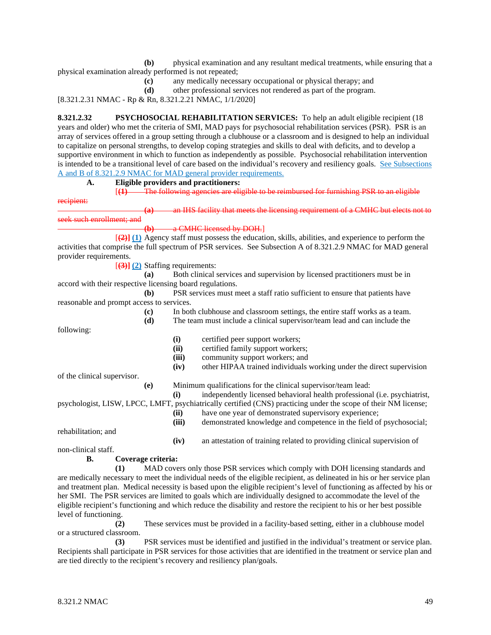**(b)** physical examination and any resultant medical treatments, while ensuring that a physical examination already performed is not repeated;

- **(c)** any medically necessary occupational or physical therapy; and
- **(d)** other professional services not rendered as part of the program.

[8.321.2.31 NMAC - Rp & Rn, 8.321.2.21 NMAC, 1/1/2020]

**8.321.2.32 PSYCHOSOCIAL REHABILITATION SERVICES:** To help an adult eligible recipient (18 years and older) who met the criteria of SMI, MAD pays for psychosocial rehabilitation services (PSR). PSR is an array of services offered in a group setting through a clubhouse or a classroom and is designed to help an individual to capitalize on personal strengths, to develop coping strategies and skills to deal with deficits, and to develop a supportive environment in which to function as independently as possible. Psychosocial rehabilitation intervention is intended to be a transitional level of care based on the individual's recovery and resiliency goals. See Subsections A and B of 8.321.2.9 NMAC for MAD general provider requirements.

**A. Eligible providers and practitioners:**

[(1) The following agencies are eligible to be reimbursed for furnishing PSR

**IHS facility that meets the licensing requirement of a CMHC but elects not to** seek such enrollment; and

#### **(b)** a CMHC licensed by DOH.]

[**(2)] (1)** Agency staff must possess the education, skills, abilities, and experience to perform the activities that comprise the full spectrum of PSR services. See Subsection A of 8.321.2.9 NMAC for MAD general provider requirements.

[**(3)] (2)** Staffing requirements:

**(a)** Both clinical services and supervision by licensed practitioners must be in accord with their respective licensing board regulations.

**(b)** PSR services must meet a staff ratio sufficient to ensure that patients have reasonable and prompt access to services.

- **(c)** In both clubhouse and classroom settings, the entire staff works as a team.
- **(d)** The team must include a clinical supervisor/team lead and can include the

following:

recipient:

**(i)** certified peer support workers;

- **(ii)** certified family support workers;
- **(iii)** community support workers; and
- **(iv)** other HIPAA trained individuals working under the direct supervision

of the clinical supervisor.

**(e)** Minimum qualifications for the clinical supervisor/team lead:

**(i)** independently licensed behavioral health professional (i.e. psychiatrist, psychologist, LISW, LPCC, LMFT, psychiatrically certified (CNS) practicing under the scope of their NM license;

**(ii)** have one year of demonstrated supervisory experience;

**(iii)** demonstrated knowledge and competence in the field of psychosocial;

**(iv)** an attestation of training related to providing clinical supervision of

non-clinical staff.

rehabilitation; and

#### **B. Coverage criteria:**

**(1)** MAD covers only those PSR services which comply with DOH licensing standards and are medically necessary to meet the individual needs of the eligible recipient, as delineated in his or her service plan and treatment plan. Medical necessity is based upon the eligible recipient's level of functioning as affected by his or her SMI. The PSR services are limited to goals which are individually designed to accommodate the level of the eligible recipient's functioning and which reduce the disability and restore the recipient to his or her best possible level of functioning.

**(2)** These services must be provided in a facility-based setting, either in a clubhouse model or a structured classroom.

**(3)** PSR services must be identified and justified in the individual's treatment or service plan. Recipients shall participate in PSR services for those activities that are identified in the treatment or service plan and are tied directly to the recipient's recovery and resiliency plan/goals.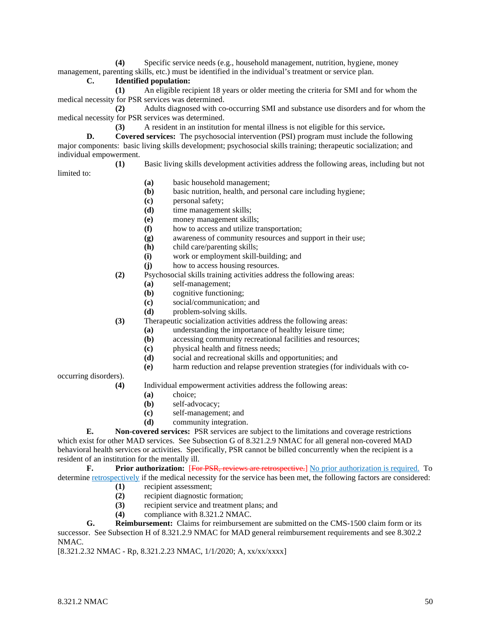**(4)** Specific service needs (e.g., household management, nutrition, hygiene, money management, parenting skills, etc.) must be identified in the individual's treatment or service plan.

# **C. Identified population:**

**(1)** An eligible recipient 18 years or older meeting the criteria for SMI and for whom the medical necessity for PSR services was determined.

**(2)** Adults diagnosed with co-occurring SMI and substance use disorders and for whom the medical necessity for PSR services was determined.

**(3)** A resident in an institution for mental illness is not eligible for this service**.**

**D. Covered services:** The psychosocial intervention (PSI) program must include the following major components: basic living skills development; psychosocial skills training; therapeutic socialization; and individual empowerment.

**(1)** Basic living skills development activities address the following areas, including but not limited to:

- **(a)** basic household management;
- **(b)** basic nutrition, health, and personal care including hygiene;
- **(c)** personal safety;
- **(d)** time management skills;
- **(e)** money management skills;
- **(f)** how to access and utilize transportation;
- **(g)** awareness of community resources and support in their use;
- **(h)** child care/parenting skills;
- **(i)** work or employment skill-building; and
- **(j)** how to access housing resources.
- **(2)** Psychosocial skills training activities address the following areas:
	- **(a)** self-management;
	- **(b)** cognitive functioning;
	- **(c)** social/communication; and
	- **(d)** problem-solving skills.

**(3)** Therapeutic socialization activities address the following areas:

- **(a)** understanding the importance of healthy leisure time;
- **(b)** accessing community recreational facilities and resources;
- **(c)** physical health and fitness needs;
- **(d)** social and recreational skills and opportunities; and
- **(e)** harm reduction and relapse prevention strategies (for individuals with co-

occurring disorders).

- **(4)** Individual empowerment activities address the following areas:
	- **(a)** choice;
	- **(b)** self-advocacy;
	- **(c)** self-management; and
	- **(d)** community integration.

**E. Non-covered services:** PSR services are subject to the limitations and coverage restrictions which exist for other MAD services. See Subsection G of 8.321.2.9 NMAC for all general non-covered MAD behavioral health services or activities. Specifically, PSR cannot be billed concurrently when the recipient is a resident of an institution for the mentally ill.

**F. Prior authorization:** [For PSR, reviews are retrospective.] No prior authorization is required. To determine retrospectively if the medical necessity for the service has been met, the following factors are considered:

- **(1)** recipient assessment;
- **(2)** recipient diagnostic formation;
- **(3)** recipient service and treatment plans; and
- **(4)** compliance with 8.321.2 NMAC.

**G. Reimbursement:** Claims for reimbursement are submitted on the CMS-1500 claim form or its successor. See Subsection H of 8.321.2.9 NMAC for MAD general reimbursement requirements and see 8.302.2 NMAC.

[8.321.2.32 NMAC - Rp, 8.321.2.23 NMAC, 1/1/2020; A, xx/xx/xxxx]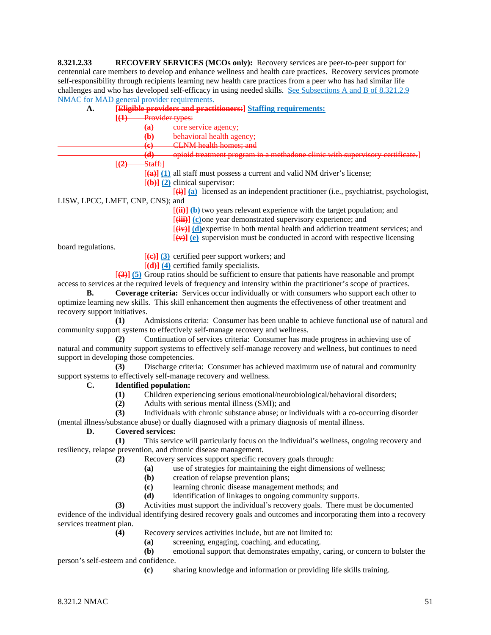**8.321.2.33 RECOVERY SERVICES (MCOs only):** Recovery services are peer-to-peer support for centennial care members to develop and enhance wellness and health care practices. Recovery services promote self-responsibility through recipients learning new health care practices from a peer who has had similar life challenges and who has developed self-efficacy in using needed skills. See Subsections A and B of 8.321.2.9 NMAC for MAD general provider requirements.

| А. | [Eligible providers and practitioners:] Staffing requirements:                                   |
|----|--------------------------------------------------------------------------------------------------|
|    | Provider types:<br>[ <del>(1)</del>                                                              |
|    | 60)<br>core service agency;<br>رىئ                                                               |
|    | behavioral health agency;<br>ሔነ<br>$\mathbf{w}$                                                  |
|    | CLNM health homes: and<br>$\omega$<br>प्ण                                                        |
|    | in a methadone clinic with supervisory certificate.]<br>74)<br>$\mathbf{u}$                      |
|    | Staff:<br>[ <del>(2)</del>                                                                       |
|    | $\overline{(\mathbf{a})}$ (1) all staff must possess a current and valid NM driver's license;    |
|    | $[\langle \mathbf{b} \rangle]$ (2) clinical supervisor:                                          |
|    | $\overline{f(t)}$ (a) licensed as an independent practitioner (i.e., psychiatrist, psychologist, |
|    | LISW, LPCC, LMFT, CNP, CNS); and                                                                 |
|    | $\overline{f(i)}$ (b) two years relevant experience with the target population; and              |
|    | $\left[\frac{\text{min}}{\text{min}}\right]$                                                     |

[**(iii)] (c)**one year demonstrated supervisory experience; and

[**(iv)] (d)**expertise in both mental health and addiction treatment services; and

 $[\overline{(\mathbf{v})}]$  (e) supervision must be conducted in accord with respective licensing

board regulations.

[**(c)] (3)** certified peer support workers; and

[**(d)] (4)** certified family specialists.

[**(3)] (5)** Group ratios should be sufficient to ensure that patients have reasonable and prompt access to services at the required levels of frequency and intensity within the practitioner's scope of practices.

**B. Coverage criteria:** Services occur individually or with consumers who support each other to optimize learning new skills. This skill enhancement then augments the effectiveness of other treatment and recovery support initiatives.

**(1)** Admissions criteria: Consumer has been unable to achieve functional use of natural and community support systems to effectively self-manage recovery and wellness.

**(2)** Continuation of services criteria: Consumer has made progress in achieving use of natural and community support systems to effectively self-manage recovery and wellness, but continues to need support in developing those competencies.

**(3)** Discharge criteria: Consumer has achieved maximum use of natural and community support systems to effectively self-manage recovery and wellness.

## **C. Identified population:**

- **(1)** Children experiencing serious emotional/neurobiological/behavioral disorders;
- **(2)** Adults with serious mental illness (SMI); and

**(3)** Individuals with chronic substance abuse; or individuals with a co-occurring disorder (mental illness/substance abuse) or dually diagnosed with a primary diagnosis of mental illness.

# **D. Covered services:**

**(1)** This service will particularly focus on the individual's wellness, ongoing recovery and resiliency, relapse prevention, and chronic disease management.

- **(2)** Recovery services support specific recovery goals through:
	- **(a)** use of strategies for maintaining the eight dimensions of wellness;
	- **(b)** creation of relapse prevention plans;
	- **(c)** learning chronic disease management methods; and
	- **(d)** identification of linkages to ongoing community supports.
- **(3)** Activities must support the individual's recovery goals. There must be documented

evidence of the individual identifying desired recovery goals and outcomes and incorporating them into a recovery services treatment plan.

- **(4)** Recovery services activities include, but are not limited to:
	- **(a)** screening, engaging, coaching, and educating.<br>**(b)** emotional support that demonstrates empathy,
- emotional support that demonstrates empathy, caring, or concern to bolster the person's self-esteem and confidence.
	- **(c)** sharing knowledge and information or providing life skills training.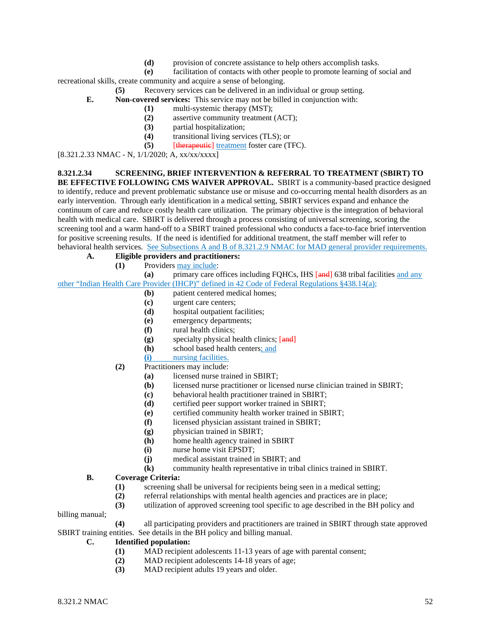**(d)** provision of concrete assistance to help others accomplish tasks.

**(e)** facilitation of contacts with other people to promote learning of social and recreational skills, create community and acquire a sense of belonging.

- **(5)** Recovery services can be delivered in an individual or group setting.
- **E. Non-covered services:** This service may not be billed in conjunction with:
	- **(1)** multi-systemic therapy (MST);
	- **(2)** assertive community treatment (ACT);
	- **(3)** partial hospitalization;
	- **(4)** transitional living services (TLS); or
	- **(5)** [therapeutic] treatment foster care (TFC).

[8.321.2.33 NMAC - N, 1/1/2020; A, xx/xx/xxxx]

#### **8.321.2.34 SCREENING, BRIEF INTERVENTION & REFERRAL TO TREATMENT (SBIRT) TO**

**BE EFFECTIVE FOLLOWING CMS WAIVER APPROVAL.** SBIRT is a community-based practice designed to identify, reduce and prevent problematic substance use or misuse and co-occurring mental health disorders as an early intervention. Through early identification in a medical setting, SBIRT services expand and enhance the continuum of care and reduce costly health care utilization. The primary objective is the integration of behavioral health with medical care. SBIRT is delivered through a process consisting of universal screening, scoring the screening tool and a warm hand-off to a SBIRT trained professional who conducts a face-to-face brief intervention for positive screening results. If the need is identified for additional treatment, the staff member will refer to behavioral health services. See Subsections A and B of 8.321.2.9 NMAC for MAD general provider requirements.

- **A. Eligible providers and practitioners:**
	- **(1)** Providers may include:

**(a)** primary care offices including FQHCs, IHS [and] 638 tribal facilities and any other "Indian Health Care Provider (IHCP)" defined in 42 Code of Federal Regulations §438.14(a);

- **(b)** patient centered medical homes;
- **(c)** urgent care centers;
- **(d)** hospital outpatient facilities;
- **(e)** emergency departments;
- **(f)** rural health clinics;
- **(g)** specialty physical health clinics; [and]
- **(h)** school based health centers; and
- **(i)** nursing facilities.
- **(2)** Practitioners may include:
	- **(a)** licensed nurse trained in SBIRT;
	- **(b)** licensed nurse practitioner or licensed nurse clinician trained in SBIRT;
	- **(c)** behavioral health practitioner trained in SBIRT;
	- **(d)** certified peer support worker trained in SBIRT;
	- **(e)** certified community health worker trained in SBIRT;
	- **(f)** licensed physician assistant trained in SBIRT;
	- **(g)** physician trained in SBIRT;
	- **(h)** home health agency trained in SBIRT
	- **(i)** nurse home visit EPSDT;
	- **(j)** medical assistant trained in SBIRT; and
	- **(k)** community health representative in tribal clinics trained in SBIRT.

## **B. Coverage Criteria:**

- **(1)** screening shall be universal for recipients being seen in a medical setting;
- **(2)** referral relationships with mental health agencies and practices are in place;
- **(3)** utilization of approved screening tool specific to age described in the BH policy and

billing manual;

**(4)** all participating providers and practitioners are trained in SBIRT through state approved SBIRT training entities. See details in the BH policy and billing manual.

# **C. Identified population:**

- (1) MAD recipient adolescents 11-13 years of age with parental consent;<br>(2) MAD recipient adolescents 14-18 years of age;
- MAD recipient adolescents 14-18 years of age;
- **(3)** MAD recipient adults 19 years and older.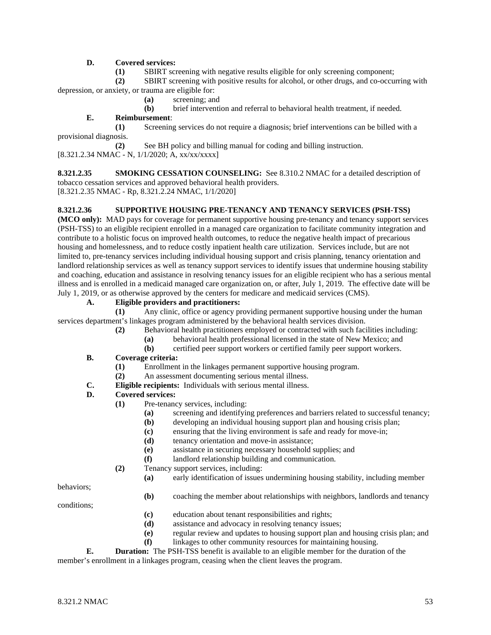# **D. Covered services:**

**(1)** SBIRT screening with negative results eligible for only screening component;

**(2)** SBIRT screening with positive results for alcohol, or other drugs, and co-occurring with depression, or anxiety, or trauma are eligible for:

- **(a)** screening; and
- **(b)** brief intervention and referral to behavioral health treatment, if needed.

# **E. Reimbursement**:

**(1)** Screening services do not require a diagnosis; brief interventions can be billed with a provisional diagnosis.

**(2)** See BH policy and billing manual for coding and billing instruction. [8.321.2.34 NMAC - N, 1/1/2020; A, xx/xx/xxxx]

**8.321.2.35 SMOKING CESSATION COUNSELING:** See 8.310.2 NMAC for a detailed description of tobacco cessation services and approved behavioral health providers. [8.321.2.35 NMAC - Rp, 8.321.2.24 NMAC, 1/1/2020]

#### **8.321.2.36 SUPPORTIVE HOUSING PRE-TENANCY AND TENANCY SERVICES (PSH-TSS)**

**(MCO only):** MAD pays for coverage for permanent supportive housing pre-tenancy and tenancy support services (PSH-TSS) to an eligible recipient enrolled in a managed care organization to facilitate community integration and contribute to a holistic focus on improved health outcomes, to reduce the negative health impact of precarious housing and homelessness, and to reduce costly inpatient health care utilization. Services include, but are not limited to, pre-tenancy services including individual housing support and crisis planning, tenancy orientation and landlord relationship services as well as tenancy support services to identify issues that undermine housing stability and coaching, education and assistance in resolving tenancy issues for an eligible recipient who has a serious mental illness and is enrolled in a medicaid managed care organization on, or after, July 1, 2019. The effective date will be July 1, 2019, or as otherwise approved by the centers for medicare and medicaid services (CMS).

#### **A. Eligible providers and practitioners:**

**(1)** Any clinic, office or agency providing permanent supportive housing under the human services department's linkages program administered by the behavioral health services division.

- **(2)** Behavioral health practitioners employed or contracted with such facilities including:
	- **(a)** behavioral health professional licensed in the state of New Mexico; and
		- **(b)** certified peer support workers or certified family peer support workers.

#### **B. Coverage criteria:**

- **(1)** Enrollment in the linkages permanent supportive housing program.
- **(2)** An assessment documenting serious mental illness.
- **C. Eligible recipients:** Individuals with serious mental illness.

## **D. Covered services:**

- **(1)** Pre-tenancy services, including:
	- **(a)** screening and identifying preferences and barriers related to successful tenancy;
	- **(b)** developing an individual housing support plan and housing crisis plan;
	- (c) ensuring that the living environment is safe and ready for move-in;<br>(d) tenancy orientation and move-in assistance:
	- tenancy orientation and move-in assistance;
	- **(e)** assistance in securing necessary household supplies; and
	- **(f)** landlord relationship building and communication.
- **(2)** Tenancy support services, including:
	- **(a)** early identification of issues undermining housing stability, including member

behaviors;

**(b)** coaching the member about relationships with neighbors, landlords and tenancy

conditions;

- **(c)** education about tenant responsibilities and rights;
- **(d)** assistance and advocacy in resolving tenancy issues;
- **(e)** regular review and updates to housing support plan and housing crisis plan; and
- **(f)** linkages to other community resources for maintaining housing.

**E. Duration:** The PSH-TSS benefit is available to an eligible member for the duration of the member's enrollment in a linkages program, ceasing when the client leaves the program.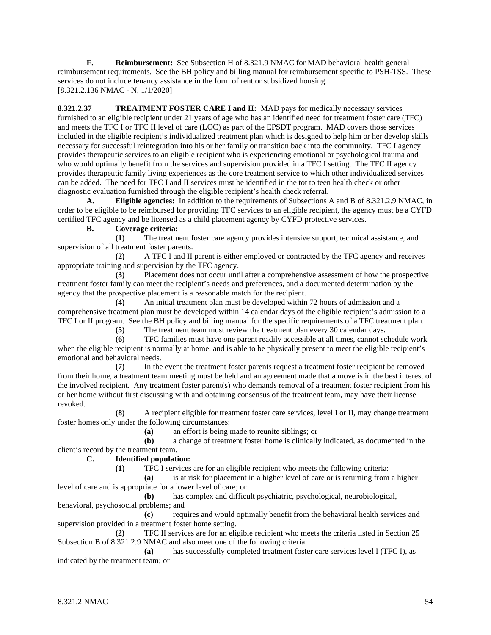**F. Reimbursement:** See Subsection H of 8.321.9 NMAC for MAD behavioral health general reimbursement requirements. See the BH policy and billing manual for reimbursement specific to PSH-TSS. These services do not include tenancy assistance in the form of rent or subsidized housing. [8.321.2.136 NMAC - N, 1/1/2020]

**8.321.2.37 TREATMENT FOSTER CARE I and II:** MAD pays for medically necessary services furnished to an eligible recipient under 21 years of age who has an identified need for treatment foster care (TFC) and meets the TFC I or TFC II level of care (LOC) as part of the EPSDT program. MAD covers those services included in the eligible recipient's individualized treatment plan which is designed to help him or her develop skills necessary for successful reintegration into his or her family or transition back into the community. TFC I agency provides therapeutic services to an eligible recipient who is experiencing emotional or psychological trauma and who would optimally benefit from the services and supervision provided in a TFC I setting. The TFC II agency provides therapeutic family living experiences as the core treatment service to which other individualized services can be added. The need for TFC I and II services must be identified in the tot to teen health check or other diagnostic evaluation furnished through the eligible recipient's health check referral.

**A. Eligible agencies:** In addition to the requirements of Subsections A and B of 8.321.2.9 NMAC, in order to be eligible to be reimbursed for providing TFC services to an eligible recipient, the agency must be a CYFD certified TFC agency and be licensed as a child placement agency by CYFD protective services.

## **B. Coverage criteria:**

**(1)** The treatment foster care agency provides intensive support, technical assistance, and supervision of all treatment foster parents.

**(2)** A TFC I and II parent is either employed or contracted by the TFC agency and receives appropriate training and supervision by the TFC agency.

**(3)** Placement does not occur until after a comprehensive assessment of how the prospective treatment foster family can meet the recipient's needs and preferences, and a documented determination by the agency that the prospective placement is a reasonable match for the recipient.

**(4)** An initial treatment plan must be developed within 72 hours of admission and a comprehensive treatment plan must be developed within 14 calendar days of the eligible recipient's admission to a TFC I or II program. See the BH policy and billing manual for the specific requirements of a TFC treatment plan.

**(5)** The treatment team must review the treatment plan every 30 calendar days.

**(6)** TFC families must have one parent readily accessible at all times, cannot schedule work when the eligible recipient is normally at home, and is able to be physically present to meet the eligible recipient's emotional and behavioral needs.

**(7)** In the event the treatment foster parents request a treatment foster recipient be removed from their home, a treatment team meeting must be held and an agreement made that a move is in the best interest of the involved recipient. Any treatment foster parent(s) who demands removal of a treatment foster recipient from his or her home without first discussing with and obtaining consensus of the treatment team, may have their license revoked.

**(8)** A recipient eligible for treatment foster care services, level I or II, may change treatment foster homes only under the following circumstances:

**(a)** an effort is being made to reunite siblings; or **(b)** a change of treatment foster home is clinically

**(b)** a change of treatment foster home is clinically indicated, as documented in the client's record by the treatment team.

**C. Identified population:**

**(1)** TFC I services are for an eligible recipient who meets the following criteria:

**(a)** is at risk for placement in a higher level of care or is returning from a higher level of care and is appropriate for a lower level of care; or

**(b)** has complex and difficult psychiatric, psychological, neurobiological, behavioral, psychosocial problems; and

**(c)** requires and would optimally benefit from the behavioral health services and supervision provided in a treatment foster home setting.

**(2)** TFC II services are for an eligible recipient who meets the criteria listed in Section 25 Subsection B of 8.321.2.9 NMAC and also meet one of the following criteria:

**(a)** has successfully completed treatment foster care services level I (TFC I), as indicated by the treatment team; or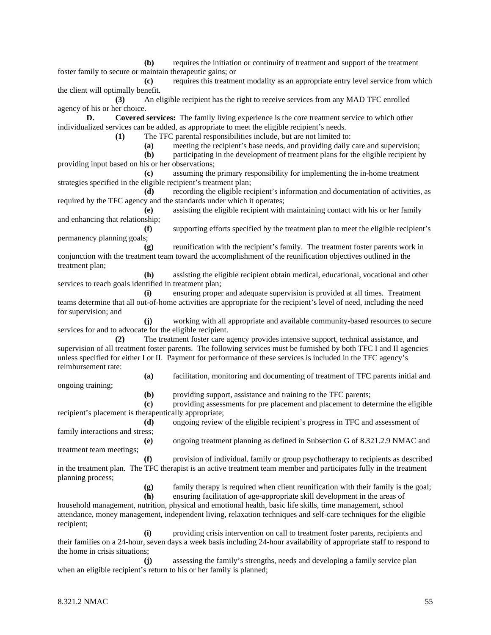**(b)** requires the initiation or continuity of treatment and support of the treatment foster family to secure or maintain therapeutic gains; or

**(c)** requires this treatment modality as an appropriate entry level service from which the client will optimally benefit.

**(3)** An eligible recipient has the right to receive services from any MAD TFC enrolled agency of his or her choice.

**D. Covered services:** The family living experience is the core treatment service to which other individualized services can be added, as appropriate to meet the eligible recipient's needs.

**(1)** The TFC parental responsibilities include, but are not limited to:

**(a)** meeting the recipient's base needs, and providing daily care and supervision;

**(b)** participating in the development of treatment plans for the eligible recipient by providing input based on his or her observations;

**(c)** assuming the primary responsibility for implementing the in-home treatment strategies specified in the eligible recipient's treatment plan;

**(d)** recording the eligible recipient's information and documentation of activities, as required by the TFC agency and the standards under which it operates;

**(e)** assisting the eligible recipient with maintaining contact with his or her family and enhancing that relationship;

**(f)** supporting efforts specified by the treatment plan to meet the eligible recipient's permanency planning goals;

**(g)** reunification with the recipient's family. The treatment foster parents work in conjunction with the treatment team toward the accomplishment of the reunification objectives outlined in the treatment plan;

**(h)** assisting the eligible recipient obtain medical, educational, vocational and other services to reach goals identified in treatment plan;

**(i)** ensuring proper and adequate supervision is provided at all times. Treatment teams determine that all out-of-home activities are appropriate for the recipient's level of need, including the need for supervision; and

**(j)** working with all appropriate and available community-based resources to secure services for and to advocate for the eligible recipient.

**(2)** The treatment foster care agency provides intensive support, technical assistance, and supervision of all treatment foster parents. The following services must be furnished by both TFC I and II agencies unless specified for either I or II. Payment for performance of these services is included in the TFC agency's reimbursement rate:

ongoing training;

**(b)** providing support, assistance and training to the TFC parents;

**(a)** facilitation, monitoring and documenting of treatment of TFC parents initial and

**(c)** providing assessments for pre placement and placement to determine the eligible recipient's placement is therapeutically appropriate;

**(d)** ongoing review of the eligible recipient's progress in TFC and assessment of family interactions and stress;

**(e)** ongoing treatment planning as defined in Subsection G of 8.321.2.9 NMAC and treatment team meetings;

**(f)** provision of individual, family or group psychotherapy to recipients as described in the treatment plan. The TFC therapist is an active treatment team member and participates fully in the treatment planning process;

**(g)** family therapy is required when client reunification with their family is the goal;

**(h)** ensuring facilitation of age-appropriate skill development in the areas of

household management, nutrition, physical and emotional health, basic life skills, time management, school attendance, money management, independent living, relaxation techniques and self-care techniques for the eligible recipient;

**(i)** providing crisis intervention on call to treatment foster parents, recipients and their families on a 24-hour, seven days a week basis including 24-hour availability of appropriate staff to respond to the home in crisis situations;

**(j)** assessing the family's strengths, needs and developing a family service plan when an eligible recipient's return to his or her family is planned;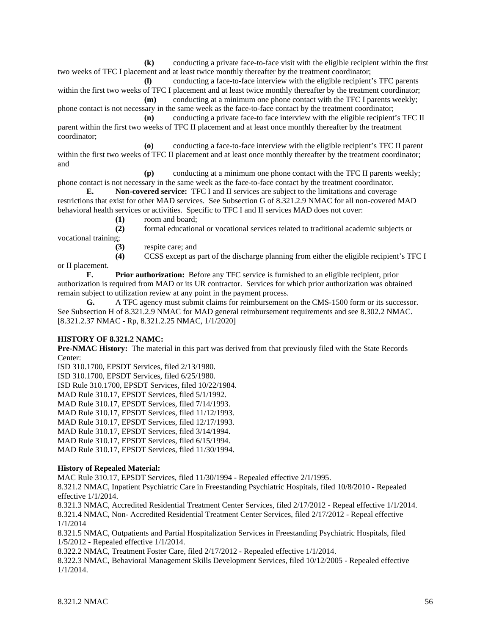**(k)** conducting a private face-to-face visit with the eligible recipient within the first two weeks of TFC I placement and at least twice monthly thereafter by the treatment coordinator;

**(l)** conducting a face-to-face interview with the eligible recipient's TFC parents within the first two weeks of TFC I placement and at least twice monthly thereafter by the treatment coordinator; **(m)** conducting at a minimum one phone contact with the TFC I parents weekly;

phone contact is not necessary in the same week as the face-to-face contact by the treatment coordinator;

**(n)** conducting a private face-to face interview with the eligible recipient's TFC II parent within the first two weeks of TFC II placement and at least once monthly thereafter by the treatment coordinator;

**(o)** conducting a face-to-face interview with the eligible recipient's TFC II parent within the first two weeks of TFC II placement and at least once monthly thereafter by the treatment coordinator; and

**(p)** conducting at a minimum one phone contact with the TFC II parents weekly; phone contact is not necessary in the same week as the face-to-face contact by the treatment coordinator.

**E. Non-covered service:** TFC I and II services are subject to the limitations and coverage restrictions that exist for other MAD services. See Subsection G of 8.321.2.9 NMAC for all non-covered MAD behavioral health services or activities. Specific to TFC I and II services MAD does not cover:

**(1)** room and board;

**(2)** formal educational or vocational services related to traditional academic subjects or vocational training;

**(3)** respite care; and

**(4)** CCSS except as part of the discharge planning from either the eligible recipient's TFC I or II placement.

**F. Prior authorization:** Before any TFC service is furnished to an eligible recipient, prior authorization is required from MAD or its UR contractor. Services for which prior authorization was obtained remain subject to utilization review at any point in the payment process.

**G.** A TFC agency must submit claims for reimbursement on the CMS-1500 form or its successor. See Subsection H of 8.321.2.9 NMAC for MAD general reimbursement requirements and see 8.302.2 NMAC. [8.321.2.37 NMAC - Rp, 8.321.2.25 NMAC, 1/1/2020]

## **HISTORY OF 8.321.2 NAMC:**

**Pre-NMAC History:** The material in this part was derived from that previously filed with the State Records Center:

ISD 310.1700, EPSDT Services, filed 2/13/1980.

ISD 310.1700, EPSDT Services, filed 6/25/1980.

ISD Rule 310.1700, EPSDT Services, filed 10/22/1984.

MAD Rule 310.17, EPSDT Services, filed 5/1/1992.

MAD Rule 310.17, EPSDT Services, filed 7/14/1993.

MAD Rule 310.17, EPSDT Services, filed 11/12/1993.

MAD Rule 310.17, EPSDT Services, filed 12/17/1993.

MAD Rule 310.17, EPSDT Services, filed 3/14/1994.

MAD Rule 310.17, EPSDT Services, filed 6/15/1994.

MAD Rule 310.17, EPSDT Services, filed 11/30/1994.

## **History of Repealed Material:**

MAC Rule 310.17, EPSDT Services, filed 11/30/1994 - Repealed effective 2/1/1995.

8.321.2 NMAC, Inpatient Psychiatric Care in Freestanding Psychiatric Hospitals, filed 10/8/2010 - Repealed effective 1/1/2014.

8.321.3 NMAC, Accredited Residential Treatment Center Services, filed 2/17/2012 - Repeal effective 1/1/2014. 8.321.4 NMAC, Non- Accredited Residential Treatment Center Services, filed 2/17/2012 - Repeal effective 1/1/2014

8.321.5 NMAC, Outpatients and Partial Hospitalization Services in Freestanding Psychiatric Hospitals, filed 1/5/2012 - Repealed effective 1/1/2014.

8.322.2 NMAC, Treatment Foster Care, filed 2/17/2012 - Repealed effective 1/1/2014.

8.322.3 NMAC, Behavioral Management Skills Development Services, filed 10/12/2005 - Repealed effective 1/1/2014.